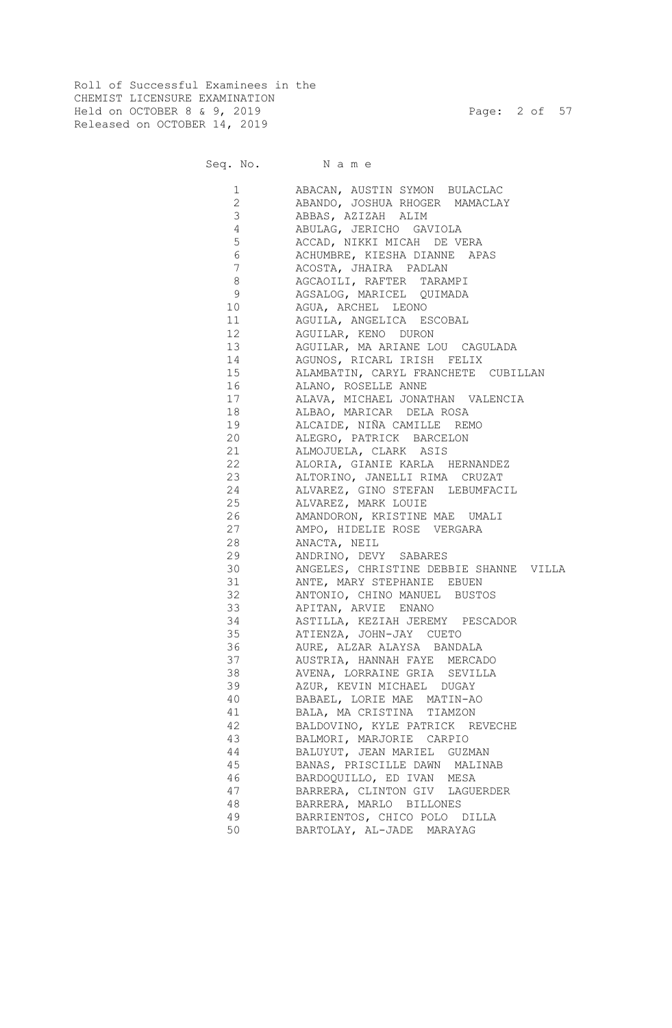Roll of Successful Examinees in the CHEMIST LICENSURE EXAMINATION Held on OCTOBER 8 & 9, 2019 Page: 2 of 57 Released on OCTOBER 14, 2019

Seq. No. Name

| $\mathbf{1}$    | ABACAN, AUSTIN SYMON BULACLAC                             |
|-----------------|-----------------------------------------------------------|
| $\mathbf{2}$    | ABANDO, JOSHUA RHOGER MAMACLAY                            |
| 3               | ABBAS, AZIZAH ALIM                                        |
| 4               | ABULAG, JERICHO GAVIOLA                                   |
| 5               | ACCAD, NIKKI MICAH DE VERA                                |
| 6               | ACHUMBRE, KIESHA DIANNE APAS                              |
| $7\phantom{.0}$ | ACOSTA, JHAIRA PADLAN                                     |
| 8               | AGCAOILI, RAFTER TARAMPI                                  |
| 9               | AGSALOG, MARICEL QUIMADA                                  |
| 10              | AGUA, ARCHEL LEONO                                        |
| 11              | AGUILA, ANGELICA ESCOBAL                                  |
| 12 <sup>°</sup> | AGUILAR, KENO DURON                                       |
| 13              | AGUILAR, MA ARIANE LOU CAGULADA                           |
| 14              | AGUNOS, RICARL IRISH FELIX                                |
| 15              | ALAMBATIN, CARYL FRANCHETE CUBILLAN                       |
| 16              | ALANO, ROSELLE ANNE                                       |
| 17              | ALAVA, MICHAEL JONATHAN VALENCIA                          |
| 18              | ALBAO, MARICAR DELA ROSA                                  |
| 19              | ALCAIDE, NIÑA CAMILLE REMO                                |
| 20              | ALEGRO, PATRICK BARCELON                                  |
| 21              | ALMOJUELA, CLARK ASIS                                     |
| 22              | ALORIA, GIANIE KARLA HERNANDEZ                            |
| 23              | ALTORINO, JANELLI RIMA CRUZAT                             |
| 24              | ALVAREZ, GINO STEFAN LEBUMFACIL                           |
| 25              | ALVAREZ, MARK LOUIE                                       |
| 26              | AMANDORON, KRISTINE MAE UMALI                             |
| 27              | AMPO, HIDELIE ROSE VERGARA                                |
| 28              | ANACTA, NEIL                                              |
| 29              | ANDRINO, DEVY SABARES                                     |
| 30              | ANGELES, CHRISTINE DEBBIE SHANNE VILLA                    |
| 31              | ANTE, MARY STEPHANIE EBUEN                                |
| 32              | ANTONIO, CHINO MANUEL BUSTOS                              |
| 33              | APITAN, ARVIE ENANO                                       |
| 34              | ASTILLA, KEZIAH JEREMY PESCADOR                           |
| 35              | ATIENZA, JOHN-JAY CUETO                                   |
| 36              | AURE, ALZAR ALAYSA BANDALA                                |
| 37              | AUSTRIA, HANNAH FAYE MERCADO                              |
| 38              | AVENA, LORRAINE GRIA SEVILLA                              |
| 39              | AZUR, KEVIN MICHAEL DUGAY                                 |
| 40              | BABAEL, LORIE MAE MATIN-AO                                |
| 41              | BALA, MA CRISTINA TIAMZON                                 |
| 42              | BALDOVINO, KYLE PATRICK REVECHE                           |
| 43              | BALMORI, MARJORIE CARPIO                                  |
| 44              | BALUYUT, JEAN MARIEL GUZMAN                               |
| 45              | BANAS, PRISCILLE DAWN MALINAB                             |
| 46              | BARDOOUILLO, ED IVAN MESA                                 |
| 47              |                                                           |
| 48              | BARRERA, CLINTON GIV LAGUERDER<br>BARRERA, MARLO BILLONES |
| 49              |                                                           |
|                 | BARRIENTOS, CHICO POLO DILLA                              |
| 50              | BARTOLAY, AL-JADE MARAYAG                                 |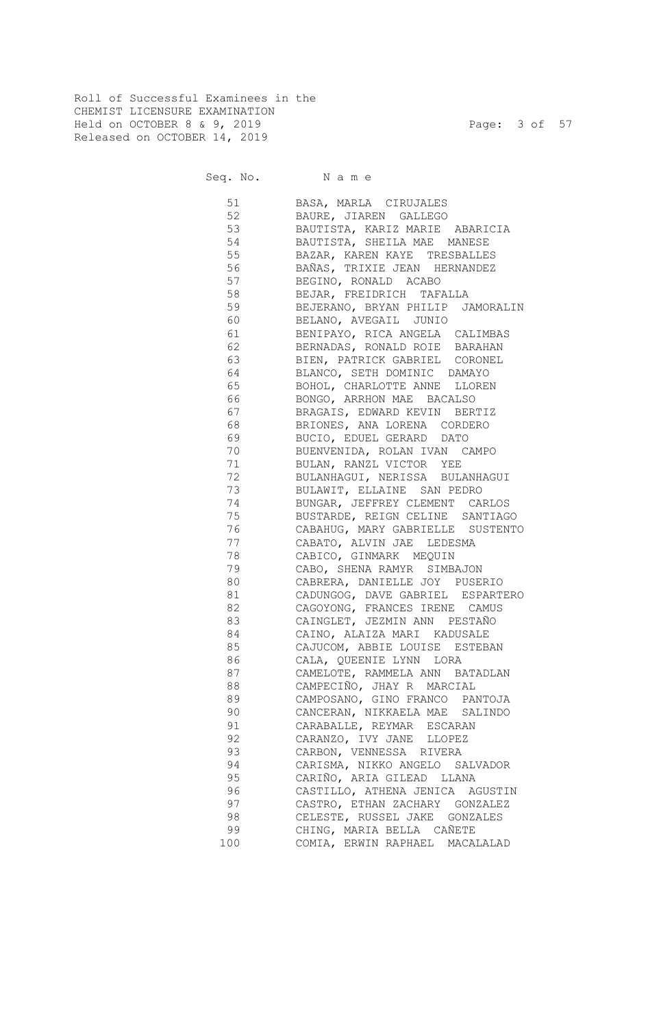Roll of Successful Examinees in the CHEMIST LICENSURE EXAMINATION Held on OCTOBER 8 & 9, 2019 Page: 3 of 57 Released on OCTOBER 14, 2019

Seq. No. Name

 51 BASA, MARLA CIRUJALES 52 BAURE, JIAREN GALLEGO 53 BAUTISTA, KARIZ MARIE ABARICIA 54 BAUTISTA, SHEILA MAE MANESE 55 BAZAR, KAREN KAYE TRESBALLES 56 BAÑAS, TRIXIE JEAN HERNANDEZ 57 BEGINO, RONALD ACABO 58 BEJAR, FREIDRICH TAFALLA 59 BEJERANO, BRYAN PHILIP JAMORALIN 60 BELANO, AVEGAIL JUNIO 61 BENIPAYO, RICA ANGELA CALIMBAS 62 BERNADAS, RONALD ROIE BARAHAN 63 BIEN, PATRICK GABRIEL CORONEL 64 BLANCO, SETH DOMINIC DAMAYO 65 BOHOL, CHARLOTTE ANNE LLOREN 66 BONGO, ARRHON MAE BACALSO 67 BRAGAIS, EDWARD KEVIN BERTIZ 68 BRIONES, ANA LORENA CORDERO 69 BUCIO, EDUEL GERARD DATO 70 BUENVENIDA, ROLAN IVAN CAMPO 71 BULAN, RANZL VICTOR YEE 72 BULANHAGUI, NERISSA BULANHAGUI 73 BULAWIT, ELLAINE SAN PEDRO 74 BUNGAR, JEFFREY CLEMENT CARLOS<br>75 BUSTARDE, REIGN CELINE SANTIAG 75 BUSTARDE, REIGN CELINE SANTIAGO 76 CABAHUG, MARY GABRIELLE SUSTENTO 77 CABATO, ALVIN JAE LEDESMA 78 CABICO, GINMARK MEQUIN 79 CABO, SHENA RAMYR SIMBAJON 80 CABRERA, DANIELLE JOY PUSERIO 81 CADUNGOG, DAVE GABRIEL ESPARTERO 82 CAGOYONG, FRANCES IRENE CAMUS 83 CAINGLET, JEZMIN ANN PESTAÑO 84 CAINO, ALAIZA MARI KADUSALE 85 CAJUCOM, ABBIE LOUISE ESTEBAN 86 CALA, QUEENIE LYNN LORA 87 CAMELOTE, RAMMELA ANN BATADLAN 88 CAMPECIÑO, JHAY R MARCIAL 89 CAMPOSANO, GINO FRANCO PANTOJA 90 CANCERAN, NIKKAELA MAE SALINDO 91 CARABALLE, REYMAR ESCARAN 92 CARANZO, IVY JANE LLOPEZ 93 CARBON, VENNESSA RIVERA 94 CARISMA, NIKKO ANGELO SALVADOR 95 CARIÑO, ARIA GILEAD LLANA 96 CASTILLO, ATHENA JENICA AGUSTIN 97 CASTRO, ETHAN ZACHARY GONZALEZ CELESTE, RUSSEL JAKE GONZALES 99 CHING, MARIA BELLA CAÑETE 100 COMIA, ERWIN RAPHAEL MACALALAD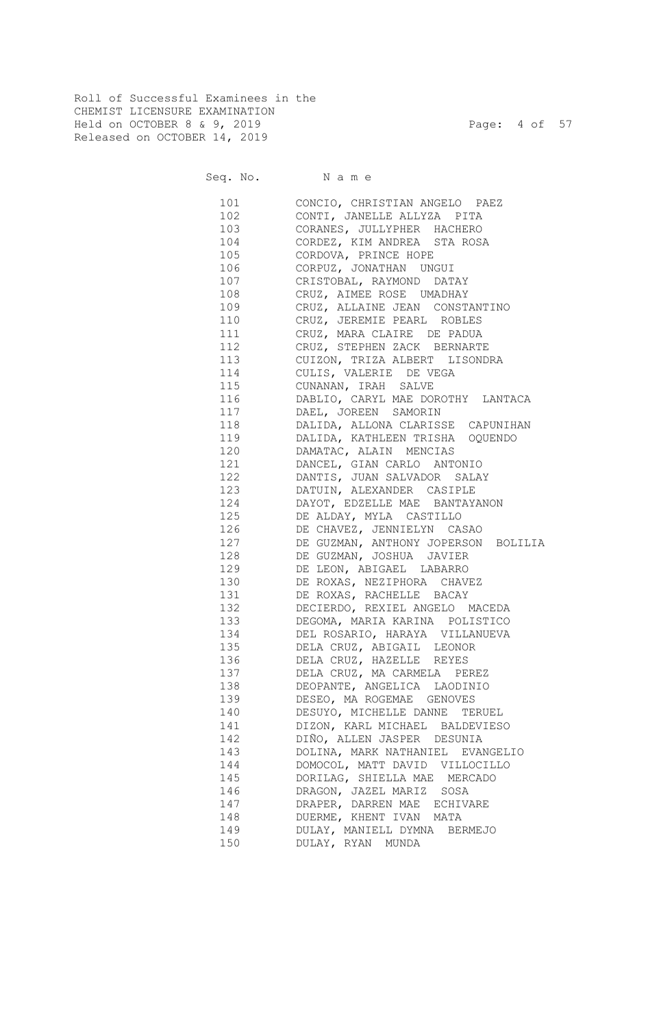Roll of Successful Examinees in the CHEMIST LICENSURE EXAMINATION Held on OCTOBER 8 & 9, 2019 Page: 4 of 57 Released on OCTOBER 14, 2019

Seq. No. Name

 101 CONCIO, CHRISTIAN ANGELO PAEZ 102 CONTI, JANELLE ALLYZA PITA 103 CORANES, JULLYPHER HACHERO 104 CORDEZ, KIM ANDREA STA ROSA 105 CORDOVA, PRINCE HOPE 106 CORPUZ, JONATHAN UNGUI 107 CRISTOBAL, RAYMOND DATAY 108 CRUZ, AIMEE ROSE UMADHAY 109 CRUZ, ALLAINE JEAN CONSTANTINO 110 CRUZ, JEREMIE PEARL ROBLES 111 CRUZ, MARA CLAIRE DE PADUA 112 CRUZ, STEPHEN ZACK BERNARTE 113 CUIZON, TRIZA ALBERT LISONDRA 114 CULIS, VALERIE DE VEGA 115 CUNANAN, IRAH SALVE 116 DABLIO, CARYL MAE DOROTHY LANTACA 117 DAEL, JOREEN SAMORIN 118 DALIDA, ALLONA CLARISSE CAPUNIHAN 119 DALIDA, KATHLEEN TRISHA OQUENDO 120 DAMATAC, ALAIN MENCIAS 121 DANCEL, GIAN CARLO ANTONIO 122 DANTIS, JUAN SALVADOR SALAY 123 DATUIN, ALEXANDER CASIPLE 124 DAYOT, EDZELLE MAE BANTAYANON 125 DE ALDAY, MYLA CASTILLO 126 DE CHAVEZ, JENNIELYN CASAO 127 DE GUZMAN, ANTHONY JOPERSON BOLILIA 128 DE GUZMAN, JOSHUA JAVIER 129 DE LEON, ABIGAEL LABARRO 130 DE ROXAS, NEZIPHORA CHAVEZ 131 DE ROXAS, RACHELLE BACAY 132 DECIERDO, REXIEL ANGELO MACEDA 133 DEGOMA, MARIA KARINA POLISTICO 134 DEL ROSARIO, HARAYA VILLANUEVA 135 DELA CRUZ, ABIGAIL LEONOR 136 DELA CRUZ, HAZELLE REYES 137 DELA CRUZ, MA CARMELA PEREZ 138 DEOPANTE, ANGELICA LAODINIO 139 DESEO, MA ROGEMAE GENOVES 140 DESUYO, MICHELLE DANNE TERUEL 141 DIZON, KARL MICHAEL BALDEVIESO 142 DIÑO, ALLEN JASPER DESUNIA 143 DOLINA, MARK NATHANIEL EVANGELIO 144 DOMOCOL, MATT DAVID VILLOCILLO 145 DORILAG, SHIELLA MAE MERCADO 146 DRAGON, JAZEL MARIZ SOSA 147 DRAPER, DARREN MAE ECHIVARE 148 DUERME, KHENT IVAN MATA 149 DULAY, MANIELL DYMNA BERMEJO 150 DULAY, RYAN MUNDA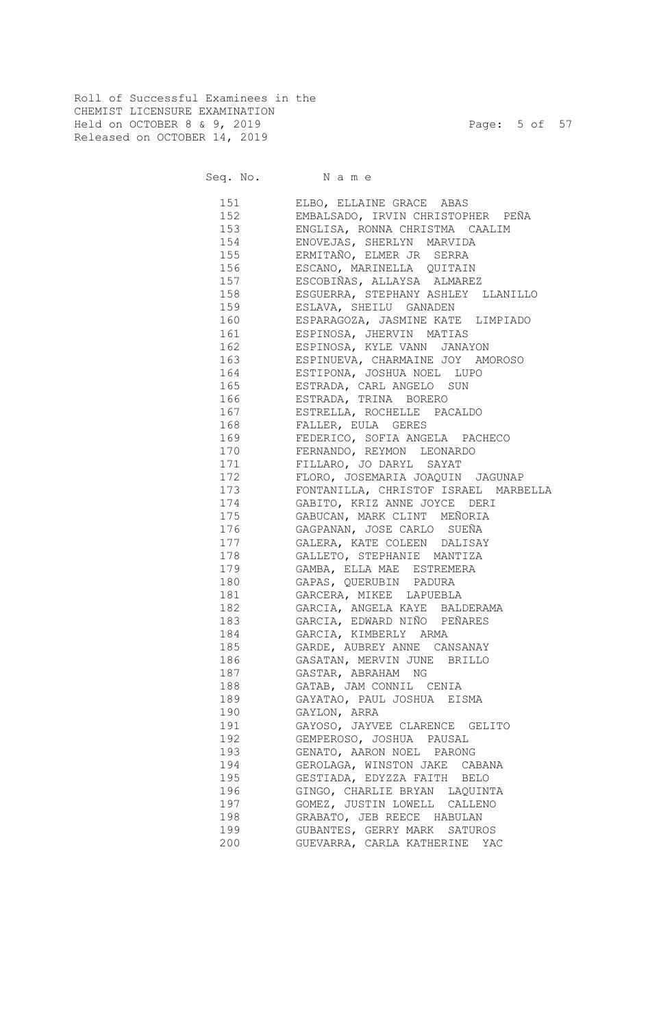Roll of Successful Examinees in the CHEMIST LICENSURE EXAMINATION Held on OCTOBER 8 & 9, 2019 Page: 5 of 57 Released on OCTOBER 14, 2019

Seq. No. Name

 151 ELBO, ELLAINE GRACE ABAS 152 EMBALSADO, IRVIN CHRISTOPHER PEÑA 153 ENGLISA, RONNA CHRISTMA CAALIM 154 ENOVEJAS, SHERLYN MARVIDA 155 ERMITAÑO, ELMER JR SERRA 156 ESCANO, MARINELLA QUITAIN 157 ESCOBIÑAS, ALLAYSA ALMAREZ 158 ESGUERRA, STEPHANY ASHLEY LLANILLO 159 ESLAVA, SHEILU GANADEN 160 ESPARAGOZA, JASMINE KATE LIMPIADO 161 ESPINOSA, JHERVIN MATIAS 162 ESPINOSA, KYLE VANN JANAYON 163 ESPINUEVA, CHARMAINE JOY AMOROSO 164 ESTIPONA, JOSHUA NOEL LUPO 165 ESTRADA, CARL ANGELO SUN 166 ESTRADA, TRINA BORERO 167 ESTRELLA, ROCHELLE PACALDO 168 FALLER, EULA GERES 169 FEDERICO, SOFIA ANGELA PACHECO 170 FERNANDO, REYMON LEONARDO 171 FILLARO, JO DARYL SAYAT 172 FLORO, JOSEMARIA JOAQUIN JAGUNAP 173 FONTANILLA, CHRISTOF ISRAEL MARBELLA 174 GABITO, KRIZ ANNE JOYCE DERI 175 GABUCAN, MARK CLINT MEÑORIA 176 GAGPANAN, JOSE CARLO SUEÑA 177 GALERA, KATE COLEEN DALISAY 178 GALLETO, STEPHANIE MANTIZA 179 GAMBA, ELLA MAE ESTREMERA 180 GAPAS, QUERUBIN PADURA 181 GARCERA, MIKEE LAPUEBLA 182 GARCIA, ANGELA KAYE BALDERAMA 183 GARCIA, EDWARD NIÑO PEÑARES 184 GARCIA, KIMBERLY ARMA 185 GARDE, AUBREY ANNE CANSANAY 186 GASATAN, MERVIN JUNE BRILLO 187 GASTAR, ABRAHAM NG 188 GATAB, JAM CONNIL CENIA 189 GAYATAO, PAUL JOSHUA EISMA 190 GAYLON, ARRA 191 GAYOSO, JAYVEE CLARENCE GELITO 192 GEMPEROSO, JOSHUA PAUSAL 193 GENATO, AARON NOEL PARONG 194 GEROLAGA, WINSTON JAKE CABANA 195 GESTIADA, EDYZZA FAITH BELO 196 GINGO, CHARLIE BRYAN LAQUINTA 197 GOMEZ, JUSTIN LOWELL CALLENO 198 GRABATO, JEB REECE HABULAN 199 GUBANTES, GERRY MARK SATUROS 200 GUEVARRA, CARLA KATHERINE YAC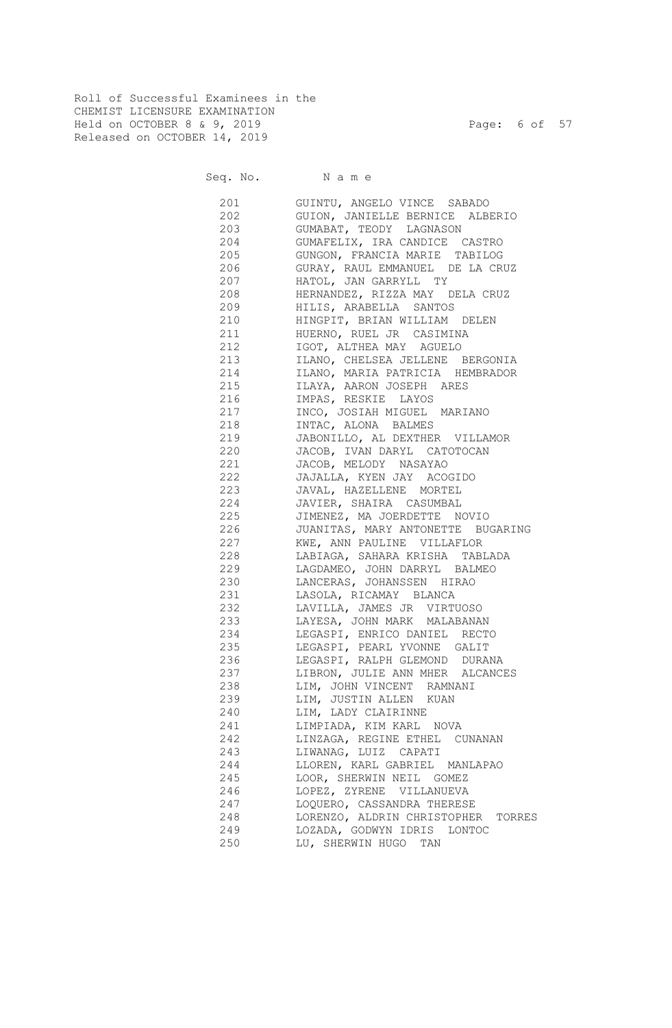Roll of Successful Examinees in the CHEMIST LICENSURE EXAMINATION Held on OCTOBER 8 & 9, 2019 Page: 6 of 57 Released on OCTOBER 14, 2019

Seq. No. Name

 201 GUINTU, ANGELO VINCE SABADO 202 GUION, JANIELLE BERNICE ALBERIO 203 GUMABAT, TEODY LAGNASON 204 GUMAFELIX, IRA CANDICE CASTRO 205 GUNGON, FRANCIA MARIE TABILOG 206 GURAY, RAUL EMMANUEL DE LA CRUZ 207 HATOL, JAN GARRYLL TY 208 HERNANDEZ, RIZZA MAY DELA CRUZ 209 HILIS, ARABELLA SANTOS 210 HINGPIT, BRIAN WILLIAM DELEN 211 HUERNO, RUEL JR CASIMINA 212 IGOT, ALTHEA MAY AGUELO 213 ILANO, CHELSEA JELLENE BERGONIA 214 ILANO, MARIA PATRICIA HEMBRADOR 215 ILAYA, AARON JOSEPH ARES 216 IMPAS, RESKIE LAYOS 217 INCO, JOSIAH MIGUEL MARIANO 218 INTAC, ALONA BALMES 219 JABONILLO, AL DEXTHER VILLAMOR 220 JACOB, IVAN DARYL CATOTOCAN 221 JACOB, MELODY NASAYAO 222 JAJALLA, KYEN JAY ACOGIDO 223 JAVAL, HAZELLENE MORTEL 224 JAVIER, SHAIRA CASUMBAL 225 JIMENEZ, MA JOERDETTE NOVIO 226 JUANITAS, MARY ANTONETTE BUGARING 227 KWE, ANN PAULINE VILLAFLOR 228 LABIAGA, SAHARA KRISHA TABLADA 229 LAGDAMEO, JOHN DARRYL BALMEO 230 LANCERAS, JOHANSSEN HIRAO 231 LASOLA, RICAMAY BLANCA 232 LAVILLA, JAMES JR VIRTUOSO 233 LAYESA, JOHN MARK MALABANAN 234 LEGASPI, ENRICO DANIEL RECTO 235 LEGASPI, PEARL YVONNE GALIT 236 LEGASPI, RALPH GLEMOND DURANA 237 LIBRON, JULIE ANN MHER ALCANCES 238 LIM, JOHN VINCENT RAMNANI 239 LIM, JUSTIN ALLEN KUAN 240 LIM, LADY CLAIRINNE 241 LIMPIADA, KIM KARL NOVA 242 LINZAGA, REGINE ETHEL CUNANAN 243 LIWANAG, LUIZ CAPATI 244 LLOREN, KARL GABRIEL MANLAPAO 245 LOOR, SHERWIN NEIL GOMEZ 246 LOPEZ, ZYRENE VILLANUEVA 247 LOQUERO, CASSANDRA THERESE 248 LORENZO, ALDRIN CHRISTOPHER TORRES

249 LOZADA, GODWYN IDRIS LONTOC

250 LU, SHERWIN HUGO TAN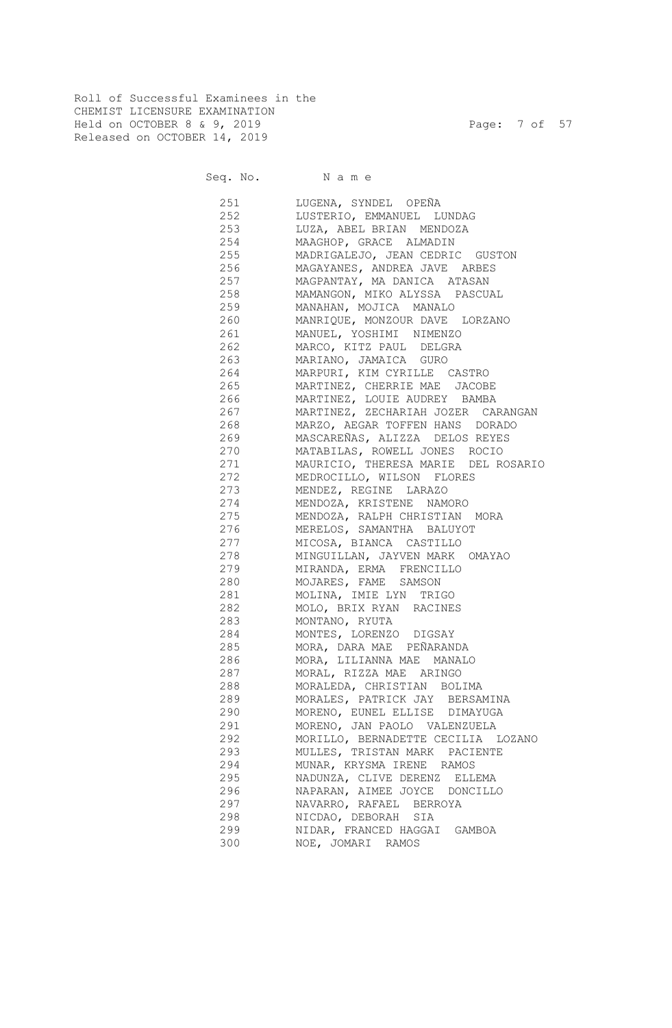Roll of Successful Examinees in the CHEMIST LICENSURE EXAMINATION Held on OCTOBER 8 & 9, 2019 Page: 7 of 57 Released on OCTOBER 14, 2019

Seq. No. Name

 251 LUGENA, SYNDEL OPEÑA 252 LUSTERIO, EMMANUEL LUNDAG 253 LUZA, ABEL BRIAN MENDOZA 254 MAAGHOP, GRACE ALMADIN 255 MADRIGALEJO, JEAN CEDRIC GUSTON 256 MAGAYANES, ANDREA JAVE ARBES 257 MAGPANTAY, MA DANICA ATASAN 258 MAMANGON, MIKO ALYSSA PASCUAL 259 MANAHAN, MOJICA MANALO 260 MANRIQUE, MONZOUR DAVE LORZANO 261 MANUEL, YOSHIMI NIMENZO 262 MARCO, KITZ PAUL DELGRA 263 MARIANO, JAMAICA GURO 264 MARPURI, KIM CYRILLE CASTRO 265 MARTINEZ, CHERRIE MAE JACOBE 266 MARTINEZ, LOUIE AUDREY BAMBA 267 MARTINEZ, ZECHARIAH JOZER CARANGAN 268 MARZO, AEGAR TOFFEN HANS DORADO 269 MASCAREÑAS, ALIZZA DELOS REYES 270 MATABILAS, ROWELL JONES ROCIO 271 MAURICIO, THERESA MARIE DEL ROSARIO 272 MEDROCILLO, WILSON FLORES 273 MENDEZ, REGINE LARAZO 274 MENDOZA, KRISTENE NAMORO 275 MENDOZA, RALPH CHRISTIAN MORA 276 MERELOS, SAMANTHA BALUYOT 277 MICOSA, BIANCA CASTILLO 278 MINGUILLAN, JAYVEN MARK OMAYAO 279 MIRANDA, ERMA FRENCILLO 280 MOJARES, FAME SAMSON 281 MOLINA, IMIE LYN TRIGO 282 MOLO, BRIX RYAN RACINES 283 MONTANO, RYUTA 284 MONTES, LORENZO DIGSAY 285 MORA, DARA MAE PEÑARANDA 286 MORA, LILIANNA MAE MANALO 287 MORAL, RIZZA MAE ARINGO 288 MORALEDA, CHRISTIAN BOLIMA 289 MORALES, PATRICK JAY BERSAMINA 290 MORENO, EUNEL ELLISE DIMAYUGA 291 MORENO, JAN PAOLO VALENZUELA 292 MORILLO, BERNADETTE CECILIA LOZANO 293 MULLES, TRISTAN MARK PACIENTE 294 MUNAR, KRYSMA IRENE RAMOS 295 NADUNZA, CLIVE DERENZ ELLEMA 296 NAPARAN, AIMEE JOYCE DONCILLO 297 NAVARRO, RAFAEL BERROYA 298 NICDAO, DEBORAH SIA 299 NIDAR, FRANCED HAGGAI GAMBOA 300 NOE, JOMARI RAMOS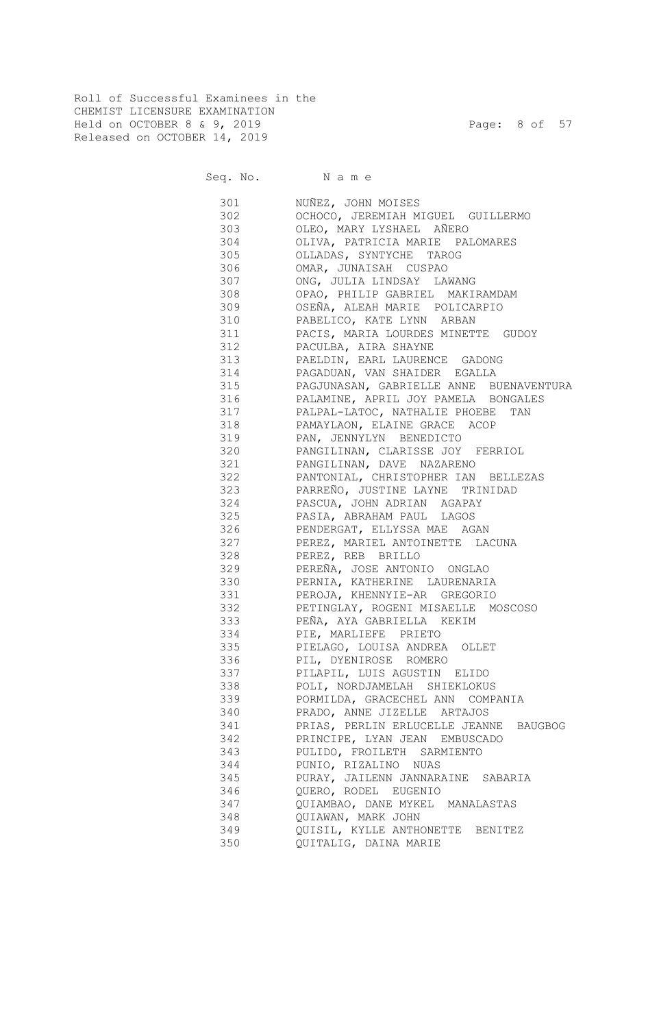Roll of Successful Examinees in the CHEMIST LICENSURE EXAMINATION Held on OCTOBER 8 & 9, 2019 Page: 8 of 57 Released on OCTOBER 14, 2019

Seq. No. Name

| 301 | NUÑEZ, JOHN MOISES                      |
|-----|-----------------------------------------|
| 302 | OCHOCO, JEREMIAH MIGUEL GUILLERMO       |
| 303 | OLEO, MARY LYSHAEL AÑERO                |
| 304 | OLIVA, PATRICIA MARIE PALOMARES         |
| 305 | OLLADAS, SYNTYCHE TAROG                 |
| 306 | OMAR, JUNAISAH CUSPAO                   |
| 307 | ONG, JULIA LINDSAY LAWANG               |
| 308 | OPAO, PHILIP GABRIEL MAKIRAMDAM         |
| 309 | OSEÑA, ALEAH MARIE POLICARPIO           |
| 310 | PABELICO, KATE LYNN ARBAN               |
| 311 | PACIS, MARIA LOURDES MINETTE GUDOY      |
| 312 | PACULBA, AIRA SHAYNE                    |
| 313 | PAELDIN, EARL LAURENCE GADONG           |
| 314 | PAGADUAN, VAN SHAIDER EGALLA            |
| 315 | PAGJUNASAN, GABRIELLE ANNE BUENAVENTURA |
| 316 | PALAMINE, APRIL JOY PAMELA BONGALES     |
| 317 | PALPAL-LATOC, NATHALIE PHOEBE<br>TAN    |
| 318 | PAMAYLAON, ELAINE GRACE ACOP            |
| 319 | PAN, JENNYLYN BENEDICTO                 |
| 320 | PANGILINAN, CLARISSE JOY FERRIOL        |
| 321 | PANGILINAN, DAVE NAZARENO               |
| 322 | PANTONIAL, CHRISTOPHER IAN BELLEZAS     |
| 323 | PARREÑO, JUSTINE LAYNE TRINIDAD         |
| 324 | PASCUA, JOHN ADRIAN AGAPAY              |
| 325 | PASIA, ABRAHAM PAUL LAGOS               |
| 326 | PENDERGAT, ELLYSSA MAE AGAN             |
| 327 | PEREZ, MARIEL ANTOINETTE LACUNA         |
| 328 | PEREZ, REB BRILLO                       |
| 329 | PEREÑA, JOSE ANTONIO ONGLAO             |
| 330 | PERNIA, KATHERINE LAURENARIA            |
| 331 | PEROJA, KHENNYIE-AR GREGORIO            |
| 332 | PETINGLAY, ROGENI MISAELLE MOSCOSO      |
| 333 | PEÑA, AYA GABRIELLA KEKIM               |
| 334 | PIE, MARLIEFE PRIETO                    |
| 335 | PIELAGO, LOUISA ANDREA OLLET            |
| 336 | PIL, DYENIROSE ROMERO                   |
| 337 | PILAPIL, LUIS AGUSTIN ELIDO             |
| 338 | POLI, NORDJAMELAH SHIEKLOKUS            |
| 339 | PORMILDA, GRACECHEL ANN COMPANIA        |
| 340 | PRADO, ANNE JIZELLE ARTAJOS             |
| 341 | PRIAS, PERLIN ERLUCELLE JEANNE BAUGBOG  |
| 342 | PRINCIPE, LYAN JEAN EMBUSCADO           |
| 343 | PULIDO, FROILETH SARMIENTO              |
| 344 | PUNIO, RIZALINO NUAS                    |
| 345 | PURAY, JAILENN JANNARAINE SABARIA       |
| 346 | QUERO, RODEL EUGENIO                    |
| 347 | QUIAMBAO, DANE MYKEL MANALASTAS         |
| 348 | QUIAWAN, MARK JOHN                      |
| 349 | QUISIL, KYLLE ANTHONETTE BENITEZ        |
| 350 | QUITALIG, DAINA MARIE                   |
|     |                                         |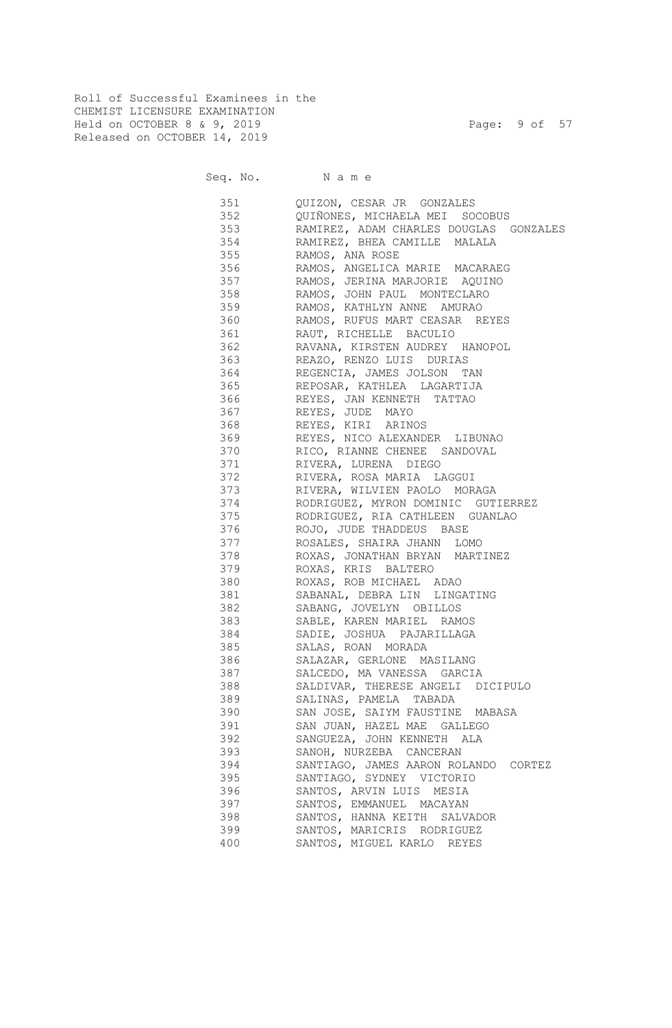Roll of Successful Examinees in the CHEMIST LICENSURE EXAMINATION Held on OCTOBER 8 & 9, 2019 Page: 9 of 57 Released on OCTOBER 14, 2019

Seq. No. Name

| 351 | QUIZON, CESAR JR GONZALES              |
|-----|----------------------------------------|
| 352 | QUIÑONES, MICHAELA MEI SOCOBUS         |
| 353 | RAMIREZ, ADAM CHARLES DOUGLAS GONZALES |
| 354 | RAMIREZ, BHEA CAMILLE MALALA           |
| 355 | RAMOS, ANA ROSE                        |
| 356 | RAMOS, ANGELICA MARIE MACARAEG         |
| 357 | RAMOS, JERINA MARJORIE AQUINO          |
| 358 | RAMOS, JOHN PAUL MONTECLARO            |
| 359 | RAMOS, KATHLYN ANNE AMURAO             |
| 360 | RAMOS, RUFUS MART CEASAR REYES         |
| 361 | RAUT, RICHELLE BACULIO                 |
| 362 | RAVANA, KIRSTEN AUDREY HANOPOL         |
| 363 | REAZO, RENZO LUIS DURIAS               |
| 364 | REGENCIA, JAMES JOLSON TAN             |
| 365 | REPOSAR, KATHLEA LAGARTIJA             |
| 366 | REYES, JAN KENNETH TATTAO              |
| 367 | REYES, JUDE MAYO                       |
| 368 | REYES, KIRI ARINOS                     |
| 369 | REYES, NICO ALEXANDER LIBUNAO          |
| 370 | RICO, RIANNE CHENEE SANDOVAL           |
| 371 | RIVERA, LURENA DIEGO                   |
| 372 | RIVERA, ROSA MARIA LAGGUI              |
| 373 | RIVERA, WILVIEN PAOLO MORAGA           |
| 374 | RODRIGUEZ, MYRON DOMINIC GUTIERREZ     |
| 375 | RODRIGUEZ, RIA CATHLEEN GUANLAO        |
| 376 | ROJO, JUDE THADDEUS BASE               |
| 377 | ROSALES, SHAIRA JHANN LOMO             |
| 378 | ROXAS, JONATHAN BRYAN MARTINEZ         |
| 379 | ROXAS, KRIS BALTERO                    |
| 380 | ROXAS, ROB MICHAEL ADAO                |
| 381 | SABANAL, DEBRA LIN LINGATING           |
| 382 | SABANG, JOVELYN OBILLOS                |
| 383 | SABLE, KAREN MARIEL RAMOS              |
| 384 | SADIE, JOSHUA PAJARILLAGA              |
| 385 | SALAS, ROAN MORADA                     |
| 386 | SALAZAR, GERLONE MASILANG              |
| 387 | SALCEDO, MA VANESSA GARCIA             |
| 388 | SALDIVAR, THERESE ANGELI DICIPULO      |
| 389 | SALINAS, PAMELA TABADA                 |
| 390 | SAN JOSE, SAIYM FAUSTINE MABASA        |
| 391 | SAN JUAN, HAZEL MAE GALLEGO            |
| 392 | SANGUEZA, JOHN KENNETH ALA             |
| 393 | SANOH, NURZEBA CANCERAN                |
| 394 | SANTIAGO, JAMES AARON ROLANDO CORTEZ   |
| 395 | SANTIAGO, SYDNEY VICTORIO              |
| 396 | SANTOS, ARVIN LUIS MESIA               |
| 397 | SANTOS, EMMANUEL MACAYAN               |
| 398 | SANTOS, HANNA KEITH SALVADOR           |
| 399 | SANTOS, MARICRIS RODRIGUEZ             |
| 400 | SANTOS, MIGUEL KARLO REYES             |
|     |                                        |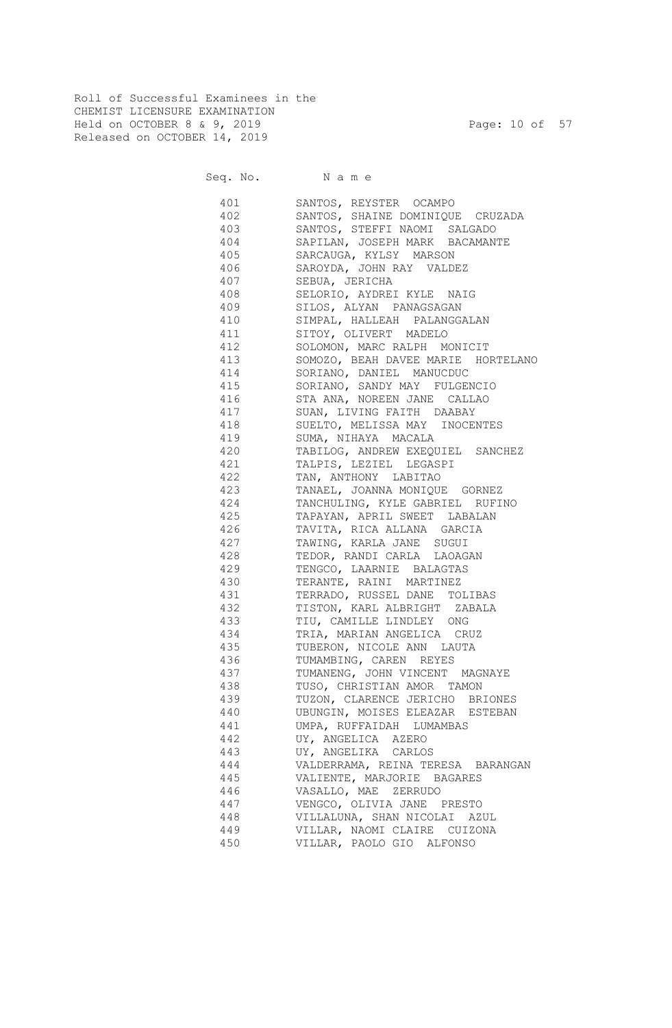Roll of Successful Examinees in the CHEMIST LICENSURE EXAMINATION Held on OCTOBER 8 & 9, 2019 Page: 10 of 57 Released on OCTOBER 14, 2019

Seq. No. Name

 401 SANTOS, REYSTER OCAMPO 402 SANTOS, SHAINE DOMINIQUE CRUZADA 403 SANTOS, STEFFI NAOMI SALGADO 404 SAPILAN, JOSEPH MARK BACAMANTE 405 SARCAUGA, KYLSY MARSON 406 SAROYDA, JOHN RAY VALDEZ 407 SEBUA, JERICHA 408 SELORIO, AYDREI KYLE NAIG 409 SILOS, ALYAN PANAGSAGAN 410 SIMPAL, HALLEAH PALANGGALAN 411 SITOY, OLIVERT MADELO 412 SOLOMON, MARC RALPH MONICIT 413 SOMOZO, BEAH DAVEE MARIE HORTELANO 414 SORIANO, DANIEL MANUCDUC 415 SORIANO, SANDY MAY FULGENCIO 416 STA ANA, NOREEN JANE CALLAO 417 SUAN, LIVING FAITH DAABAY 418 SUELTO, MELISSA MAY INOCENTES 419 SUMA, NIHAYA MACALA 420 TABILOG, ANDREW EXEQUIEL SANCHEZ 421 TALPIS, LEZIEL LEGASPI 422 TAN, ANTHONY LABITAO 423 TANAEL, JOANNA MONIQUE GORNEZ 424 TANCHULING, KYLE GABRIEL RUFINO 425 TAPAYAN, APRIL SWEET LABALAN 426 TAVITA, RICA ALLANA GARCIA 427 TAWING, KARLA JANE SUGUI 428 TEDOR, RANDI CARLA LAOAGAN 429 TENGCO, LAARNIE BALAGTAS 430 TERANTE, RAINI MARTINEZ 431 TERRADO, RUSSEL DANE TOLIBAS 432 TISTON, KARL ALBRIGHT ZABALA 433 TIU, CAMILLE LINDLEY ONG 434 TRIA, MARIAN ANGELICA CRUZ 435 TUBERON, NICOLE ANN LAUTA 436 TUMAMBING, CAREN REYES 437 TUMANENG, JOHN VINCENT MAGNAYE 438 TUSO, CHRISTIAN AMOR TAMON 439 TUZON, CLARENCE JERICHO BRIONES 440 UBUNGIN, MOISES ELEAZAR ESTEBAN 441 UMPA, RUFFAIDAH LUMAMBAS 442 UY, ANGELICA AZERO 443 UY, ANGELIKA CARLOS 444 VALDERRAMA, REINA TERESA BARANGAN 445 VALIENTE, MARJORIE BAGARES 446 VASALLO, MAE ZERRUDO 447 VENGCO, OLIVIA JANE PRESTO 448 VILLALUNA, SHAN NICOLAI AZUL 449 VILLAR, NAOMI CLAIRE CUIZONA 450 VILLAR, PAOLO GIO ALFONSO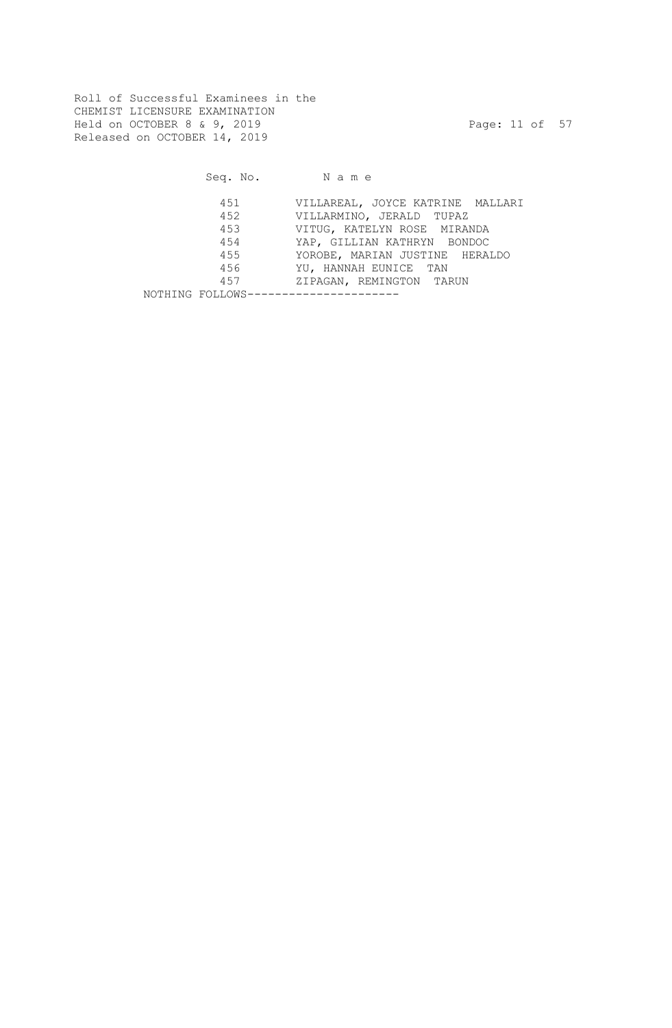Roll of Successful Examinees in the CHEMIST LICENSURE EXAMINATION Held on OCTOBER 8 & 9, 2019 Page: 11 of 57 Released on OCTOBER 14, 2019

|                                     | Seq. No. Name                    |
|-------------------------------------|----------------------------------|
| 451                                 | VILLAREAL, JOYCE KATRINE MALLARI |
| 452                                 | VILLARMINO, JERALD TUPAZ         |
| 453                                 | VITUG, KATELYN ROSE MIRANDA      |
| 454                                 | YAP, GILLIAN KATHRYN BONDOC      |
| 455                                 | YOROBE, MARIAN JUSTINE HERALDO   |
| 456                                 | YU, HANNAH EUNICE TAN            |
| 457                                 | ZIPAGAN, REMINGTON TARUN         |
| NOTHING FOLLOWS-------------------- |                                  |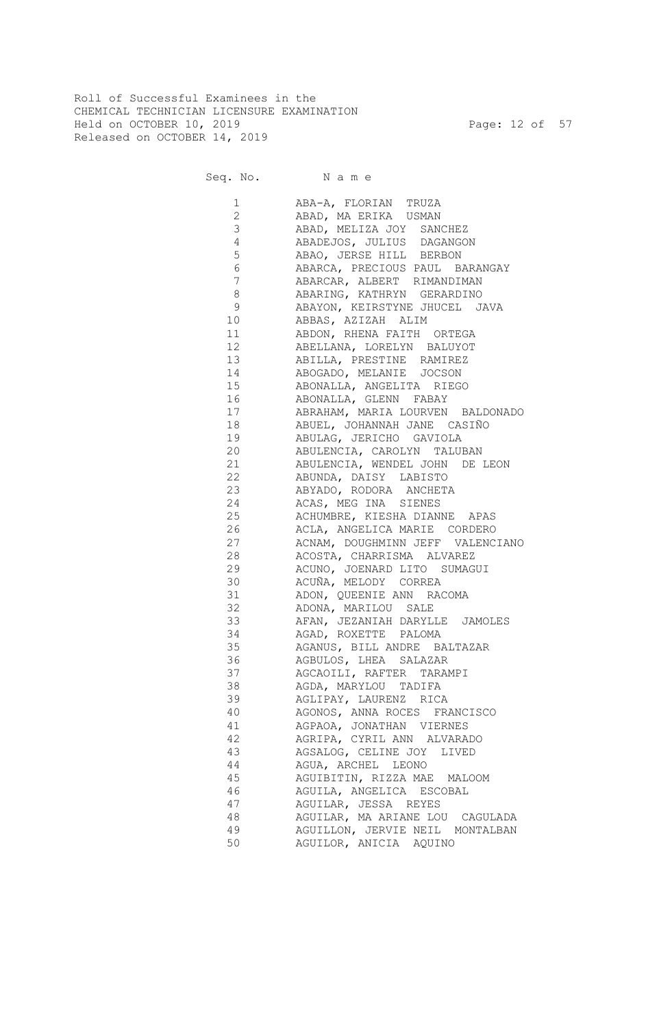Roll of Successful Examinees in the CHEMICAL TECHNICIAN LICENSURE EXAMINATION Held on OCTOBER 10, 2019 Page: 12 of 57 Released on OCTOBER 14, 2019

Seq. No. Name

 1 ABA-A, FLORIAN TRUZA 2 ABAD, MA ERIKA USMAN 3 ABAD, MELIZA JOY SANCHEZ 4 ABADEJOS, JULIUS DAGANGON 5 ABAO, JERSE HILL BERBON 6 ABARCA, PRECIOUS PAUL BARANGAY 7 ABARCAR, ALBERT RIMANDIMAN 8 ABARING, KATHRYN GERARDINO 9 ABAYON, KEIRSTYNE JHUCEL JAVA 10 ABBAS, AZIZAH ALIM 11 ABDON, RHENA FAITH ORTEGA 12 ABELLANA, LORELYN BALUYOT 13 ABILLA, PRESTINE RAMIREZ 14 ABOGADO, MELANIE JOCSON 15 ABONALLA, ANGELITA RIEGO 16 ABONALLA, GLENN FABAY 17 ABRAHAM, MARIA LOURVEN BALDONADO 18 ABUEL, JOHANNAH JANE CASIÑO 19 ABULAG, JERICHO GAVIOLA 20 ABULENCIA, CAROLYN TALUBAN 21 ABULENCIA, WENDEL JOHN DE LEON 22 ABUNDA, DAISY LABISTO 23 ABYADO, RODORA ANCHETA 24 ACAS, MEG INA SIENES 25 ACHUMBRE, KIESHA DIANNE APAS 26 ACLA, ANGELICA MARIE CORDERO 27 ACNAM, DOUGHMINN JEFF VALENCIANO 28 ACOSTA, CHARRISMA ALVAREZ 29 ACUNO, JOENARD LITO SUMAGUI 30 ACUÑA, MELODY CORREA 31 ADON, QUEENIE ANN RACOMA 32 ADONA, MARILOU SALE 33 AFAN, JEZANIAH DARYLLE JAMOLES 34 AGAD, ROXETTE PALOMA 35 AGANUS, BILL ANDRE BALTAZAR 36 AGBULOS, LHEA SALAZAR 37 AGCAOILI, RAFTER TARAMPI 38 AGDA, MARYLOU TADIFA 39 AGLIPAY, LAURENZ RICA 40 AGONOS, ANNA ROCES FRANCISCO 41 AGPAOA, JONATHAN VIERNES 42 AGRIPA, CYRIL ANN ALVARADO 43 AGSALOG, CELINE JOY LIVED 44 AGUA, ARCHEL LEONO 45 AGUIBITIN, RIZZA MAE MALOOM 46 AGUILA, ANGELICA ESCOBAL 47 AGUILAR, JESSA REYES 48 AGUILAR, MA ARIANE LOU CAGULADA 49 AGUILLON, JERVIE NEIL MONTALBAN 50 AGUILOR, ANICIA AQUINO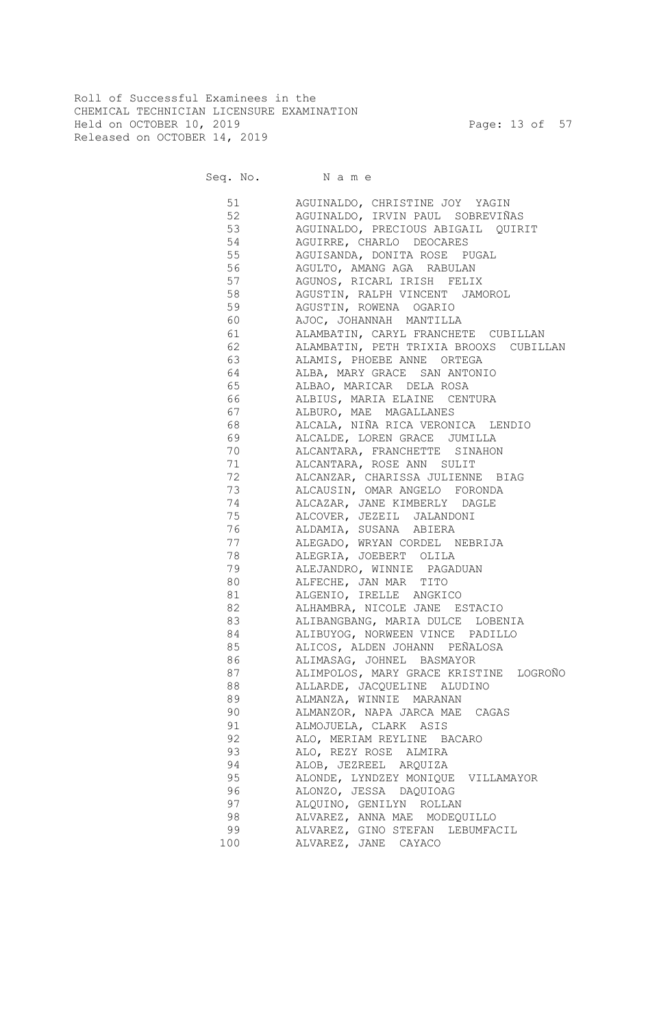Roll of Successful Examinees in the CHEMICAL TECHNICIAN LICENSURE EXAMINATION Held on OCTOBER 10, 2019 Page: 13 of 57 Released on OCTOBER 14, 2019

Seq. No. Name

 51 AGUINALDO, CHRISTINE JOY YAGIN 52 AGUINALDO, IRVIN PAUL SOBREVIÑAS 53 AGUINALDO, PRECIOUS ABIGAIL QUIRIT 54 AGUIRRE, CHARLO DEOCARES 55 AGUISANDA, DONITA ROSE PUGAL 56 AGULTO, AMANG AGA RABULAN 57 AGUNOS, RICARL IRISH FELIX 58 AGUSTIN, RALPH VINCENT JAMOROL 59 AGUSTIN, ROWENA OGARIO 60 AJOC, JOHANNAH MANTILLA 61 ALAMBATIN, CARYL FRANCHETE CUBILLAN 62 ALAMBATIN, PETH TRIXIA BROOXS CUBILLAN 63 ALAMIS, PHOEBE ANNE ORTEGA 64 ALBA, MARY GRACE SAN ANTONIO 65 ALBAO, MARICAR DELA ROSA 66 ALBIUS, MARIA ELAINE CENTURA 67 ALBURO, MAE MAGALLANES 68 ALCALA, NIÑA RICA VERONICA LENDIO 69 ALCALDE, LOREN GRACE JUMILLA 70 ALCANTARA, FRANCHETTE SINAHON 71 ALCANTARA, ROSE ANN SULIT 72 ALCANZAR, CHARISSA JULIENNE BIAG 73 ALCAUSIN, OMAR ANGELO FORONDA 74 ALCAZAR, JANE KIMBERLY DAGLE 75 ALCOVER, JEZEIL JALANDONI 76 ALDAMIA, SUSANA ABIERA 77 ALEGADO, WRYAN CORDEL NEBRIJA 78 ALEGRIA, JOEBERT OLILA 79 ALEJANDRO, WINNIE PAGADUAN 80 ALFECHE, JAN MAR TITO 81 ALGENIO, IRELLE ANGKICO 82 ALHAMBRA, NICOLE JANE ESTACIO 83 ALIBANGBANG, MARIA DULCE LOBENIA 84 ALIBUYOG, NORWEEN VINCE PADILLO 85 ALICOS, ALDEN JOHANN PEÑALOSA 86 ALIMASAG, JOHNEL BASMAYOR 87 ALIMPOLOS, MARY GRACE KRISTINE LOGROÑO 88 ALLARDE, JACQUELINE ALUDINO 89 ALMANZA, WINNIE MARANAN 90 ALMANZOR, NAPA JARCA MAE CAGAS 91 ALMOJUELA, CLARK ASIS 92 ALO, MERIAM REYLINE BACARO 93 ALO, REZY ROSE ALMIRA 94 ALOB, JEZREEL ARQUIZA 95 ALONDE, LYNDZEY MONIQUE VILLAMAYOR 96 ALONZO, JESSA DAQUIOAG 97 ALQUINO, GENILYN ROLLAN ALVAREZ, ANNA MAE MODEQUILLO 99 ALVAREZ, GINO STEFAN LEBUMFACIL 100 ALVAREZ, JANE CAYACO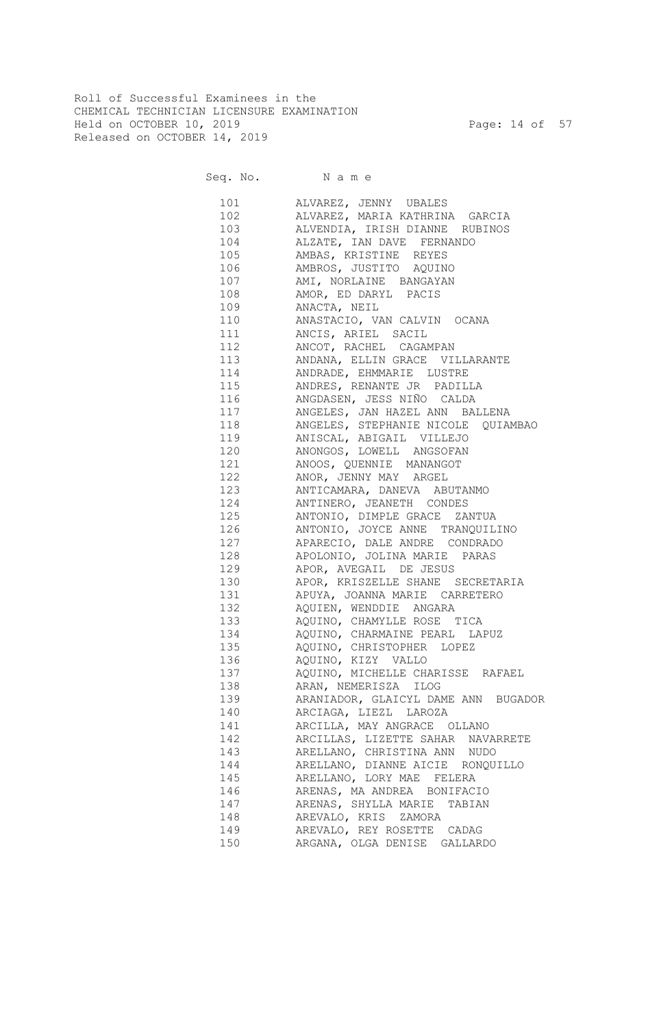Roll of Successful Examinees in the CHEMICAL TECHNICIAN LICENSURE EXAMINATION Held on OCTOBER 10, 2019 Page: 14 of 57 Released on OCTOBER 14, 2019

Seq. No. Name

 101 ALVAREZ, JENNY UBALES 102 ALVAREZ, MARIA KATHRINA GARCIA 103 ALVENDIA, IRISH DIANNE RUBINOS 104 ALZATE, IAN DAVE FERNANDO 105 AMBAS, KRISTINE REYES 106 AMBROS, JUSTITO AQUINO 107 AMI, NORLAINE BANGAYAN 108 AMOR, ED DARYL PACIS 109 ANACTA, NEIL 110 ANASTACIO, VAN CALVIN OCANA 111 ANCIS, ARIEL SACIL 112 ANCOT, RACHEL CAGAMPAN 113 ANDANA, ELLIN GRACE VILLARANTE 114 ANDRADE, EHMMARIE LUSTRE 115 ANDRES, RENANTE JR PADILLA 116 ANGDASEN, JESS NIÑO CALDA 117 ANGELES, JAN HAZEL ANN BALLENA 118 ANGELES, STEPHANIE NICOLE QUIAMBAO 119 ANISCAL, ABIGAIL VILLEJO 120 ANONGOS, LOWELL ANGSOFAN 121 ANOOS, QUENNIE MANANGOT 122 ANOR, JENNY MAY ARGEL 123 ANTICAMARA, DANEVA ABUTANMO 124 ANTINERO, JEANETH CONDES 125 ANTONIO, DIMPLE GRACE ZANTUA 126 ANTONIO, JOYCE ANNE TRANQUILINO 127 APARECIO, DALE ANDRE CONDRADO 128 APOLONIO, JOLINA MARIE PARAS 129 APOR, AVEGAIL DE JESUS 130 APOR, KRISZELLE SHANE SECRETARIA 131 APUYA, JOANNA MARIE CARRETERO 132 AQUIEN, WENDDIE ANGARA 133 AQUINO, CHAMYLLE ROSE TICA 134 AQUINO, CHARMAINE PEARL LAPUZ 135 AQUINO, CHRISTOPHER LOPEZ 136 AQUINO, KIZY VALLO 137 AQUINO, MICHELLE CHARISSE RAFAEL 138 ARAN, NEMERISZA ILOG 139 ARANIADOR, GLAICYL DAME ANN BUGADOR 140 ARCIAGA, LIEZL LAROZA 141 ARCILLA, MAY ANGRACE OLLANO 142 ARCILLAS, LIZETTE SAHAR NAVARRETE 143 ARELLANO, CHRISTINA ANN NUDO 144 ARELLANO, DIANNE AICIE RONQUILLO 145 ARELLANO, LORY MAE FELERA 146 ARENAS, MA ANDREA BONIFACIO 147 ARENAS, SHYLLA MARIE TABIAN 148 AREVALO, KRIS ZAMORA 149 AREVALO, REY ROSETTE CADAG 150 ARGANA, OLGA DENISE GALLARDO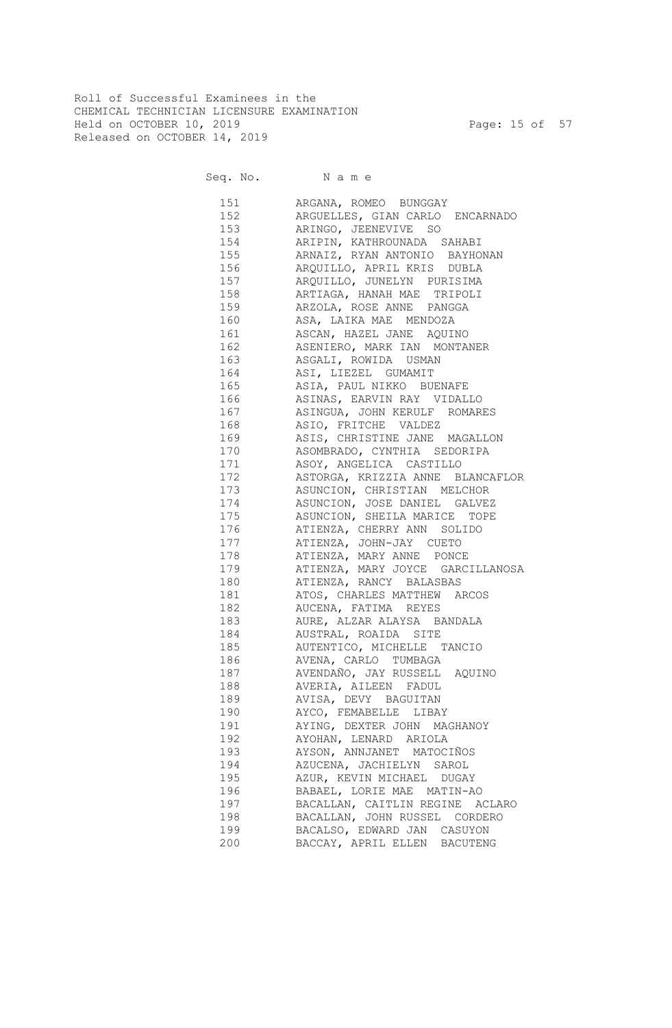Roll of Successful Examinees in the CHEMICAL TECHNICIAN LICENSURE EXAMINATION Held on OCTOBER 10, 2019 Page: 15 of 57 Released on OCTOBER 14, 2019

Seq. No. Name

 151 ARGANA, ROMEO BUNGGAY 152 ARGUELLES, GIAN CARLO ENCARNADO 153 ARINGO, JEENEVIVE SO 154 ARIPIN, KATHROUNADA SAHABI 155 ARNAIZ, RYAN ANTONIO BAYHONAN 156 ARQUILLO, APRIL KRIS DUBLA 157 ARQUILLO, JUNELYN PURISIMA 158 ARTIAGA, HANAH MAE TRIPOLI 159 ARZOLA, ROSE ANNE PANGGA 160 ASA, LAIKA MAE MENDOZA 161 ASCAN, HAZEL JANE AQUINO 162 ASENIERO, MARK IAN MONTANER 163 ASGALI, ROWIDA USMAN 164 ASI, LIEZEL GUMAMIT 165 ASIA, PAUL NIKKO BUENAFE 166 ASINAS, EARVIN RAY VIDALLO 167 ASINGUA, JOHN KERULF ROMARES 168 ASIO, FRITCHE VALDEZ 169 ASIS, CHRISTINE JANE MAGALLON 170 ASOMBRADO, CYNTHIA SEDORIPA 171 ASOY, ANGELICA CASTILLO 172 ASTORGA, KRIZZIA ANNE BLANCAFLOR 173 ASUNCION, CHRISTIAN MELCHOR 174 ASUNCION, JOSE DANIEL GALVEZ 175 ASUNCION, SHEILA MARICE TOPE 176 ATIENZA, CHERRY ANN SOLIDO 177 ATIENZA, JOHN-JAY CUETO 178 ATIENZA, MARY ANNE PONCE 179 ATIENZA, MARY JOYCE GARCILLANOSA 180 ATIENZA, RANCY BALASBAS 181 ATOS, CHARLES MATTHEW ARCOS 182 AUCENA, FATIMA REYES 183 AURE, ALZAR ALAYSA BANDALA 184 AUSTRAL, ROAIDA SITE 185 AUTENTICO, MICHELLE TANCIO 186 AVENA, CARLO TUMBAGA 187 AVENDAÑO, JAY RUSSELL AQUINO 188 AVERIA, AILEEN FADUL 189 AVISA, DEVY BAGUITAN 190 AYCO, FEMABELLE LIBAY 191 AYING, DEXTER JOHN MAGHANOY 192 AYOHAN, LENARD ARIOLA 193 AYSON, ANNJANET MATOCIÑOS 194 AZUCENA, JACHIELYN SAROL 195 AZUR, KEVIN MICHAEL DUGAY 196 BABAEL, LORIE MAE MATIN-AO 197 BACALLAN, CAITLIN REGINE ACLARO 198 BACALLAN, JOHN RUSSEL CORDERO 199 BACALSO, EDWARD JAN CASUYON 200 BACCAY, APRIL ELLEN BACUTENG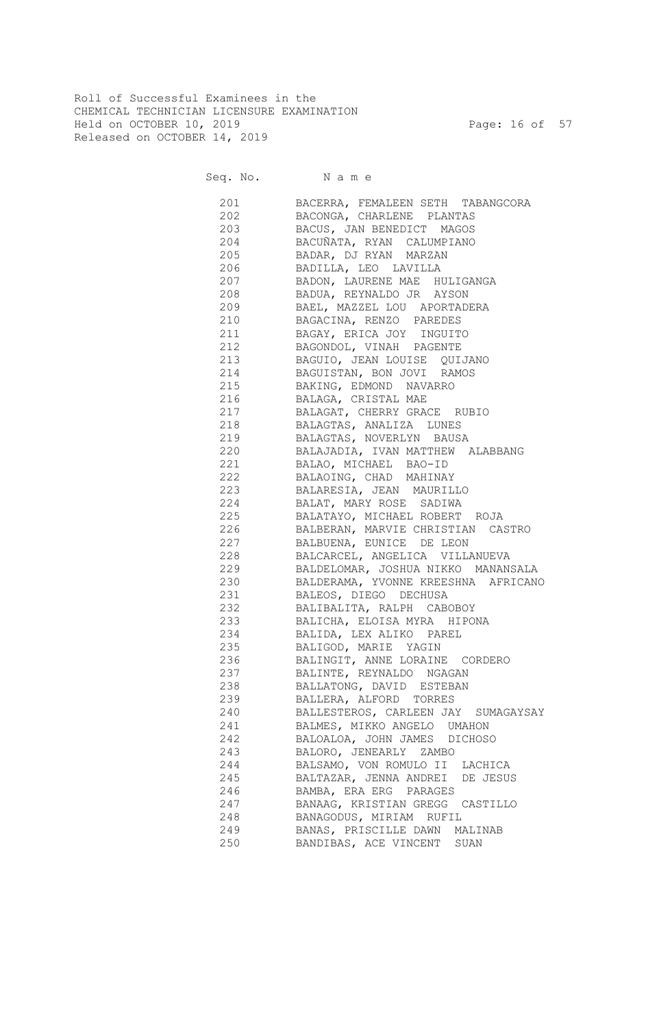Roll of Successful Examinees in the CHEMICAL TECHNICIAN LICENSURE EXAMINATION Held on OCTOBER 10, 2019 **Page: 16 of 57** Released on OCTOBER 14, 2019

Seq. No. Name

 201 BACERRA, FEMALEEN SETH TABANGCORA 202 BACONGA, CHARLENE PLANTAS 203 BACUS, JAN BENEDICT MAGOS 204 BACUÑATA, RYAN CALUMPIANO 205 BADAR, DJ RYAN MARZAN 206 BADILLA, LEO LAVILLA 207 BADON, LAURENE MAE HULIGANGA 208 BADUA, REYNALDO JR AYSON 209 BAEL, MAZZEL LOU APORTADERA 210 BAGACINA, RENZO PAREDES 211 BAGAY, ERICA JOY INGUITO 212 BAGONDOL, VINAH PAGENTE 213 BAGUIO, JEAN LOUISE QUIJANO 214 BAGUISTAN, BON JOVI RAMOS 215 BAKING, EDMOND NAVARRO 216 BALAGA, CRISTAL MAE 217 BALAGAT, CHERRY GRACE RUBIO 218 BALAGTAS, ANALIZA LUNES 219 BALAGTAS, NOVERLYN BAUSA 220 BALAJADIA, IVAN MATTHEW ALABBANG 221 BALAO, MICHAEL BAO-ID 222 BALAOING, CHAD MAHINAY 223 BALARESIA, JEAN MAURILLO 224 BALAT, MARY ROSE SADIWA 225 BALATAYO, MICHAEL ROBERT ROJA 226 BALBERAN, MARVIE CHRISTIAN CASTRO 227 BALBUENA, EUNICE DE LEON 228 BALCARCEL, ANGELICA VILLANUEVA 229 BALDELOMAR, JOSHUA NIKKO MANANSALA 230 BALDERAMA, YVONNE KREESHNA AFRICANO 231 BALEOS, DIEGO DECHUSA 232 BALIBALITA, RALPH CABOBOY 233 BALICHA, ELOISA MYRA HIPONA 234 BALIDA, LEX ALIKO PAREL 235 BALIGOD, MARIE YAGIN 236 BALINGIT, ANNE LORAINE CORDERO 237 BALINTE, REYNALDO NGAGAN 238 BALLATONG, DAVID ESTEBAN 239 BALLERA, ALFORD TORRES 240 BALLESTEROS, CARLEEN JAY SUMAGAYSAY 241 BALMES, MIKKO ANGELO UMAHON 242 BALOALOA, JOHN JAMES DICHOSO 243 BALORO, JENEARLY ZAMBO 244 BALSAMO, VON ROMULO II LACHICA 245 BALTAZAR, JENNA ANDREI DE JESUS 246 BAMBA, ERA ERG PARAGES 247 BANAAG, KRISTIAN GREGG CASTILLO 248 BANAGODUS, MIRIAM RUFIL 249 BANAS, PRISCILLE DAWN MALINAB 250 BANDIBAS, ACE VINCENT SUAN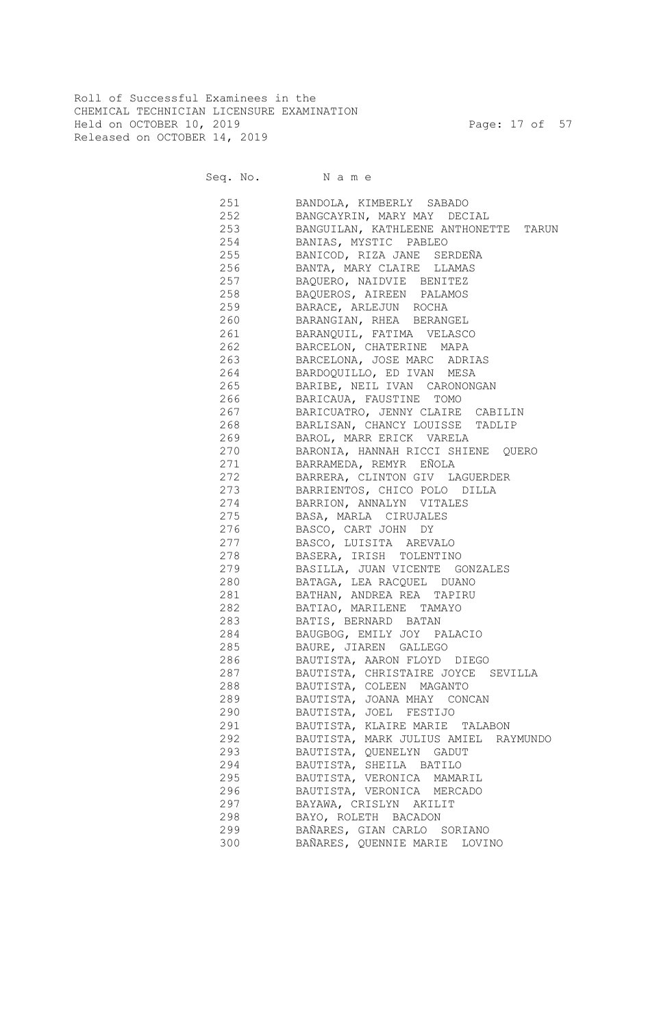Roll of Successful Examinees in the CHEMICAL TECHNICIAN LICENSURE EXAMINATION Held on OCTOBER 10, 2019 Page: 17 of 57 Released on OCTOBER 14, 2019

Seq. No. Name

| 251 | BANDOLA, KIMBERLY SABADO              |
|-----|---------------------------------------|
| 252 | BANGCAYRIN, MARY MAY DECIAL           |
| 253 | BANGUILAN, KATHLEENE ANTHONETTE TARUN |
| 254 | BANIAS, MYSTIC PABLEO                 |
| 255 | BANICOD, RIZA JANE SERDEÑA            |
| 256 | BANTA, MARY CLAIRE LLAMAS             |
| 257 | BAQUERO, NAIDVIE BENITEZ              |
| 258 | BAQUEROS, AIREEN PALAMOS              |
| 259 | BARACE, ARLEJUN ROCHA                 |
| 260 | BARANGIAN, RHEA BERANGEL              |
| 261 | BARANQUIL, FATIMA VELASCO             |
| 262 | BARCELON, CHATERINE MAPA              |
| 263 | BARCELONA, JOSE MARC ADRIAS           |
| 264 | BARDOQUILLO, ED IVAN MESA             |
| 265 | BARIBE, NEIL IVAN CARONONGAN          |
| 266 | BARICAUA, FAUSTINE TOMO               |
| 267 | BARICUATRO, JENNY CLAIRE CABILIN      |
| 268 | BARLISAN, CHANCY LOUISSE TADLIP       |
| 269 | BAROL, MARR ERICK VARELA              |
| 270 | BARONIA, HANNAH RICCI SHIENE QUERO    |
| 271 | BARRAMEDA, REMYR EÑOLA                |
| 272 | BARRERA, CLINTON GIV LAGUERDER        |
| 273 | BARRIENTOS, CHICO POLO DILLA          |
| 274 | BARRION, ANNALYN VITALES              |
| 275 | BASA, MARLA CIRUJALES                 |
| 276 | BASCO, CART JOHN DY                   |
| 277 | BASCO, LUISITA AREVALO                |
| 278 | BASERA, IRISH TOLENTINO               |
|     | BASILLA, JUAN VICENTE GONZALES        |
| 279 |                                       |
| 280 | BATAGA, LEA RACQUEL DUANO             |
| 281 | BATHAN, ANDREA REA TAPIRU             |
| 282 | BATIAO, MARILENE TAMAYO               |
| 283 | BATIS, BERNARD BATAN                  |
| 284 | BAUGBOG, EMILY JOY PALACIO            |
| 285 | BAURE, JIAREN GALLEGO                 |
| 286 | BAUTISTA, AARON FLOYD DIEGO           |
| 287 | BAUTISTA, CHRISTAIRE JOYCE SEVILLA    |
| 288 | BAUTISTA, COLEEN MAGANTO              |
| 289 | BAUTISTA, JOANA MHAY CONCAN           |
| 290 | BAUTISTA, JOEL FESTIJO                |
| 291 | BAUTISTA, KLAIRE MARIE TALABON        |
| 292 | BAUTISTA, MARK JULIUS AMIEL RAYMUNDO  |
| 293 | BAUTISTA, QUENELYN GADUT              |
| 294 | BAUTISTA, SHEILA BATILO               |
| 295 | BAUTISTA, VERONICA MAMARIL            |
| 296 | BAUTISTA, VERONICA MERCADO            |
| 297 | BAYAWA, CRISLYN AKILIT                |
| 298 | BAYO, ROLETH BACADON                  |
| 299 | BAÑARES, GIAN CARLO SORIANO           |
| 300 | BAÑARES, QUENNIE MARIE LOVINO         |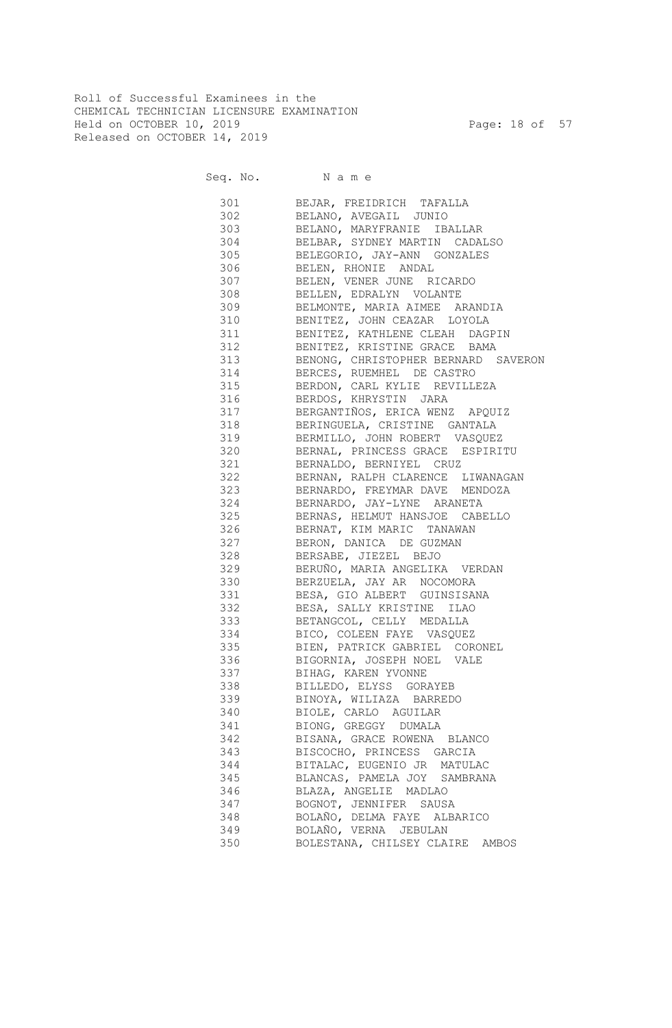Roll of Successful Examinees in the CHEMICAL TECHNICIAN LICENSURE EXAMINATION Held on OCTOBER 10, 2019 Page: 18 of 57 Released on OCTOBER 14, 2019

Seq. No. Name

 301 BEJAR, FREIDRICH TAFALLA 302 BELANO, AVEGAIL JUNIO 303 BELANO, MARYFRANIE IBALLAR 304 BELBAR, SYDNEY MARTIN CADALSO 305 BELEGORIO, JAY-ANN GONZALES 306 BELEN, RHONIE ANDAL 307 BELEN, VENER JUNE RICARDO 308 BELLEN, EDRALYN VOLANTE 309 BELMONTE, MARIA AIMEE ARANDIA 310 BENITEZ, JOHN CEAZAR LOYOLA 311 BENITEZ, KATHLENE CLEAH DAGPIN 312 BENITEZ, KRISTINE GRACE BAMA 313 BENONG, CHRISTOPHER BERNARD SAVERON 314 BERCES, RUEMHEL DE CASTRO 315 BERDON, CARL KYLIE REVILLEZA 316 BERDOS, KHRYSTIN JARA 317 BERGANTIÑOS, ERICA WENZ APQUIZ 318 BERINGUELA, CRISTINE GANTALA 319 BERMILLO, JOHN ROBERT VASQUEZ 320 BERNAL, PRINCESS GRACE ESPIRITU 321 BERNALDO, BERNIYEL CRUZ 322 BERNAN, RALPH CLARENCE LIWANAGAN 323 BERNARDO, FREYMAR DAVE MENDOZA 324 BERNARDO, JAY-LYNE ARANETA 325 BERNAS, HELMUT HANSJOE CABELLO 326 BERNAT, KIM MARIC TANAWAN 327 BERON, DANICA DE GUZMAN 328 BERSABE, JIEZEL BEJO 329 BERUÑO, MARIA ANGELIKA VERDAN 330 BERZUELA, JAY AR NOCOMORA 331 BESA, GIO ALBERT GUINSISANA 332 BESA, SALLY KRISTINE ILAO 333 BETANGCOL, CELLY MEDALLA 334 BICO, COLEEN FAYE VASQUEZ 335 BIEN, PATRICK GABRIEL CORONEL 336 BIGORNIA, JOSEPH NOEL VALE 337 BIHAG, KAREN YVONNE 338 BILLEDO, ELYSS GORAYEB 339 BINOYA, WILIAZA BARREDO 340 BIOLE, CARLO AGUILAR 341 BIONG, GREGGY DUMALA 342 BISANA, GRACE ROWENA BLANCO 343 BISCOCHO, PRINCESS GARCIA 344 BITALAC, EUGENIO JR MATULAC 345 BLANCAS, PAMELA JOY SAMBRANA 346 BLAZA, ANGELIE MADLAO 347 BOGNOT, JENNIFER SAUSA 348 BOLAÑO, DELMA FAYE ALBARICO 349 BOLAÑO, VERNA JEBULAN 350 BOLESTANA, CHILSEY CLAIRE AMBOS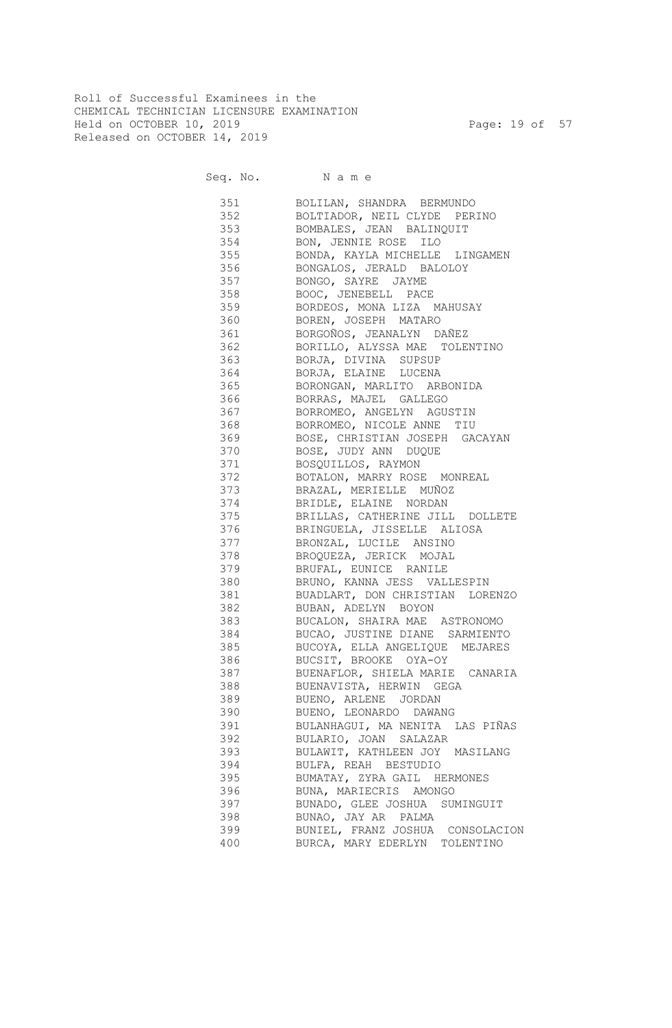Roll of Successful Examinees in the CHEMICAL TECHNICIAN LICENSURE EXAMINATION Held on OCTOBER 10, 2019 Page: 19 of 57 Released on OCTOBER 14, 2019

Seq. No. Name

 351 BOLILAN, SHANDRA BERMUNDO 352 BOLTIADOR, NEIL CLYDE PERINO 353 BOMBALES, JEAN BALINQUIT 354 BON, JENNIE ROSE ILO 355 BONDA, KAYLA MICHELLE LINGAMEN 356 BONGALOS, JERALD BALOLOY 357 BONGO, SAYRE JAYME 358 BOOC, JENEBELL PACE 359 BORDEOS, MONA LIZA MAHUSAY 360 BOREN, JOSEPH MATARO 361 BORGOÑOS, JEANALYN DAÑEZ 362 BORILLO, ALYSSA MAE TOLENTINO 363 BORJA, DIVINA SUPSUP 364 BORJA, ELAINE LUCENA 365 BORONGAN, MARLITO ARBONIDA 366 BORRAS, MAJEL GALLEGO 367 BORROMEO, ANGELYN AGUSTIN 368 BORROMEO, NICOLE ANNE TIU 369 BOSE, CHRISTIAN JOSEPH GACAYAN 370 BOSE, JUDY ANN DUQUE 371 BOSQUILLOS, RAYMON 372 BOTALON, MARRY ROSE MONREAL 373 BRAZAL, MERIELLE MUÑOZ 374 BRIDLE, ELAINE NORDAN 375 BRILLAS, CATHERINE JILL DOLLETE 376 BRINGUELA, JISSELLE ALIOSA 377 BRONZAL, LUCILE ANSINO 378 BROQUEZA, JERICK MOJAL 379 BRUFAL, EUNICE RANILE 380 BRUNO, KANNA JESS VALLESPIN 381 BUADLART, DON CHRISTIAN LORENZO 382 BUBAN, ADELYN BOYON 383 BUCALON, SHAIRA MAE ASTRONOMO 384 BUCAO, JUSTINE DIANE SARMIENTO 385 BUCOYA, ELLA ANGELIQUE MEJARES 386 BUCSIT, BROOKE OYA-OY 387 BUENAFLOR, SHIELA MARIE CANARIA 388 BUENAVISTA, HERWIN GEGA 389 BUENO, ARLENE JORDAN 390 BUENO, LEONARDO DAWANG 391 BULANHAGUI, MA NENITA LAS PIÑAS 392 BULARIO, JOAN SALAZAR 393 BULAWIT, KATHLEEN JOY MASILANG 394 BULFA, REAH BESTUDIO 395 BUMATAY, ZYRA GAIL HERMONES 396 BUNA, MARIECRIS AMONGO 397 BUNADO, GLEE JOSHUA SUMINGUIT 398 BUNAO, JAY AR PALMA 399 BUNIEL, FRANZ JOSHUA CONSOLACION 400 BURCA, MARY EDERLYN TOLENTINO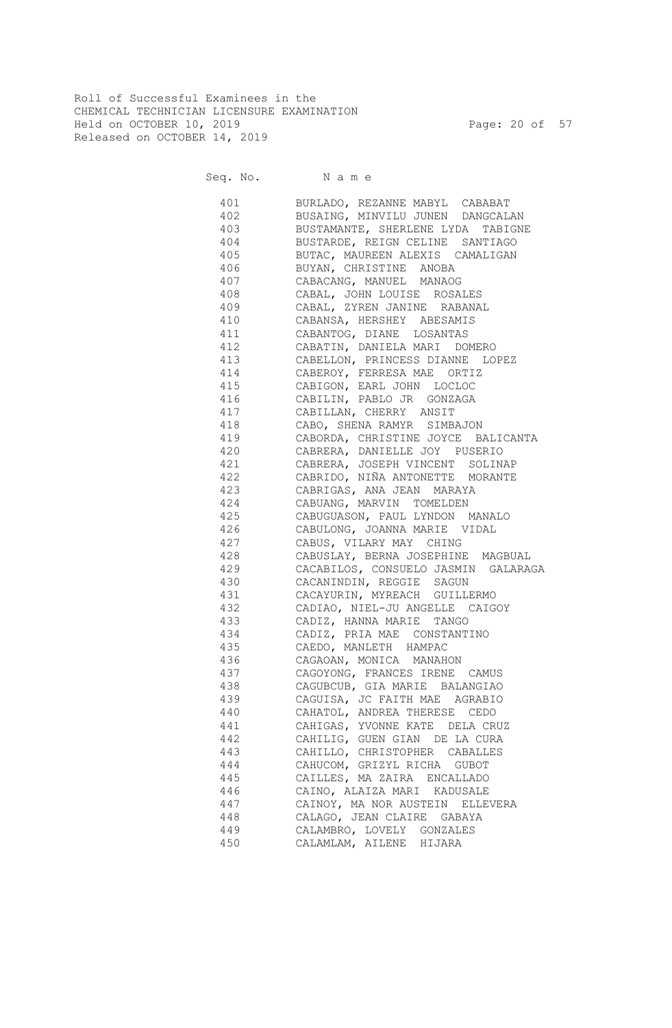Roll of Successful Examinees in the CHEMICAL TECHNICIAN LICENSURE EXAMINATION Held on OCTOBER 10, 2019 Page: 20 of 57 Released on OCTOBER 14, 2019

Seq. No. Name

 401 BURLADO, REZANNE MABYL CABABAT 402 BUSAING, MINVILU JUNEN DANGCALAN 403 BUSTAMANTE, SHERLENE LYDA TABIGNE 404 BUSTARDE, REIGN CELINE SANTIAGO 405 BUTAC, MAUREEN ALEXIS CAMALIGAN 406 BUYAN, CHRISTINE ANOBA 407 CABACANG, MANUEL MANAOG 408 CABAL, JOHN LOUISE ROSALES 409 CABAL, ZYREN JANINE RABANAL 410 CABANSA, HERSHEY ABESAMIS 411 CABANTOG, DIANE LOSANTAS 412 CABATIN, DANIELA MARI DOMERO 413 CABELLON, PRINCESS DIANNE LOPEZ 414 CABEROY, FERRESA MAE ORTIZ 415 CABIGON, EARL JOHN LOCLOC 416 CABILIN, PABLO JR GONZAGA 417 CABILLAN, CHERRY ANSIT 418 CABO, SHENA RAMYR SIMBAJON 419 CABORDA, CHRISTINE JOYCE BALICANTA 420 CABRERA, DANIELLE JOY PUSERIO 421 CABRERA, JOSEPH VINCENT SOLINAP 422 CABRIDO, NIÑA ANTONETTE MORANTE 423 CABRIGAS, ANA JEAN MARAYA 424 CABUANG, MARVIN TOMELDEN 425 CABUGUASON, PAUL LYNDON MANALO 426 CABULONG, JOANNA MARIE VIDAL 427 CABUS, VILARY MAY CHING 428 CABUSLAY, BERNA JOSEPHINE MAGBUAL 429 CACABILOS, CONSUELO JASMIN GALARAGA 430 CACANINDIN, REGGIE SAGUN 431 CACAYURIN, MYREACH GUILLERMO 432 CADIAO, NIEL-JU ANGELLE CAIGOY 433 CADIZ, HANNA MARIE TANGO 434 CADIZ, PRIA MAE CONSTANTINO 435 CAEDO, MANLETH HAMPAC 436 CAGAOAN, MONICA MANAHON 437 CAGOYONG, FRANCES IRENE CAMUS 438 CAGUBCUB, GIA MARIE BALANGIAO 439 CAGUISA, JC FAITH MAE AGRABIO 440 CAHATOL, ANDREA THERESE CEDO 441 CAHIGAS, YVONNE KATE DELA CRUZ 442 CAHILIG, GUEN GIAN DE LA CURA 443 CAHILLO, CHRISTOPHER CABALLES 444 CAHUCOM, GRIZYL RICHA GUBOT 445 CAILLES, MA ZAIRA ENCALLADO 446 CAINO, ALAIZA MARI KADUSALE 447 CAINOY, MA NOR AUSTEIN ELLEVERA 448 CALAGO, JEAN CLAIRE GABAYA 449 CALAMBRO, LOVELY GONZALES 450 CALAMLAM, AILENE HIJARA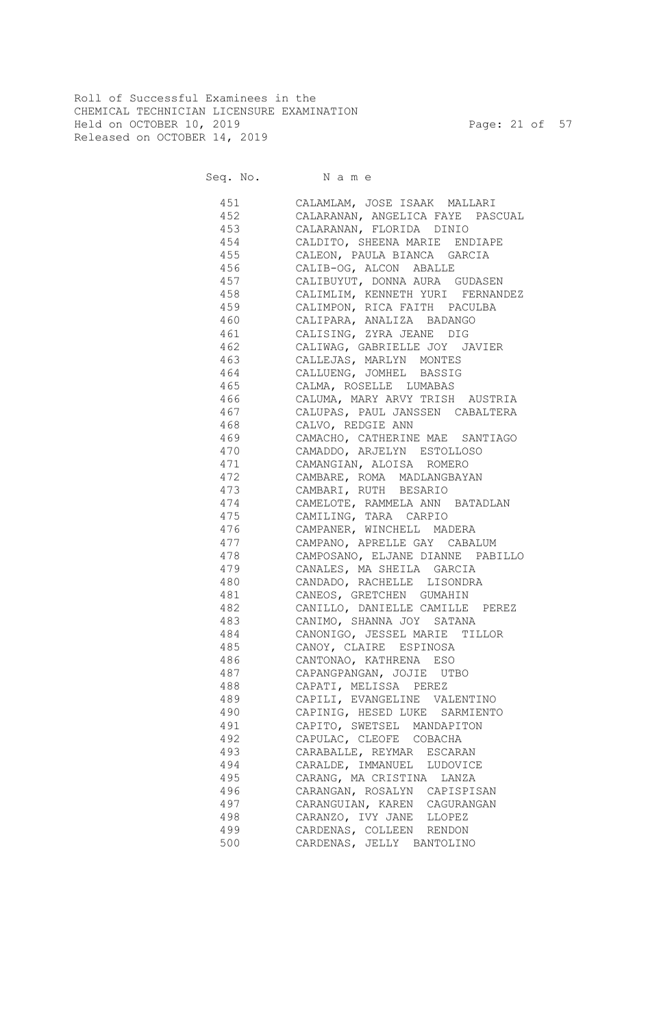Roll of Successful Examinees in the CHEMICAL TECHNICIAN LICENSURE EXAMINATION Held on OCTOBER 10, 2019 Page: 21 of 57 Released on OCTOBER 14, 2019

Seq. No. Name

 451 CALAMLAM, JOSE ISAAK MALLARI 452 CALARANAN, ANGELICA FAYE PASCUAL 453 CALARANAN, FLORIDA DINIO 454 CALDITO, SHEENA MARIE ENDIAPE 455 CALEON, PAULA BIANCA GARCIA 456 CALIB-OG, ALCON ABALLE 457 CALIBUYUT, DONNA AURA GUDASEN 458 CALIMLIM, KENNETH YURI FERNANDEZ 459 CALIMPON, RICA FAITH PACULBA 460 CALIPARA, ANALIZA BADANGO 461 CALISING, ZYRA JEANE DIG 462 CALIWAG, GABRIELLE JOY JAVIER 463 CALLEJAS, MARLYN MONTES 464 CALLUENG, JOMHEL BASSIG 465 CALMA, ROSELLE LUMABAS 466 CALUMA, MARY ARVY TRISH AUSTRIA 467 CALUPAS, PAUL JANSSEN CABALTERA 468 CALVO, REDGIE ANN 469 CAMACHO, CATHERINE MAE SANTIAGO 470 CAMADDO, ARJELYN ESTOLLOSO 471 CAMANGIAN, ALOISA ROMERO 472 CAMBARE, ROMA MADLANGBAYAN 473 CAMBARI, RUTH BESARIO 474 CAMELOTE, RAMMELA ANN BATADLAN 475 CAMILING, TARA CARPIO 476 CAMPANER, WINCHELL MADERA 477 CAMPANO, APRELLE GAY CABALUM 478 CAMPOSANO, ELJANE DIANNE PABILLO 479 CANALES, MA SHEILA GARCIA 480 CANDADO, RACHELLE LISONDRA 481 CANEOS, GRETCHEN GUMAHIN 482 CANILLO, DANIELLE CAMILLE PEREZ 483 CANIMO, SHANNA JOY SATANA 484 CANONIGO, JESSEL MARIE TILLOR 485 CANOY, CLAIRE ESPINOSA 486 CANTONAO, KATHRENA ESO 487 CAPANGPANGAN, JOJIE UTBO 488 CAPATI, MELISSA PEREZ 489 CAPILI, EVANGELINE VALENTINO 490 CAPINIG, HESED LUKE SARMIENTO 491 CAPITO, SWETSEL MANDAPITON 492 CAPULAC, CLEOFE COBACHA 493 CARABALLE, REYMAR ESCARAN 494 CARALDE, IMMANUEL LUDOVICE 495 CARANG, MA CRISTINA LANZA 496 CARANGAN, ROSALYN CAPISPISAN 497 CARANGUIAN, KAREN CAGURANGAN 498 CARANZO, IVY JANE LLOPEZ 499 CARDENAS, COLLEEN RENDON 500 CARDENAS, JELLY BANTOLINO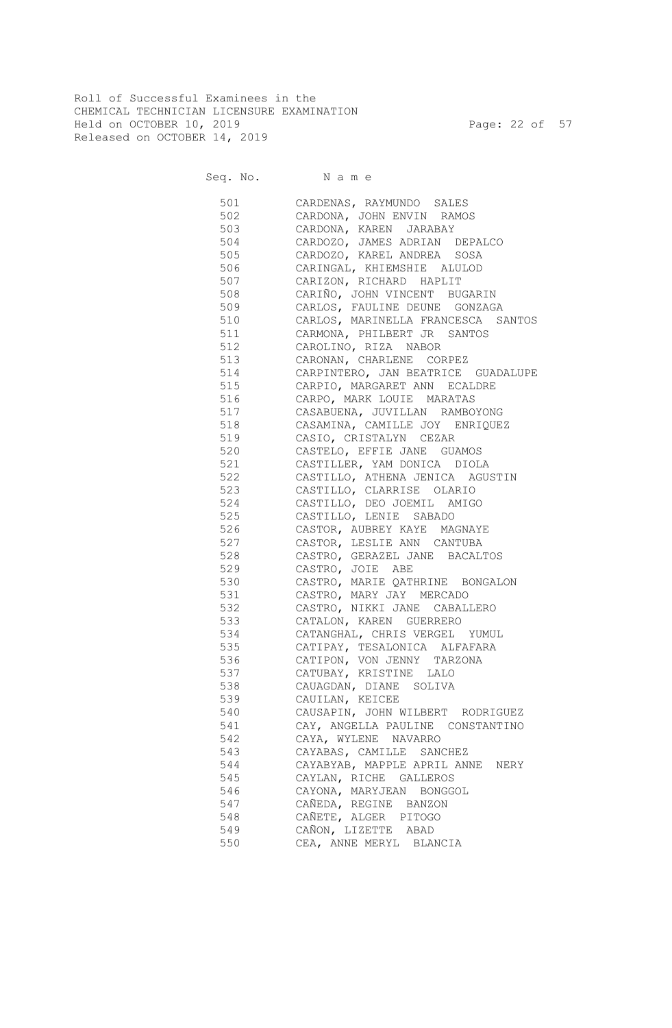Roll of Successful Examinees in the CHEMICAL TECHNICIAN LICENSURE EXAMINATION Held on OCTOBER 10, 2019 Page: 22 of 57 Released on OCTOBER 14, 2019

Seq. No. Name

| 501 | CARDENAS, RAYMUNDO SALES            |
|-----|-------------------------------------|
| 502 | CARDONA, JOHN ENVIN RAMOS           |
| 503 | CARDONA, KAREN JARABAY              |
| 504 | CARDOZO, JAMES ADRIAN DEPALCO       |
| 505 | CARDOZO, KAREL ANDREA SOSA          |
| 506 | CARINGAL, KHIEMSHIE ALULOD          |
| 507 | CARIZON, RICHARD HAPLIT             |
| 508 | CARIÑO, JOHN VINCENT BUGARIN        |
| 509 | CARLOS, FAULINE DEUNE GONZAGA       |
| 510 | CARLOS, MARINELLA FRANCESCA SANTOS  |
| 511 | CARMONA, PHILBERT JR SANTOS         |
| 512 | CAROLINO, RIZA NABOR                |
| 513 | CARONAN, CHARLENE CORPEZ            |
| 514 | CARPINTERO, JAN BEATRICE GUADALUPE  |
| 515 | CARPIO, MARGARET ANN ECALDRE        |
| 516 | CARPO, MARK LOUIE MARATAS           |
| 517 | CASABUENA, JUVILLAN RAMBOYONG       |
| 518 | CASAMINA, CAMILLE JOY ENRIQUEZ      |
| 519 | CASIO, CRISTALYN CEZAR              |
| 520 | CASTELO, EFFIE JANE GUAMOS          |
| 521 | CASTILLER, YAM DONICA DIOLA         |
| 522 | CASTILLO, ATHENA JENICA AGUSTIN     |
| 523 | CASTILLO, CLARRISE OLARIO           |
| 524 | CASTILLO, DEO JOEMIL AMIGO          |
| 525 | CASTILLO, LENIE SABADO              |
| 526 | CASTOR, AUBREY KAYE MAGNAYE         |
| 527 | CASTOR, LESLIE ANN CANTUBA          |
| 528 | CASTRO, GERAZEL JANE BACALTOS       |
| 529 | CASTRO, JOIE ABE                    |
| 530 | CASTRO, MARIE QATHRINE BONGALON     |
| 531 | CASTRO, MARY JAY MERCADO            |
| 532 | CASTRO, NIKKI JANE CABALLERO        |
| 533 | CATALON, KAREN GUERRERO             |
| 534 | CATANGHAL, CHRIS VERGEL YUMUL       |
| 535 | CATIPAY, TESALONICA ALFAFARA        |
| 536 | CATIPON, VON JENNY TARZONA          |
| 537 | CATUBAY, KRISTINE LALO              |
|     |                                     |
| 538 | CAUAGDAN, DIANE SOLIVA              |
| 539 | CAUILAN, KEICEE                     |
| 540 | CAUSAPIN, JOHN WILBERT RODRIGUEZ    |
| 541 | CAY, ANGELLA PAULINE CONSTANTINO    |
| 542 | CAYA, WYLENE NAVARRO                |
| 543 | CAYABAS, CAMILLE SANCHEZ            |
| 544 | CAYABYAB, MAPPLE APRIL ANNE<br>NERY |
| 545 | CAYLAN, RICHE GALLEROS              |
| 546 | CAYONA, MARYJEAN BONGGOL            |
| 547 | CAÑEDA, REGINE BANZON               |
| 548 | CAÑETE, ALGER PITOGO                |
| 549 | CAÑON, LIZETTE ABAD                 |
| 550 | CEA, ANNE MERYL BLANCIA             |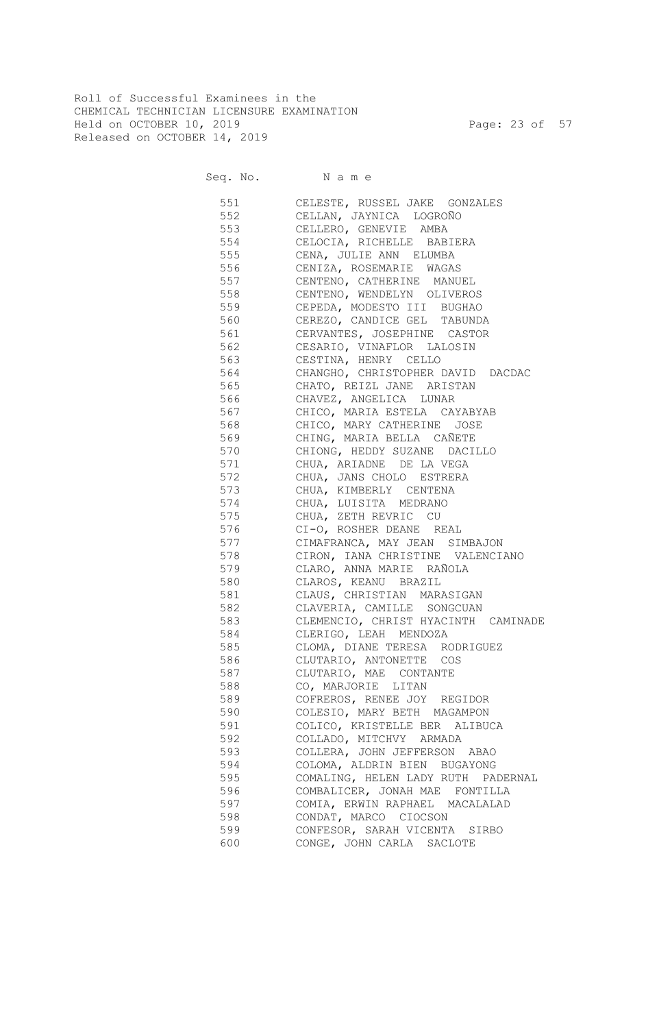Roll of Successful Examinees in the CHEMICAL TECHNICIAN LICENSURE EXAMINATION Held on OCTOBER 10, 2019 Page: 23 of 57 Released on OCTOBER 14, 2019

Seq. No. Name

 551 CELESTE, RUSSEL JAKE GONZALES 552 CELLAN, JAYNICA LOGROÑO 553 CELLERO, GENEVIE AMBA 554 CELOCIA, RICHELLE BABIERA 555 CENA, JULIE ANN ELUMBA 556 CENIZA, ROSEMARIE WAGAS 557 CENTENO, CATHERINE MANUEL 558 CENTENO, WENDELYN OLIVEROS 559 CEPEDA, MODESTO III BUGHAO 560 CEREZO, CANDICE GEL TABUNDA 561 CERVANTES, JOSEPHINE CASTOR 562 CESARIO, VINAFLOR LALOSIN 563 CESTINA, HENRY CELLO 564 CHANGHO, CHRISTOPHER DAVID DACDAC 565 CHATO, REIZL JANE ARISTAN 566 CHAVEZ, ANGELICA LUNAR 567 CHICO, MARIA ESTELA CAYABYAB 568 CHICO, MARY CATHERINE JOSE 569 CHING, MARIA BELLA CAÑETE 570 CHIONG, HEDDY SUZANE DACILLO 571 CHUA, ARIADNE DE LA VEGA 572 CHUA, JANS CHOLO ESTRERA 573 CHUA, KIMBERLY CENTENA 574 CHUA, LUISITA MEDRANO 575 CHUA, ZETH REVRIC CU 576 CI-O, ROSHER DEANE REAL 577 CIMAFRANCA, MAY JEAN SIMBAJON 578 CIRON, IANA CHRISTINE VALENCIANO 579 CLARO, ANNA MARIE RAÑOLA 580 CLAROS, KEANU BRAZIL 581 CLAUS, CHRISTIAN MARASIGAN 582 CLAVERIA, CAMILLE SONGCUAN 583 CLEMENCIO, CHRIST HYACINTH CAMINADE 584 CLERIGO, LEAH MENDOZA 585 CLOMA, DIANE TERESA RODRIGUEZ 586 CLUTARIO, ANTONETTE COS 587 CLUTARIO, MAE CONTANTE 588 CO, MARJORIE LITAN 589 COFREROS, RENEE JOY REGIDOR 590 COLESIO, MARY BETH MAGAMPON 591 COLICO, KRISTELLE BER ALIBUCA 592 COLLADO, MITCHVY ARMADA 593 COLLERA, JOHN JEFFERSON ABAO 594 COLOMA, ALDRIN BIEN BUGAYONG 595 COMALING, HELEN LADY RUTH PADERNAL 596 COMBALICER, JONAH MAE FONTILLA 597 COMIA, ERWIN RAPHAEL MACALALAD<br>598 CONDAT. MARCO CIOCSON CONDAT, MARCO CIOCSON 599 CONFESOR, SARAH VICENTA SIRBO 600 CONGE, JOHN CARLA SACLOTE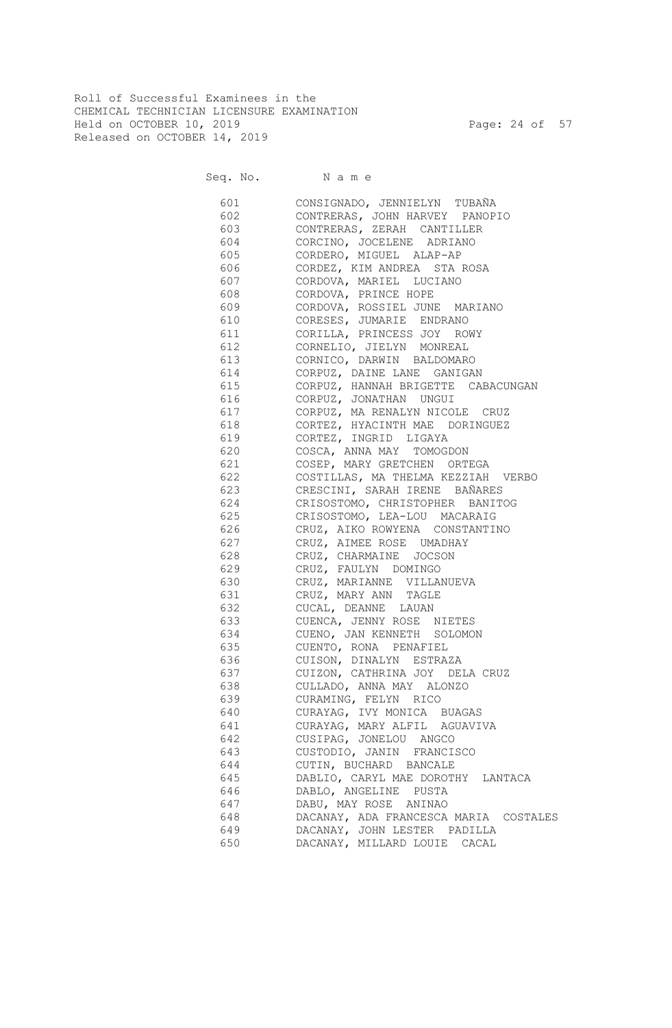Roll of Successful Examinees in the CHEMICAL TECHNICIAN LICENSURE EXAMINATION Held on OCTOBER 10, 2019 Page: 24 of 57 Released on OCTOBER 14, 2019

Seq. No. Name

| 601 | CONSIGNADO, JENNIELYN TUBAÑA          |
|-----|---------------------------------------|
|     | 602 CONTRERAS, JOHN HARVEY PANOPIO    |
|     | 603 CONTRERAS, ZERAH CANTILLER        |
|     | 604 CORCINO, JOCELENE ADRIANO         |
|     | 605 CORDERO, MIGUEL ALAP-AP           |
|     | 606 CORDEZ, KIM ANDREA STA ROSA       |
|     | 607 CORDOVA, MARIEL LUCIANO           |
| 608 | CORDOVA, PRINCE HOPE                  |
|     | 609 CORDOVA, ROSSIEL JUNE MARIANO     |
|     | 610 CORESES, JUMARIE ENDRANO          |
| 611 | CORILLA, PRINCESS JOY ROWY            |
| 612 | CORNELIO, JIELYN MONREAL              |
| 613 | CORNICO, DARWIN BALDOMARO             |
| 614 | CORPUZ, DAINE LANE GANIGAN            |
| 615 | CORPUZ, HANNAH BRIGETTE CABACUNGAN    |
| 616 | CORPUZ, JONATHAN UNGUI                |
| 617 | CORPUZ, MA RENALYN NICOLE CRUZ        |
| 618 | CORTEZ, HYACINTH MAE DORINGUEZ        |
| 619 | CORTEZ, INGRID LIGAYA                 |
| 620 | COSCA, ANNA MAY TOMOGDON              |
| 621 | COSEP, MARY GRETCHEN ORTEGA           |
| 622 | COSTILLAS, MA THELMA KEZZIAH VERBO    |
| 623 | CRESCINI, SARAH IRENE BAÑARES         |
| 624 | CRISOSTOMO, CHRISTOPHER BANITOG       |
| 625 | CRISOSTOMO, LEA-LOU MACARAIG          |
| 626 | CRUZ, AIKO ROWYENA CONSTANTINO        |
| 627 | CRUZ, AIMEE ROSE UMADHAY              |
| 628 | CRUZ, CHARMAINE JOCSON                |
| 629 | CRUZ, FAULYN DOMINGO                  |
| 630 | CRUZ, MARIANNE VILLANUEVA             |
| 631 | CRUZ, MARY ANN TAGLE                  |
| 632 | CUCAL, DEANNE LAUAN                   |
| 633 | CUENCA, JENNY ROSE NIETES             |
| 634 | CUENO, JAN KENNETH SOLOMON            |
| 635 | CUENTO, RONA PENAFIEL                 |
| 636 | CUISON, DINALYN ESTRAZA               |
| 637 | CUIZON, CATHRINA JOY DELA CRUZ        |
| 638 | CULLADO, ANNA MAY ALONZO              |
| 639 | CURAMING, FELYN RICO                  |
| 640 | CURAYAG, IVY MONICA BUAGAS            |
| 641 | CURAYAG, MARY ALFIL AGUAVIVA          |
| 642 | CUSIPAG, JONELOU ANGCO                |
| 643 | CUSTODIO, JANIN FRANCISCO             |
| 644 | CUTIN, BUCHARD BANCALE                |
| 645 | DABLIO, CARYL MAE DOROTHY LANTACA     |
| 646 | DABLO, ANGELINE PUSTA                 |
| 647 | DABU, MAY ROSE ANINAO                 |
| 648 | DACANAY, ADA FRANCESCA MARIA COSTALES |
| 649 | DACANAY, JOHN LESTER PADILLA          |
| 650 | DACANAY, MILLARD LOUIE CACAL          |
|     |                                       |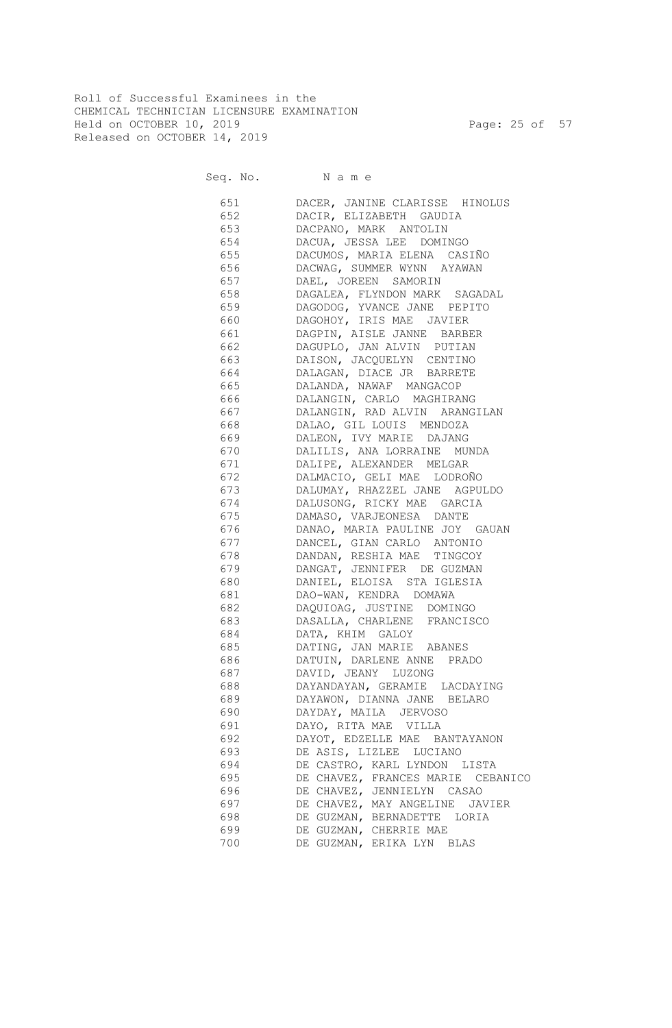Roll of Successful Examinees in the CHEMICAL TECHNICIAN LICENSURE EXAMINATION Held on OCTOBER 10, 2019 Page: 25 of 57 Released on OCTOBER 14, 2019

Seq. No. Name

 651 DACER, JANINE CLARISSE HINOLUS 652 DACIR, ELIZABETH GAUDIA 653 DACPANO, MARK ANTOLIN 654 DACUA, JESSA LEE DOMINGO 655 DACUMOS, MARIA ELENA CASIÑO 656 DACWAG, SUMMER WYNN AYAWAN 657 DAEL, JOREEN SAMORIN 658 DAGALEA, FLYNDON MARK SAGADAL 659 DAGODOG, YVANCE JANE PEPITO 660 DAGOHOY, IRIS MAE JAVIER 661 DAGPIN, AISLE JANNE BARBER 662 DAGUPLO, JAN ALVIN PUTIAN 663 DAISON, JACQUELYN CENTINO 664 DALAGAN, DIACE JR BARRETE 665 DALANDA, NAWAF MANGACOP 666 DALANGIN, CARLO MAGHIRANG 667 DALANGIN, RAD ALVIN ARANGILAN 668 DALAO, GIL LOUIS MENDOZA 669 DALEON, IVY MARIE DAJANG 670 DALILIS, ANA LORRAINE MUNDA 671 DALIPE, ALEXANDER MELGAR 672 DALMACIO, GELI MAE LODROÑO 673 DALUMAY, RHAZZEL JANE AGPULDO 674 DALUSONG, RICKY MAE GARCIA 675 DAMASO, VARJEONESA DANTE 676 DANAO, MARIA PAULINE JOY GAUAN 677 DANCEL, GIAN CARLO ANTONIO 678 DANDAN, RESHIA MAE TINGCOY 679 DANGAT, JENNIFER DE GUZMAN 680 DANIEL, ELOISA STA IGLESIA 681 DAO-WAN, KENDRA DOMAWA 682 DAQUIOAG, JUSTINE DOMINGO 683 DASALLA, CHARLENE FRANCISCO 684 DATA, KHIM GALOY 685 DATING, JAN MARIE ABANES 686 DATUIN, DARLENE ANNE PRADO 687 DAVID, JEANY LUZONG 688 DAYANDAYAN, GERAMIE LACDAYING 689 DAYAWON, DIANNA JANE BELARO 690 DAYDAY, MAILA JERVOSO 691 DAYO, RITA MAE VILLA 692 DAYOT, EDZELLE MAE BANTAYANON 693 DE ASIS, LIZLEE LUCIANO 694 DE CASTRO, KARL LYNDON LISTA 695 DE CHAVEZ, FRANCES MARIE CEBANICO 696 DE CHAVEZ, JENNIELYN CASAO 697 DE CHAVEZ, MAY ANGELINE JAVIER 698 DE GUZMAN, BERNADETTE LORIA 699 DE GUZMAN, CHERRIE MAE 700 DE GUZMAN, ERIKA LYN BLAS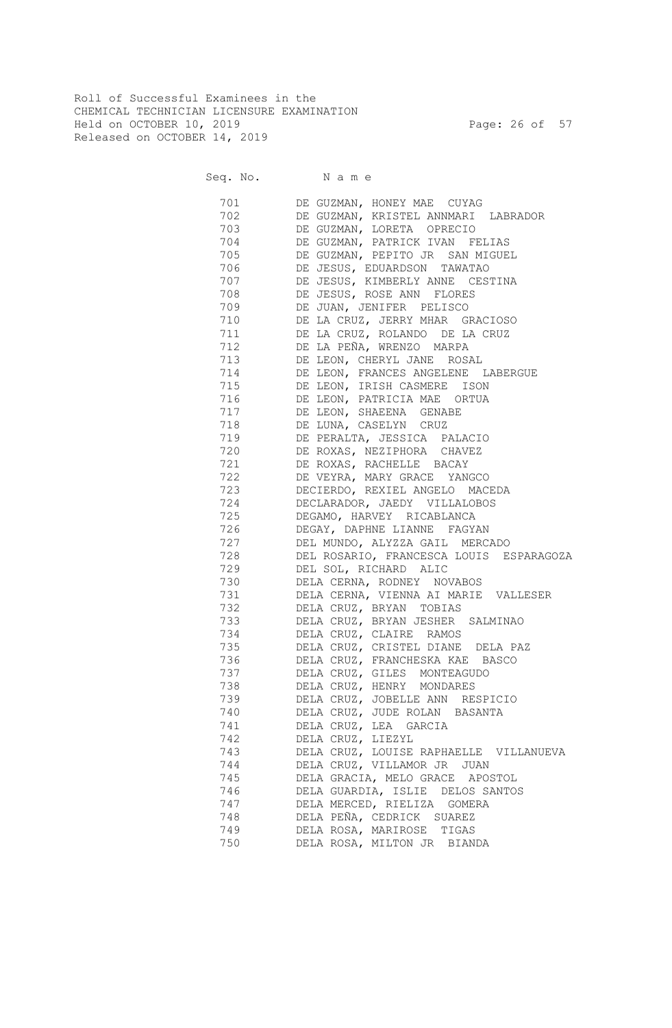Roll of Successful Examinees in the CHEMICAL TECHNICIAN LICENSURE EXAMINATION Held on OCTOBER 10, 2019 Page: 26 of 57 Released on OCTOBER 14, 2019

Seq. No. Name 701 DE GUZMAN, HONEY MAE CUYAG 702 DE GUZMAN, KRISTEL ANNMARI LABRADOR 703 DE GUZMAN, LORETA OPRECIO 704 DE GUZMAN, PATRICK IVAN FELIAS 705 DE GUZMAN, PEPITO JR SAN MIGUEL 706 DE JESUS, EDUARDSON TAWATAO 707 DE JESUS, KIMBERLY ANNE CESTINA 708 DE JESUS, ROSE ANN FLORES 709 DE JUAN, JENIFER PELISCO 710 DE LA CRUZ, JERRY MHAR GRACIOSO 711 DE LA CRUZ, ROLANDO DE LA CRUZ 712 DE LA PEÑA, WRENZO MARPA 713 DE LEON, CHERYL JANE ROSAL 714 DE LEON, FRANCES ANGELENE LABERGUE 715 DE LEON, IRISH CASMERE ISON 716 DE LEON, PATRICIA MAE ORTUA 717 DE LEON, SHAEENA GENABE 718 DE LUNA, CASELYN CRUZ 719 DE PERALTA, JESSICA PALACIO 720 DE ROXAS, NEZIPHORA CHAVEZ 721 DE ROXAS, RACHELLE BACAY 722 DE VEYRA, MARY GRACE YANGCO 723 DECIERDO, REXIEL ANGELO MACEDA 724 DECLARADOR, JAEDY VILLALOBOS 725 DEGAMO, HARVEY RICABLANCA 726 DEGAY, DAPHNE LIANNE FAGYAN 727 DEL MUNDO, ALYZZA GAIL MERCADO 728 DEL ROSARIO, FRANCESCA LOUIS ESPARAGOZA 729 DEL SOL, RICHARD ALIC 730 DELA CERNA, RODNEY NOVABOS 731 DELA CERNA, VIENNA AI MARIE VALLESER 732 DELA CRUZ, BRYAN TOBIAS DELA CRUZ, BRYAN JESHER SALMINAO 734 DELA CRUZ, CLAIRE RAMOS 735 DELA CRUZ, CRISTEL DIANE DELA PAZ 736 DELA CRUZ, FRANCHESKA KAE BASCO 737 DELA CRUZ, GILES MONTEAGUDO 738 DELA CRUZ, HENRY MONDARES 739 DELA CRUZ, JOBELLE ANN RESPICIO 740 DELA CRUZ, JUDE ROLAN BASANTA 741 DELA CRUZ, LEA GARCIA 742 DELA CRUZ, LIEZYL 743 DELA CRUZ, LOUISE RAPHAELLE VILLANUEVA 744 DELA CRUZ, VILLAMOR JR JUAN 745 DELA GRACIA, MELO GRACE APOSTOL 746 DELA GUARDIA, ISLIE DELOS SANTOS 747 DELA MERCED, RIELIZA GOMERA DELA PEÑA, CEDRICK SUAREZ 749 DELA ROSA, MARIROSE TIGAS 750 DELA ROSA, MILTON JR BIANDA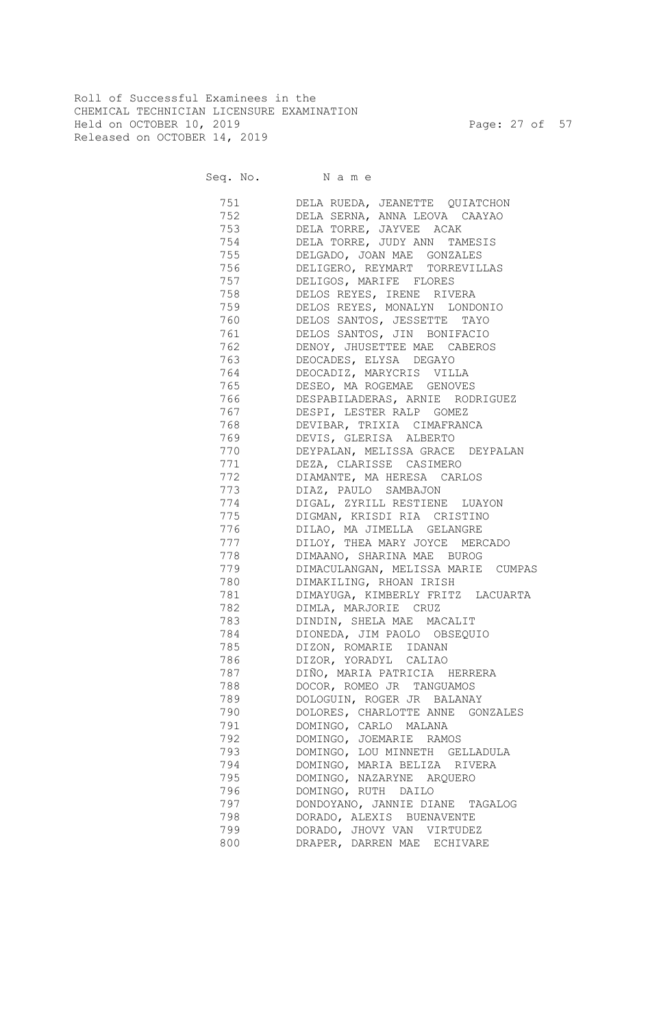Roll of Successful Examinees in the CHEMICAL TECHNICIAN LICENSURE EXAMINATION Held on OCTOBER 10, 2019 Page: 27 of 57 Released on OCTOBER 14, 2019

Seq. No. Name

 751 DELA RUEDA, JEANETTE QUIATCHON 752 DELA SERNA, ANNA LEOVA CAAYAO 753 DELA TORRE, JAYVEE ACAK 754 DELA TORRE, JUDY ANN TAMESIS 755 DELGADO, JOAN MAE GONZALES 756 DELIGERO, REYMART TORREVILLAS 757 DELIGOS, MARIFE FLORES 758 DELOS REYES, IRENE RIVERA 759 DELOS REYES, MONALYN LONDONIO 760 DELOS SANTOS, JESSETTE TAYO 761 DELOS SANTOS, JIN BONIFACIO 762 DENOY, JHUSETTEE MAE CABEROS 763 DEOCADES, ELYSA DEGAYO 764 DEOCADIZ, MARYCRIS VILLA 765 DESEO, MA ROGEMAE GENOVES 766 DESPABILADERAS, ARNIE RODRIGUEZ 767 DESPI, LESTER RALP GOMEZ 768 DEVIBAR, TRIXIA CIMAFRANCA 769 DEVIS, GLERISA ALBERTO 770 DEYPALAN, MELISSA GRACE DEYPALAN 771 DEZA, CLARISSE CASIMERO 772 DIAMANTE, MA HERESA CARLOS 773 DIAZ, PAULO SAMBAJON 774 DIGAL, ZYRILL RESTIENE LUAYON 775 DIGMAN, KRISDI RIA CRISTINO 776 DILAO, MA JIMELLA GELANGRE 777 DILOY, THEA MARY JOYCE MERCADO 778 DIMAANO, SHARINA MAE BUROG 779 DIMACULANGAN, MELISSA MARIE CUMPAS 780 DIMAKILING, RHOAN IRISH 781 DIMAYUGA, KIMBERLY FRITZ LACUARTA 782 DIMLA, MARJORIE CRUZ 783 DINDIN, SHELA MAE MACALIT 784 DIONEDA, JIM PAOLO OBSEQUIO 785 DIZON, ROMARIE IDANAN 786 DIZOR, YORADYL CALIAO 787 DIÑO, MARIA PATRICIA HERRERA 788 DOCOR, ROMEO JR TANGUAMOS 789 DOLOGUIN, ROGER JR BALANAY 790 DOLORES, CHARLOTTE ANNE GONZALES 791 DOMINGO, CARLO MALANA 792 DOMINGO, JOEMARIE RAMOS 793 DOMINGO, LOU MINNETH GELLADULA 794 DOMINGO, MARIA BELIZA RIVERA 795 DOMINGO, NAZARYNE ARQUERO 796 DOMINGO, RUTH DAILO 797 DONDOYANO, JANNIE DIANE TAGALOG 798 DORADO, ALEXIS BUENAVENTE 799 DORADO, JHOVY VAN VIRTUDEZ 800 DRAPER, DARREN MAE ECHIVARE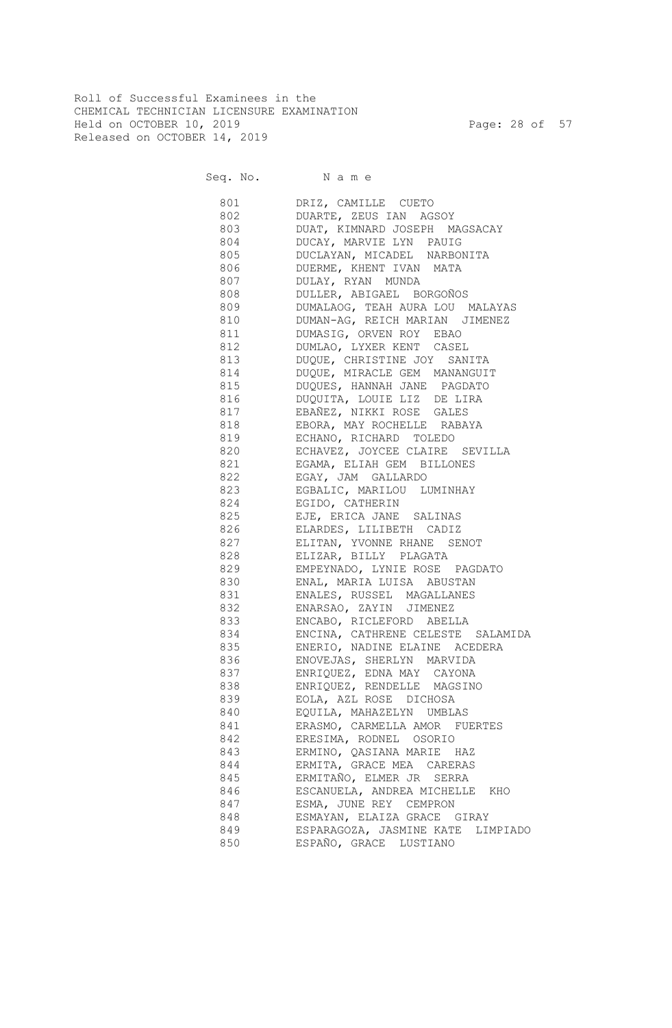Roll of Successful Examinees in the CHEMICAL TECHNICIAN LICENSURE EXAMINATION Held on OCTOBER 10, 2019 Page: 28 of 57 Released on OCTOBER 14, 2019

Seq. No. Name

 801 DRIZ, CAMILLE CUETO 802 DUARTE, ZEUS IAN AGSOY 803 DUAT, KIMNARD JOSEPH MAGSACAY 804 DUCAY, MARVIE LYN PAUIG 805 DUCLAYAN, MICADEL NARBONITA 806 DUERME, KHENT IVAN MATA 807 DULAY, RYAN MUNDA 808 DULLER, ABIGAEL BORGOÑOS 809 DUMALAOG, TEAH AURA LOU MALAYAS 810 DUMAN-AG, REICH MARIAN JIMENEZ 811 DUMASIG, ORVEN ROY EBAO 812 DUMLAO, LYXER KENT CASEL 813 DUQUE, CHRISTINE JOY SANITA 814 DUQUE, MIRACLE GEM MANANGUIT 815 DUQUES, HANNAH JANE PAGDATO 816 DUQUITA, LOUIE LIZ DE LIRA 817 EBAÑEZ, NIKKI ROSE GALES 818 EBORA, MAY ROCHELLE RABAYA 819 ECHANO, RICHARD TOLEDO 820 ECHAVEZ, JOYCEE CLAIRE SEVILLA 821 EGAMA, ELIAH GEM BILLONES 822 EGAY, JAM GALLARDO 823 EGBALIC, MARILOU LUMINHAY 824 EGIDO, CATHERIN 825 EJE, ERICA JANE SALINAS 826 ELARDES, LILIBETH CADIZ 827 ELITAN, YVONNE RHANE SENOT 828 ELIZAR, BILLY PLAGATA 829 EMPEYNADO, LYNIE ROSE PAGDATO 830 ENAL, MARIA LUISA ABUSTAN 831 ENALES, RUSSEL MAGALLANES 832 ENARSAO, ZAYIN JIMENEZ 833 ENCABO, RICLEFORD ABELLA 834 ENCINA, CATHRENE CELESTE SALAMIDA 835 ENERIO, NADINE ELAINE ACEDERA 836 ENOVEJAS, SHERLYN MARVIDA 837 ENRIQUEZ, EDNA MAY CAYONA 838 ENRIQUEZ, RENDELLE MAGSINO 839 EOLA, AZL ROSE DICHOSA 840 EQUILA, MAHAZELYN UMBLAS 841 ERASMO, CARMELLA AMOR FUERTES 842 ERESIMA, RODNEL OSORIO 843 ERMINO, QASIANA MARIE HAZ 844 ERMITA, GRACE MEA CARERAS 845 ERMITAÑO, ELMER JR SERRA 846 ESCANUELA, ANDREA MICHELLE KHO 847 ESMA, JUNE REY CEMPRON 848 ESMAYAN, ELAIZA GRACE GIRAY 849 ESPARAGOZA, JASMINE KATE LIMPIADO 850 ESPAÑO, GRACE LUSTIANO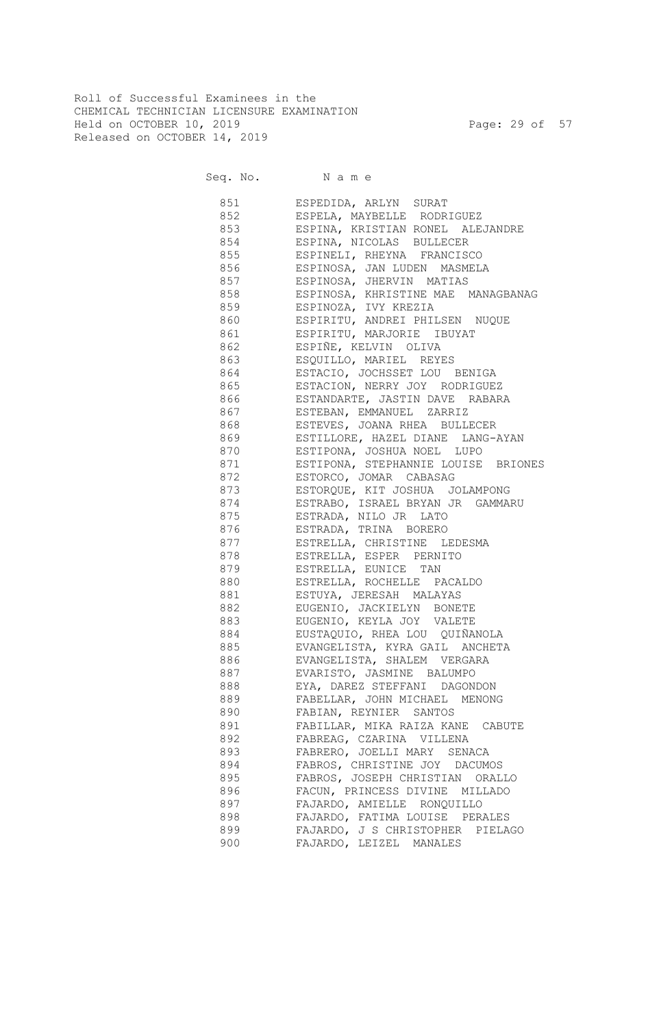Roll of Successful Examinees in the CHEMICAL TECHNICIAN LICENSURE EXAMINATION Held on OCTOBER 10, 2019 Page: 29 of 57 Released on OCTOBER 14, 2019

Seq. No. Name

| 851       | ESPEDIDA, ARLYN SURAT                                                                   |
|-----------|-----------------------------------------------------------------------------------------|
| 852       | ESPELA, MAYBELLE RODRIGUEZ                                                              |
| 853 000   | ESPINA, KRISTIAN RONEL ALEJANDRE                                                        |
|           | 854 ESPINA, NICOLAS BULLECER                                                            |
|           | 855 ESPINELI, RHEYNA FRANCISCO                                                          |
| 856 8     | ESPINOSA, JAN LUDEN MASMELA                                                             |
| 857       | ESPINOSA, JHERVIN MATIAS                                                                |
|           | 858 ESPINOSA, KHRISTINE MAE MANAGBANAG                                                  |
| 859       | ESPINOZA, IVY KREZIA                                                                    |
| 860       | ESPIRITU, ANDREI PHILSEN NUQUE                                                          |
| 861       | ESPIRITU, MARJORIE IBUYAT                                                               |
| 862       | ESPIÑE, KELVIN OLIVA                                                                    |
| 863       | ESQUILLO, MARIEL REYES<br>ESTACIO, JOCHSSET LOU BENIGA<br>ESTACION, NERRY JOY RODRIGUEZ |
| 864       |                                                                                         |
| 865       |                                                                                         |
| 866       | ESTANDARTE, JASTIN DAVE RABARA                                                          |
| 867       | ESTEBAN, EMMANUEL ZARRIZ                                                                |
| 868       | ESTEVES, JOANA RHEA BULLECER                                                            |
| 869       | ESTILLORE, HAZEL DIANE LANG-AYAN                                                        |
| 870       | ESTIPONA, JOSHUA NOEL LUPO                                                              |
| 871       | ESTIPONA, STEPHANNIE LOUISE BRIONES                                                     |
| 872       | ESTORCO, JOMAR CABASAG                                                                  |
| 873       | ESTORQUE, KIT JOSHUA JOLAMPONG                                                          |
| 874       | ESTRABO, ISRAEL BRYAN JR GAMMARU                                                        |
| 875       | ESTRADA, NILO JR LATO                                                                   |
| 876       | ESTRADA, TRINA BORERO                                                                   |
| 877       | ESTRELLA, CHRISTINE LEDESMA                                                             |
| 878 8     | ESTRELLA, ESPER PERNITO                                                                 |
| 879       | ESTRELLA, EUNICE TAN                                                                    |
| 880 880   | ESTRELLA, ROCHELLE PACALDO                                                              |
| 881 88    | ESTUYA, JERESAH MALAYAS                                                                 |
| 882       | EUGENIO, JACKIELYN BONETE                                                               |
| 883 88    | EUGENIO, KEYLA JOY VALETE                                                               |
| 884       | EUSTAQUIO, RHEA LOU QUIÑANOLA                                                           |
|           | 885 EVANGELISTA, KYRA GAIL ANCHETA                                                      |
|           | 886 EVANGELISTA, SHALEM VERGARA                                                         |
| 887 — 100 | EVARISTO, JASMINE BALUMPO                                                               |
|           | EYA, DAREZ STEFFANI DAGONDON                                                            |
| 889       | FABELLAR, JOHN MICHAEL MENONG                                                           |
| 890       | FABIAN, REYNIER SANTOS                                                                  |
| 891       | FABILLAR, MIKA RAIZA KANE CABUTE                                                        |
| 892       | FABREAG, CZARINA VILLENA                                                                |
| 893       | FABRERO, JOELLI MARY SENACA                                                             |
| 894       | FABROS, CHRISTINE JOY DACUMOS                                                           |
| 895       | FABROS, JOSEPH CHRISTIAN ORALLO                                                         |
| 896       | FACUN, PRINCESS DIVINE MILLADO                                                          |
| 897       | FAJARDO, AMIELLE RONQUILLO                                                              |
| 898       | FAJARDO, FATIMA LOUISE PERALES                                                          |
| 899       | FAJARDO, J S CHRISTOPHER PIELAGO                                                        |
| 900       | FAJARDO, LEIZEL MANALES                                                                 |
|           |                                                                                         |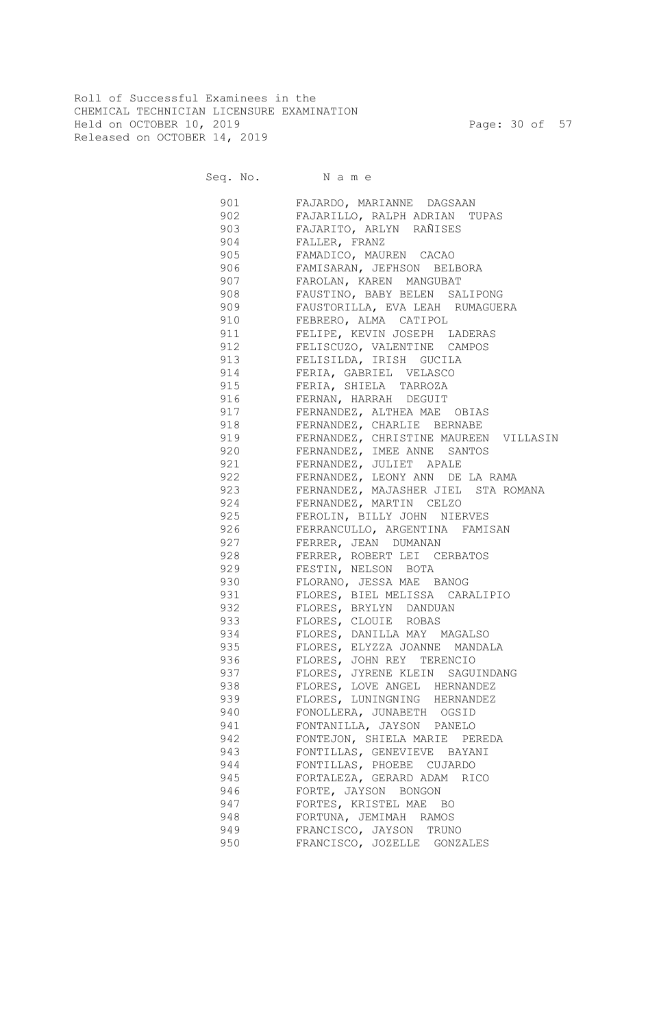Roll of Successful Examinees in the CHEMICAL TECHNICIAN LICENSURE EXAMINATION Held on OCTOBER 10, 2019 Page: 30 of 57 Released on OCTOBER 14, 2019

Seq. No. Name

|     | 901 FAJARDO, MARIANNE DAGSAAN                                                                 |
|-----|-----------------------------------------------------------------------------------------------|
|     | 902 FAJARILLO, RALPH ADRIAN TUPAS                                                             |
|     | 903 FAJARITO, ARLYN RAÑISES                                                                   |
|     | 904 FALLER, FRANZ                                                                             |
|     | 905 FAMADICO, MAUREN CACAO                                                                    |
|     | 906 FAMISARAN, JEFHSON BELBORA                                                                |
|     | 907 FAROLAN, KAREN MANGUBAT                                                                   |
|     | 908 FAUSTINO, BABY BELEN SALIPONG                                                             |
|     | 909 FAUSTORILLA, EVA LEAH RUMAGUERA                                                           |
|     | 910 FEBRERO, ALMA CATIPOL                                                                     |
|     | 911 FELIPE, KEVIN JOSEPH LADERAS                                                              |
|     | 912 FELISCUZO, VALENTINE CAMPOS                                                               |
|     | 913 FELISILDA, IRISH GUCILA                                                                   |
|     | 914 FERIA, GABRIEL VELASCO                                                                    |
|     | 915 FERIA, SHIELA TARROZA                                                                     |
|     | 916 FERNAN, HARRAH DEGUIT                                                                     |
|     | 917 FERNANDEZ, ALTHEA MAE OBIAS                                                               |
|     | 918 FERNANDEZ, CHARLIE BERNABE                                                                |
|     | 919 FERNANDEZ, CHRISTINE MAUREEN VILLASIN                                                     |
|     | 920 FERNANDEZ, IMEE ANNE SANTOS                                                               |
|     | 921 FERNANDEZ, JULIET APALE                                                                   |
|     | 922 FERNANDEZ, LEONY ANN DE LA RAMA                                                           |
|     | 923 FERNANDEZ, MAJASHER JIEL STA ROMANA                                                       |
|     | 924 FERNANDEZ, MARTIN CELZO                                                                   |
|     | 925 FEROLIN, BILLY JOHN NIERVES                                                               |
|     | 926 FERRANCULLO, ARGENTINA FAMISAN                                                            |
| 927 | FERRER, JEAN DUMANAN                                                                          |
| 928 | FERRER, ROBERT LEI CERBATOS                                                                   |
|     | 929 FESTIN, NELSON BOTA                                                                       |
| 930 | FLORANO, JESSA MAE BANOG                                                                      |
| 931 | FLORES, BIEL MELISSA CARALIPIO                                                                |
| 932 | FLORES, BRYLYN DANDUAN                                                                        |
| 933 | FLORES, CLOUIE ROBAS                                                                          |
| 934 | FLORES, DANILLA MAY MAGALSO                                                                   |
| 935 |                                                                                               |
| 936 | FLORES, ELYZZA JOANNE MANDALA<br>FLORES, JOHN REY TERENCIO<br>FLORES, JYRENE KLEIN SAGUINDANG |
| 937 |                                                                                               |
| 938 | FLORES, LOVE ANGEL HERNANDEZ                                                                  |
| 939 | FLORES, LUNINGNING HERNANDEZ                                                                  |
| 940 | FONOLLERA, JUNABETH OGSID                                                                     |
| 941 | FONTANILLA, JAYSON PANELO                                                                     |
| 942 | FONTEJON, SHIELA MARIE PEREDA                                                                 |
| 943 | FONTILLAS, GENEVIEVE BAYANI                                                                   |
| 944 | FONTILLAS, PHOEBE CUJARDO                                                                     |
| 945 | FORTALEZA, GERARD ADAM RICO                                                                   |
| 946 | FORTE, JAYSON BONGON                                                                          |
| 947 | FORTES, KRISTEL MAE BO                                                                        |
| 948 | FORTUNA, JEMIMAH RAMOS                                                                        |
| 949 | FRANCISCO, JAYSON TRUNO                                                                       |
| 950 | FRANCISCO, JOZELLE GONZALES                                                                   |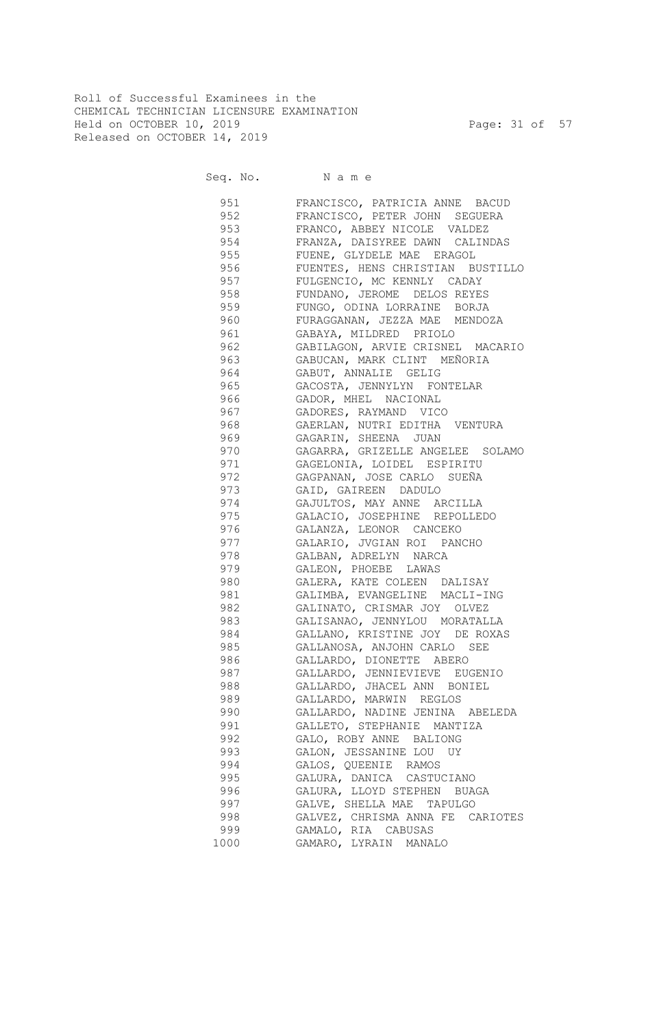Roll of Successful Examinees in the CHEMICAL TECHNICIAN LICENSURE EXAMINATION Held on OCTOBER 10, 2019 Page: 31 of 57 Released on OCTOBER 14, 2019

Seq. No. Name

 951 FRANCISCO, PATRICIA ANNE BACUD 952 FRANCISCO, PETER JOHN SEGUERA 953 FRANCO, ABBEY NICOLE VALDEZ 954 FRANZA, DAISYREE DAWN CALINDAS 955 FUENE, GLYDELE MAE ERAGOL 956 FUENTES, HENS CHRISTIAN BUSTILLO 957 FULGENCIO, MC KENNLY CADAY 958 FUNDANO, JEROME DELOS REYES 959 FUNGO, ODINA LORRAINE BORJA 960 FURAGGANAN, JEZZA MAE MENDOZA 961 GABAYA, MILDRED PRIOLO 962 GABILAGON, ARVIE CRISNEL MACARIO 963 GABUCAN, MARK CLINT MEÑORIA 964 GABUT, ANNALIE GELIG 965 GACOSTA, JENNYLYN FONTELAR 966 GADOR, MHEL NACIONAL 967 GADORES, RAYMAND VICO 968 GAERLAN, NUTRI EDITHA VENTURA 969 GAGARIN, SHEENA JUAN 970 GAGARRA, GRIZELLE ANGELEE SOLAMO 971 GAGELONIA, LOIDEL ESPIRITU 972 GAGPANAN, JOSE CARLO SUEÑA 973 GAID, GAIREEN DADULO 974 GAJULTOS, MAY ANNE ARCILLA 975 GALACIO, JOSEPHINE REPOLLEDO 976 GALANZA, LEONOR CANCEKO 977 GALARIO, JVGIAN ROI PANCHO 978 GALBAN, ADRELYN NARCA 979 GALEON, PHOEBE LAWAS 980 GALERA, KATE COLEEN DALISAY 981 GALIMBA, EVANGELINE MACLI-ING 982 GALINATO, CRISMAR JOY OLVEZ 983 GALISANAO, JENNYLOU MORATALLA 984 GALLANO, KRISTINE JOY DE ROXAS 985 GALLANOSA, ANJOHN CARLO SEE 986 GALLARDO, DIONETTE ABERO 987 GALLARDO, JENNIEVIEVE EUGENIO 988 GALLARDO, JHACEL ANN BONIEL 989 GALLARDO, MARWIN REGLOS 990 GALLARDO, NADINE JENINA ABELEDA 991 GALLETO, STEPHANIE MANTIZA 992 GALO, ROBY ANNE BALIONG 993 GALON, JESSANINE LOU UY 994 GALOS, QUEENIE RAMOS 995 GALURA, DANICA CASTUCIANO 996 GALURA, LLOYD STEPHEN BUAGA 997 GALVE, SHELLA MAE TAPULGO 998 GALVEZ, CHRISMA ANNA FE CARIOTES 999 GAMALO, RIA CABUSAS 1000 GAMARO, LYRAIN MANALO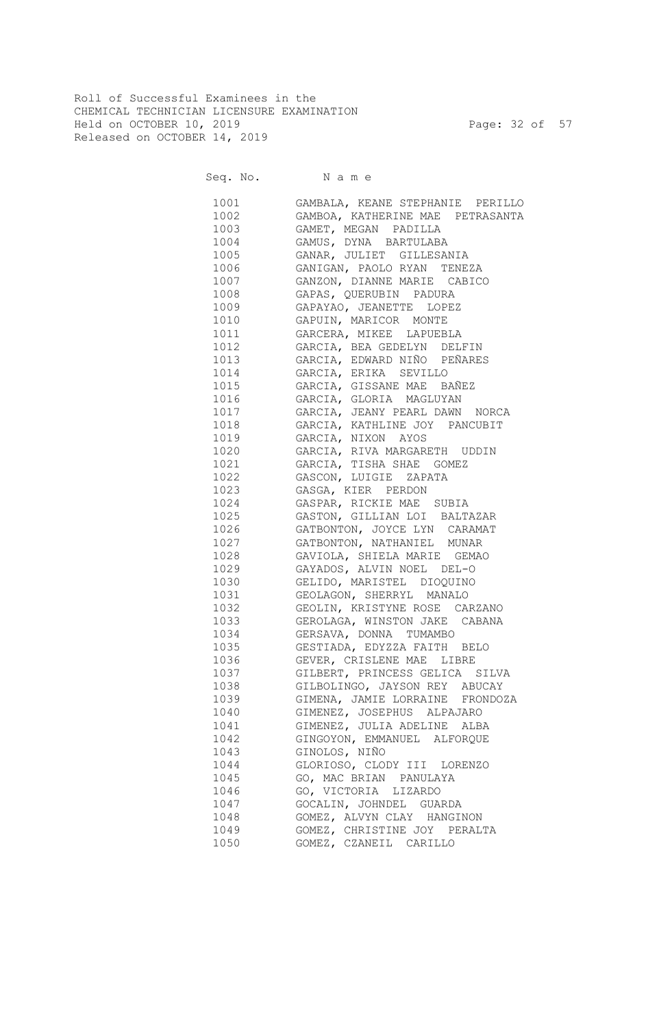Roll of Successful Examinees in the CHEMICAL TECHNICIAN LICENSURE EXAMINATION Held on OCTOBER 10, 2019 Page: 32 of 57 Released on OCTOBER 14, 2019

Seq. No. Name

| 1001 | GAMBALA, KEANE STEPHANIE PERILLO |
|------|----------------------------------|
| 1002 | GAMBOA, KATHERINE MAE PETRASANTA |
| 1003 | GAMET, MEGAN PADILLA             |
| 1004 | GAMUS, DYNA BARTULABA            |
| 1005 | GANAR, JULIET GILLESANIA         |
| 1006 | GANIGAN, PAOLO RYAN TENEZA       |
| 1007 | GANZON, DIANNE MARIE CABICO      |
| 1008 | GAPAS, QUERUBIN PADURA           |
| 1009 | GAPAYAO, JEANETTE LOPEZ          |
| 1010 | GAPUIN, MARICOR MONTE            |
| 1011 | GARCERA, MIKEE LAPUEBLA          |
| 1012 | GARCIA, BEA GEDELYN DELFIN       |
| 1013 | GARCIA, EDWARD NIÑO PEÑARES      |
| 1014 | GARCIA, ERIKA SEVILLO            |
| 1015 | GARCIA, GISSANE MAE BAÑEZ        |
| 1016 | GARCIA, GLORIA MAGLUYAN          |
| 1017 | GARCIA, JEANY PEARL DAWN NORCA   |
| 1018 | GARCIA, KATHLINE JOY PANCUBIT    |
| 1019 | GARCIA, NIXON AYOS               |
| 1020 | GARCIA, RIVA MARGARETH UDDIN     |
| 1021 | GARCIA, TISHA SHAE GOMEZ         |
| 1022 | GASCON, LUIGIE ZAPATA            |
| 1023 | GASGA, KIER PERDON               |
| 1024 | GASPAR, RICKIE MAE SUBIA         |
| 1025 | GASTON, GILLIAN LOI BALTAZAR     |
| 1026 | GATBONTON, JOYCE LYN CARAMAT     |
| 1027 | GATBONTON, NATHANIEL MUNAR       |
| 1028 | GAVIOLA, SHIELA MARIE GEMAO      |
| 1029 | GAYADOS, ALVIN NOEL DEL-O        |
| 1030 | GELIDO, MARISTEL DIOQUINO        |
| 1031 | GEOLAGON, SHERRYL MANALO         |
| 1032 | GEOLIN, KRISTYNE ROSE CARZANO    |
| 1033 | GEROLAGA, WINSTON JAKE CABANA    |
| 1034 | GERSAVA, DONNA TUMAMBO           |
|      | GESTIADA, EDYZZA FAITH BELO      |
|      | 1036 GEVER, CRISLENE MAE LIBRE   |
| 1037 | GILBERT, PRINCESS GELICA SILVA   |
|      |                                  |
| 1038 | GILBOLINGO, JAYSON REY ABUCAY    |
| 1039 | GIMENA, JAMIE LORRAINE FRONDOZA  |
| 1040 | GIMENEZ, JOSEPHUS ALPAJARO       |
| 1041 | GIMENEZ, JULIA ADELINE ALBA      |
| 1042 | GINGOYON, EMMANUEL ALFORQUE      |
| 1043 | GINOLOS, NIÑO                    |
| 1044 | GLORIOSO, CLODY III LORENZO      |
| 1045 | GO, MAC BRIAN PANULAYA           |
| 1046 | GO, VICTORIA LIZARDO             |
| 1047 | GOCALIN, JOHNDEL GUARDA          |
| 1048 | GOMEZ, ALVYN CLAY HANGINON       |
| 1049 | GOMEZ, CHRISTINE JOY PERALTA     |
| 1050 | GOMEZ, CZANEIL CARILLO           |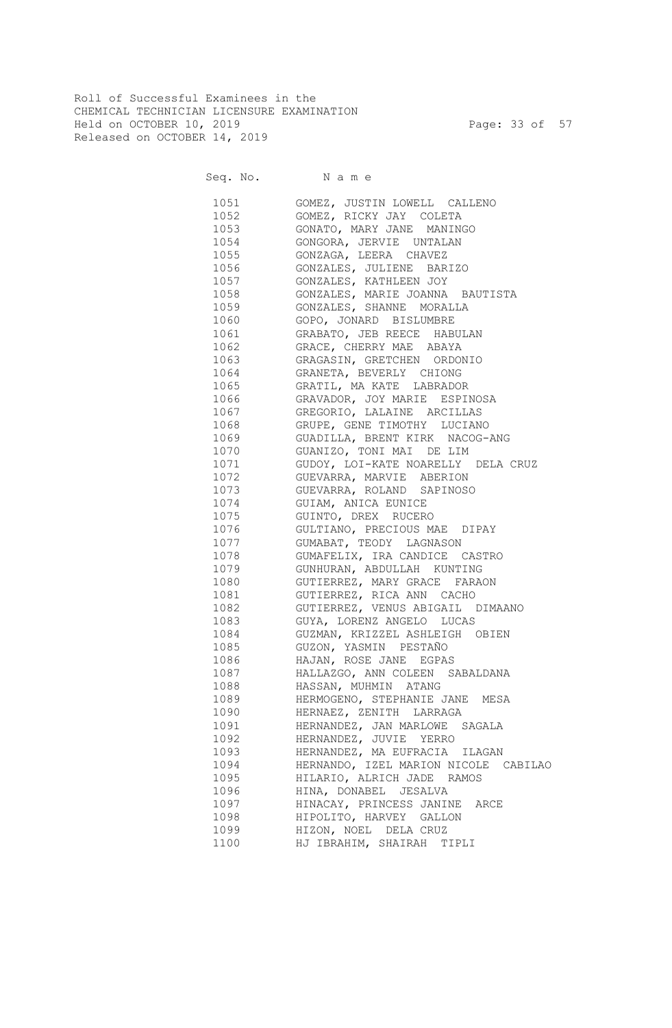Roll of Successful Examinees in the CHEMICAL TECHNICIAN LICENSURE EXAMINATION Held on OCTOBER 10, 2019 Page: 33 of 57 Released on OCTOBER 14, 2019

Seq. No. Name

 1051 GOMEZ, JUSTIN LOWELL CALLENO 1052 GOMEZ, RICKY JAY COLETA 1053 GONATO, MARY JANE MANINGO 1054 GONGORA, JERVIE UNTALAN 1055 GONZAGA, LEERA CHAVEZ 1056 GONZALES, JULIENE BARIZO 1057 GONZALES, KATHLEEN JOY 1058 GONZALES, MARIE JOANNA BAUTISTA 1059 GONZALES, SHANNE MORALLA 1060 GOPO, JONARD BISLUMBRE 1061 GRABATO, JEB REECE HABULAN 1062 GRACE, CHERRY MAE ABAYA 1063 GRAGASIN, GRETCHEN ORDONIO 1064 GRANETA, BEVERLY CHIONG 1065 GRATIL, MA KATE LABRADOR 1066 GRAVADOR, JOY MARIE ESPINOSA 1067 GREGORIO, LALAINE ARCILLAS 1068 GRUPE, GENE TIMOTHY LUCIANO 1069 GUADILLA, BRENT KIRK NACOG-ANG 1070 GUANIZO, TONI MAI DE LIM 1071 GUDOY, LOI-KATE NOARELLY DELA CRUZ 1072 GUEVARRA, MARVIE ABERION 1073 GUEVARRA, ROLAND SAPINOSO 1074 GUIAM, ANICA EUNICE 1075 GUINTO, DREX RUCERO 1076 GULTIANO, PRECIOUS MAE DIPAY 1077 GUMABAT, TEODY LAGNASON 1078 GUMAFELIX, IRA CANDICE CASTRO 1079 GUNHURAN, ABDULLAH KUNTING 1080 GUTIERREZ, MARY GRACE FARAON 1081 GUTIERREZ, RICA ANN CACHO 1082 GUTIERREZ, VENUS ABIGAIL DIMAANO 1083 GUYA, LORENZ ANGELO LUCAS 1084 GUZMAN, KRIZZEL ASHLEIGH OBIEN 1085 GUZON, YASMIN PESTAÑO 1086 HAJAN, ROSE JANE EGPAS 1087 HALLAZGO, ANN COLEEN SABALDANA 1088 HASSAN, MUHMIN ATANG 1089 HERMOGENO, STEPHANIE JANE MESA 1090 HERNAEZ, ZENITH LARRAGA 1091 HERNANDEZ, JAN MARLOWE SAGALA 1092 HERNANDEZ, JUVIE YERRO 1093 HERNANDEZ, MA EUFRACIA ILAGAN 1094 HERNANDO, IZEL MARION NICOLE CABILAO 1095 HILARIO, ALRICH JADE RAMOS 1096 HINA, DONABEL JESALVA 1097 HINACAY, PRINCESS JANINE ARCE 1098 HIPOLITO, HARVEY GALLON 1099 HIZON, NOEL DELA CRUZ 1100 HJ IBRAHIM, SHAIRAH TIPLI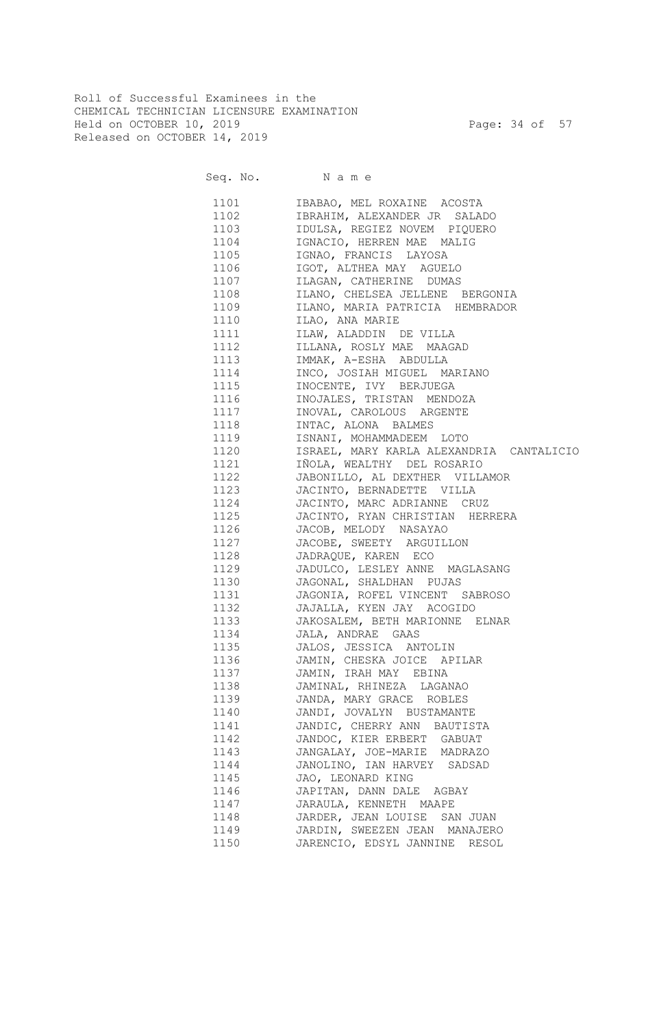Roll of Successful Examinees in the CHEMICAL TECHNICIAN LICENSURE EXAMINATION Held on OCTOBER 10, 2019 Page: 34 of 57 Released on OCTOBER 14, 2019

Seq. No. Name 1101 IBABAO, MEL ROXAINE ACOSTA 1102 IBRAHIM, ALEXANDER JR SALADO 1103 IDULSA, REGIEZ NOVEM PIQUERO 1104 IGNACIO, HERREN MAE MALIG 1105 IGNAO, FRANCIS LAYOSA 1106 IGOT, ALTHEA MAY AGUELO 1107 ILAGAN, CATHERINE DUMAS 1108 ILANO, CHELSEA JELLENE BERGONIA 1109 ILANO, MARIA PATRICIA HEMBRADOR 1110 ILAO, ANA MARIE 1111 ILAW, ALADDIN DE VILLA 1112 ILLANA, ROSLY MAE MAAGAD 1113 IMMAK, A-ESHA ABDULLA 1114 INCO, JOSIAH MIGUEL MARIANO 1115 INOCENTE, IVY BERJUEGA 1116 INOJALES, TRISTAN MENDOZA 1117 INOVAL, CAROLOUS ARGENTE 1118 INTAC, ALONA BALMES 1119 ISNANI, MOHAMMADEEM LOTO 1120 ISRAEL, MARY KARLA ALEXANDRIA CANTALICIO 1121 IÑOLA, WEALTHY DEL ROSARIO 1122 JABONILLO, AL DEXTHER VILLAMOR 1123 JACINTO, BERNADETTE VILLA 1124 JACINTO, MARC ADRIANNE CRUZ 1125 JACINTO, RYAN CHRISTIAN HERRERA 1126 JACOB, MELODY NASAYAO 1127 JACOBE, SWEETY ARGUILLON 1128 JADRAQUE, KAREN ECO 1129 JADULCO, LESLEY ANNE MAGLASANG 1130 JAGONAL, SHALDHAN PUJAS 1131 JAGONIA, ROFEL VINCENT SABROSO 1132 JAJALLA, KYEN JAY ACOGIDO 1133 JAKOSALEM, BETH MARIONNE ELNAR 1134 JALA, ANDRAE GAAS 1135 JALOS, JESSICA ANTOLIN 1136 JAMIN, CHESKA JOICE APILAR 1137 JAMIN, IRAH MAY EBINA 1138 JAMINAL, RHINEZA LAGANAO 1139 JANDA, MARY GRACE ROBLES 1140 JANDI, JOVALYN BUSTAMANTE 1141 JANDIC, CHERRY ANN BAUTISTA 1142 JANDOC, KIER ERBERT GABUAT 1143 JANGALAY, JOE-MARIE MADRAZO 1144 JANOLINO, IAN HARVEY SADSAD 1145 JAO, LEONARD KING 1146 JAPITAN, DANN DALE AGBAY 1147 JARAULA, KENNETH MAAPE 1148 JARDER, JEAN LOUISE SAN JUAN 1149 JARDIN, SWEEZEN JEAN MANAJERO

1150 JARENCIO, EDSYL JANNINE RESOL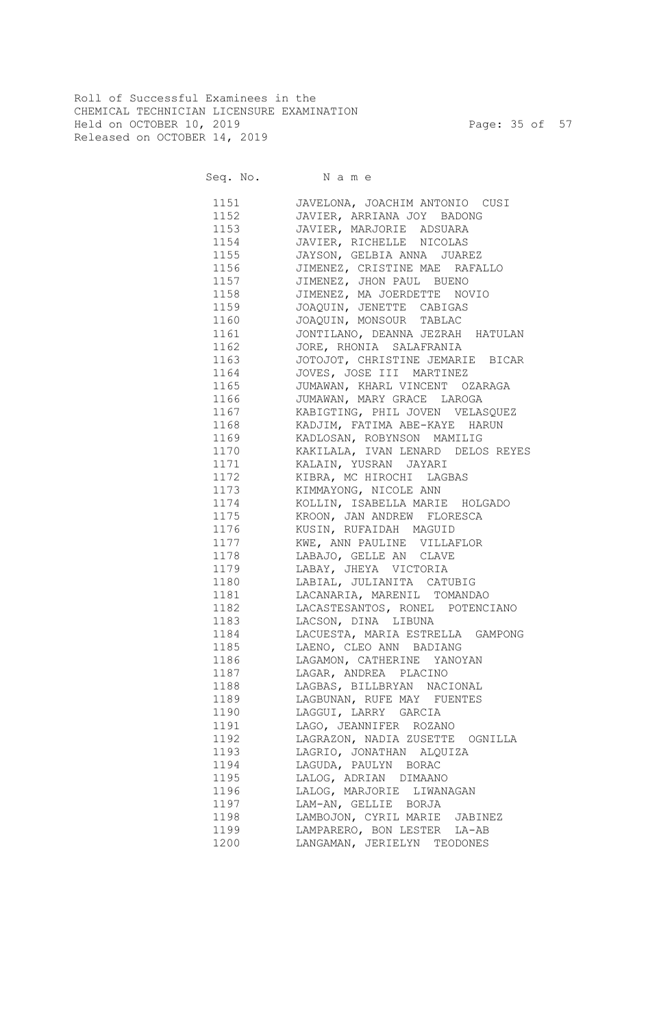Roll of Successful Examinees in the CHEMICAL TECHNICIAN LICENSURE EXAMINATION Held on OCTOBER 10, 2019 Page: 35 of 57 Released on OCTOBER 14, 2019

Seq. No. Name

 1151 JAVELONA, JOACHIM ANTONIO CUSI 1152 JAVIER, ARRIANA JOY BADONG 1153 JAVIER, MARJORIE ADSUARA 1154 JAVIER, RICHELLE NICOLAS 1155 JAYSON, GELBIA ANNA JUAREZ 1156 JIMENEZ, CRISTINE MAE RAFALLO 1157 JIMENEZ, JHON PAUL BUENO 1158 JIMENEZ, MA JOERDETTE NOVIO 1159 JOAQUIN, JENETTE CABIGAS 1160 JOAQUIN, MONSOUR TABLAC 1161 JONTILANO, DEANNA JEZRAH HATULAN 1162 JORE, RHONIA SALAFRANIA 1163 JOTOJOT, CHRISTINE JEMARIE BICAR 1164 JOVES, JOSE III MARTINEZ 1165 JUMAWAN, KHARL VINCENT OZARAGA 1166 JUMAWAN, MARY GRACE LAROGA 1167 KABIGTING, PHIL JOVEN VELASQUEZ 1168 KADJIM, FATIMA ABE-KAYE HARUN 1169 KADLOSAN, ROBYNSON MAMILIG 1170 KAKILALA, IVAN LENARD DELOS REYES 1171 KALAIN, YUSRAN JAYARI 1172 KIBRA, MC HIROCHI LAGBAS 1173 KIMMAYONG, NICOLE ANN 1174 KOLLIN, ISABELLA MARIE HOLGADO 1175 KROON, JAN ANDREW FLORESCA 1176 KUSIN, RUFAIDAH MAGUID 1177 KWE, ANN PAULINE VILLAFLOR 1178 LABAJO, GELLE AN CLAVE 1179 LABAY, JHEYA VICTORIA 1180 LABIAL, JULIANITA CATUBIG 1181 LACANARIA, MARENIL TOMANDAO 1182 LACASTESANTOS, RONEL POTENCIANO 1183 LACSON, DINA LIBUNA 1184 LACUESTA, MARIA ESTRELLA GAMPONG 1185 LAENO, CLEO ANN BADIANG 1186 LAGAMON, CATHERINE YANOYAN 1187 LAGAR, ANDREA PLACINO 1188 LAGBAS, BILLBRYAN NACIONAL 1189 LAGBUNAN, RUFE MAY FUENTES 1190 LAGGUI, LARRY GARCIA 1191 LAGO, JEANNIFER ROZANO 1192 LAGRAZON, NADIA ZUSETTE OGNILLA 1193 LAGRIO, JONATHAN ALQUIZA 1194 LAGUDA, PAULYN BORAC 1195 LALOG, ADRIAN DIMAANO 1196 LALOG, MARJORIE LIWANAGAN 1197 LAM-AN, GELLIE BORJA 1198 LAMBOJON, CYRIL MARIE JABINEZ 1199 LAMPARERO, BON LESTER LA-AB 1200 LANGAMAN, JERIELYN TEODONES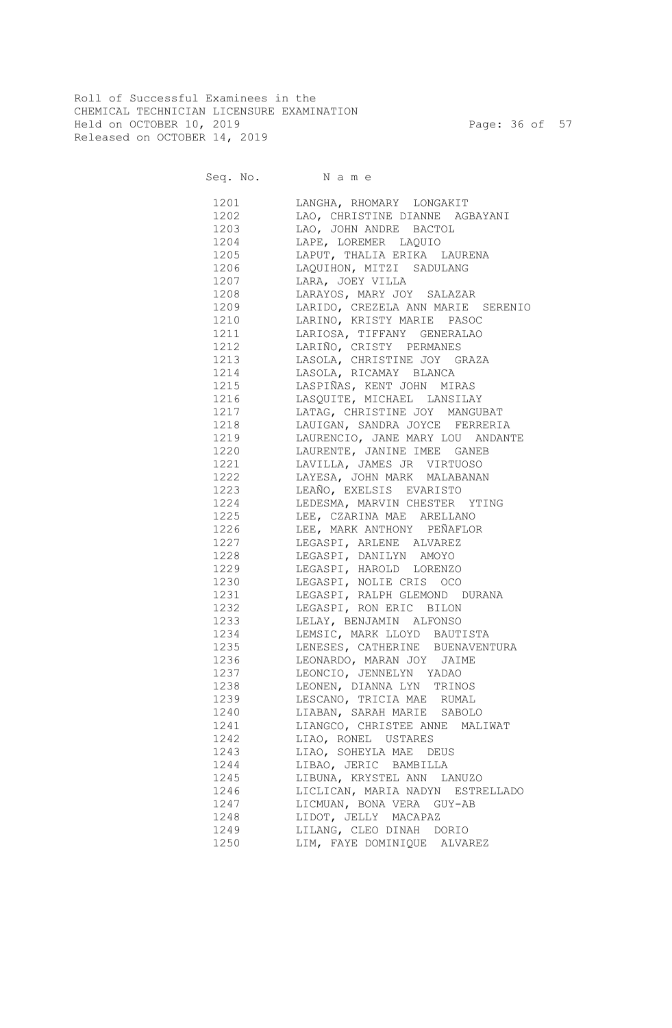Roll of Successful Examinees in the CHEMICAL TECHNICIAN LICENSURE EXAMINATION Held on OCTOBER 10, 2019 Page: 36 of 57 Released on OCTOBER 14, 2019

Seq. No. Name 1201 LANGHA, RHOMARY LONGAKIT 1202 LAO, CHRISTINE DIANNE AGBAYANI 1203 LAO, JOHN ANDRE BACTOL<br>1204 LAPE, LOREMER LAQUIO 1204 LAPE, LOREMER LAQUIO 1205 LAPUT, THALIA ERIKA LAURENA 1207 LARA, JOEY VILLA

|      | 1206 LAQUIHON, MITZI SADULANG          |
|------|----------------------------------------|
|      | 1207 LARA, JOEY VILLA                  |
|      | 1208 LARAYOS, MARY JOY SALAZAR         |
|      | 1209 LARIDO, CREZELA ANN MARIE SERENIO |
|      | 1210 LARINO, KRISTY MARIE PASOC        |
| 1211 | LARIOSA, TIFFANY GENERALAO             |
| 1212 | LARIÑO, CRISTY PERMANES                |
| 1213 | LASOLA, CHRISTINE JOY GRAZA            |
|      | 1214 LASOLA, RICAMAY BLANCA            |
| 1215 | LASPIÑAS, KENT JOHN MIRAS              |
| 1216 | LASQUITE, MICHAEL LANSILAY             |
| 1217 | LATAG, CHRISTINE JOY MANGUBAT          |
| 1218 | LAUIGAN, SANDRA JOYCE FERRERIA         |
| 1219 | LAURENCIO, JANE MARY LOU ANDANTE       |
| 1220 | LAURENTE, JANINE IMEE GANEB            |
| 1221 | LAVILLA, JAMES JR VIRTUOSO             |
| 1222 | LAYESA, JOHN MARK MALABANAN            |
| 1223 | LEAÑO, EXELSIS EVARISTO                |
| 1224 | LEDESMA, MARVIN CHESTER YTING          |
| 1225 | LEE, CZARINA MAE ARELLANO              |
| 1226 | LEE, MARK ANTHONY PEÑAFLOR             |
| 1227 | LEGASPI, ARLENE ALVAREZ                |
| 1228 | LEGASPI, DANILYN AMOYO                 |
| 1229 | LEGASPI, HAROLD LORENZO                |
| 1230 | LEGASPI, NOLIE CRIS OCO                |
| 1231 | LEGASPI, RALPH GLEMOND DURANA          |
| 1232 | LEGASPI, RON ERIC BILON                |
| 1233 | LELAY, BENJAMIN ALFONSO                |
| 1234 | LEMSIC, MARK LLOYD BAUTISTA            |
| 1235 | LENESES, CATHERINE BUENAVENTURA        |
| 1236 | LEONARDO, MARAN JOY JAIME              |
| 1237 | LEONCIO, JENNELYN YADAO                |
| 1238 | LEONEN, DIANNA LYN TRINOS              |
| 1239 | LESCANO, TRICIA MAE RUMAL              |
| 1240 | LIABAN, SARAH MARIE SABOLO             |
| 1241 | LIANGCO, CHRISTEE ANNE MALIWAT         |
| 1242 | LIAO, RONEL USTARES                    |
| 1243 | LIAO, SOHEYLA MAE DEUS                 |
| 1244 | LIBAO, JERIC BAMBILLA                  |
| 1245 | LIBUNA, KRYSTEL ANN LANUZO             |
| 1246 | LICLICAN, MARIA NADYN ESTRELLADO       |
| 1247 | LICMUAN, BONA VERA GUY-AB              |
| 1248 | LIDOT, JELLY MACAPAZ                   |
| 1249 | LILANG, CLEO DINAH DORIO               |
| 1250 | LIM, FAYE DOMINIQUE ALVAREZ            |
|      |                                        |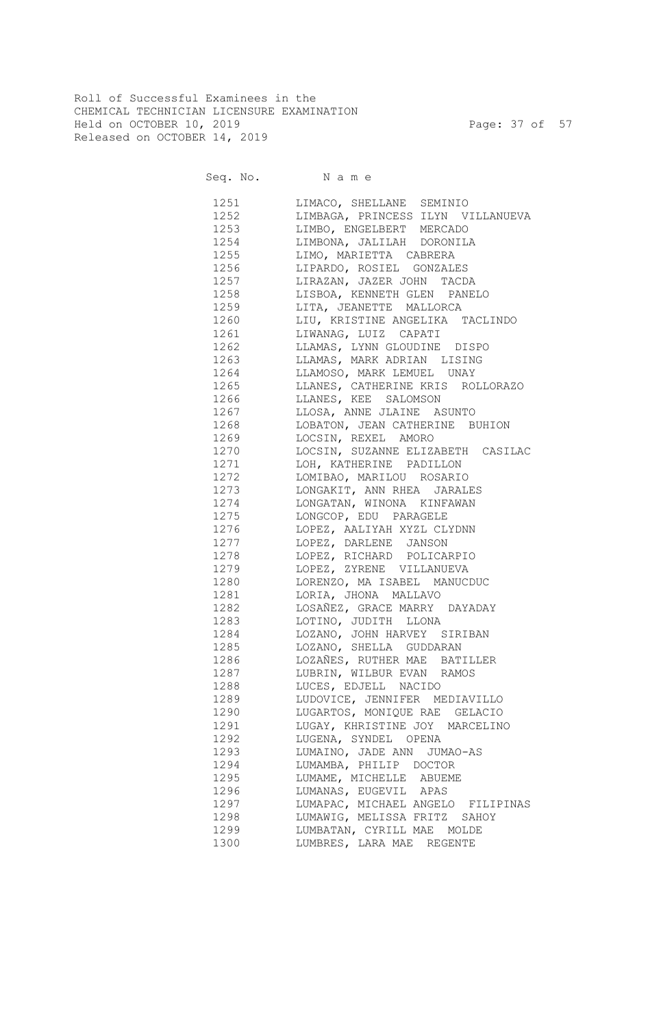Roll of Successful Examinees in the CHEMICAL TECHNICIAN LICENSURE EXAMINATION Held on OCTOBER 10, 2019 Page: 37 of 57 Released on OCTOBER 14, 2019

Seq. No. Name

 1251 LIMACO, SHELLANE SEMINIO 1252 LIMBAGA, PRINCESS ILYN VILLANUEVA 1253 LIMBO, ENGELBERT MERCADO 1254 LIMBONA, JALILAH DORONILA 1255 LIMO, MARIETTA CABRERA 1256 LIPARDO, ROSIEL GONZALES 1257 LIRAZAN, JAZER JOHN TACDA 1258 LISBOA, KENNETH GLEN PANELO 1259 LITA, JEANETTE MALLORCA 1260 LIU, KRISTINE ANGELIKA TACLINDO 1261 LIWANAG, LUIZ CAPATI 1262 LLAMAS, LYNN GLOUDINE DISPO 1263 LLAMAS, MARK ADRIAN LISING 1264 LLAMOSO, MARK LEMUEL UNAY 1265 LLANES, CATHERINE KRIS ROLLORAZO 1266 LLANES, KEE SALOMSON 1267 LLOSA, ANNE JLAINE ASUNTO 1268 LOBATON, JEAN CATHERINE BUHION 1269 LOCSIN, REXEL AMORO 1270 LOCSIN, SUZANNE ELIZABETH CASILAC 1271 LOH, KATHERINE PADILLON 1272 LOMIBAO, MARILOU ROSARIO 1273 LONGAKIT, ANN RHEA JARALES 1274 LONGATAN, WINONA KINFAWAN 1275 LONGCOP, EDU PARAGELE 1276 LOPEZ, AALIYAH XYZL CLYDNN 1277 LOPEZ, DARLENE JANSON 1278 LOPEZ, RICHARD POLICARPIO 1279 LOPEZ, ZYRENE VILLANUEVA 1280 LORENZO, MA ISABEL MANUCDUC 1281 LORIA, JHONA MALLAVO 1282 LOSAÑEZ, GRACE MARRY DAYADAY 1283 LOTINO, JUDITH LLONA 1284 LOZANO, JOHN HARVEY SIRIBAN 1285 LOZANO, SHELLA GUDDARAN 1286 LOZAÑES, RUTHER MAE BATILLER 1287 LUBRIN, WILBUR EVAN RAMOS 1288 LUCES, EDJELL NACIDO 1289 LUDOVICE, JENNIFER MEDIAVILLO 1290 LUGARTOS, MONIQUE RAE GELACIO 1291 LUGAY, KHRISTINE JOY MARCELINO 1292 LUGENA, SYNDEL OPENA 1293 LUMAINO, JADE ANN JUMAO-AS 1294 LUMAMBA, PHILIP DOCTOR 1295 LUMAME, MICHELLE ABUEME 1296 LUMANAS, EUGEVIL APAS 1297 LUMAPAC, MICHAEL ANGELO FILIPINAS 1298 LUMAWIG, MELISSA FRITZ SAHOY 1299 LUMBATAN, CYRILL MAE MOLDE 1300 LUMBRES, LARA MAE REGENTE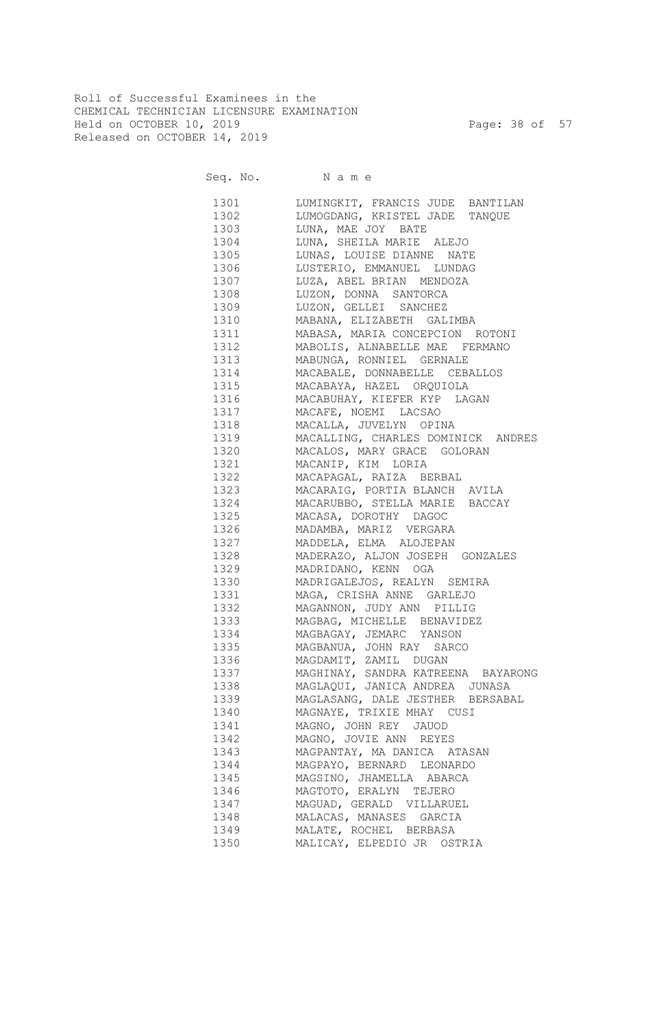Roll of Successful Examinees in the CHEMICAL TECHNICIAN LICENSURE EXAMINATION Held on OCTOBER 10, 2019 Page: 38 of 57 Released on OCTOBER 14, 2019

Seq. No. Name 1301 LUMINGKIT, FRANCIS JUDE BANTILAN 1302 LUMOGDANG, KRISTEL JADE TANQUE 1303 LUNA, MAE JOY BATE 1304 LUNA, SHEILA MARIE ALEJO 1305 LUNAS, LOUISE DIANNE NATE 1306 LUSTERIO, EMMANUEL LUNDAG 1307 LUZA, ABEL BRIAN MENDOZA 1308 LUZON, DONNA SANTORCA 1309 LUZON, GELLEI SANCHEZ 1310 MABANA, ELIZABETH GALIMBA 1311 MABASA, MARIA CONCEPCION ROTONI 1312 MABOLIS, ALNABELLE MAE FERMANO 1313 MABUNGA, RONNIEL GERNALE 1314 MACABALE, DONNABELLE CEBALLOS 1315 MACABAYA, HAZEL ORQUIOLA 1316 MACABUHAY, KIEFER KYP LAGAN 1317 MACAFE, NOEMI LACSAO 1318 MACALLA, JUVELYN OPINA 1319 MACALLING, CHARLES DOMINICK ANDRES 1320 MACALOS, MARY GRACE GOLORAN 1321 MACANIP, KIM LORIA 1322 MACAPAGAL, RAIZA BERBAL 1323 MACARAIG, PORTIA BLANCH AVILA 1324 MACARUBBO, STELLA MARIE BACCAY 1325 MACASA, DOROTHY DAGOC 1326 MADAMBA, MARIZ VERGARA 1327 MADDELA, ELMA ALOJEPAN 1328 MADERAZO, ALJON JOSEPH GONZALES 1329 MADRIDANO, KENN OGA 1330 MADRIGALEJOS, REALYN SEMIRA 1331 MAGA, CRISHA ANNE GARLEJO 1332 MAGANNON, JUDY ANN PILLIG 1333 MAGBAG, MICHELLE BENAVIDEZ 1334 MAGBAGAY, JEMARC YANSON 1335 MAGBANUA, JOHN RAY SARCO 1336 MAGDAMIT, ZAMIL DUGAN 1337 MAGHINAY, SANDRA KATREENA BAYARONG 1338 MAGLAQUI, JANICA ANDREA JUNASA 1339 MAGLASANG, DALE JESTHER BERSABAL 1340 MAGNAYE, TRIXIE MHAY CUSI 1341 MAGNO, JOHN REY JAUOD 1342 MAGNO, JOVIE ANN REYES 1343 MAGPANTAY, MA DANICA ATASAN 1344 MAGPAYO, BERNARD LEONARDO 1345 MAGSINO, JHAMELLA ABARCA 1346 MAGTOTO, ERALYN TEJERO 1347 MAGUAD, GERALD VILLARUEL 1348 MALACAS, MANASES GARCIA 1349 MALATE, ROCHEL BERBASA 1350 MALICAY, ELPEDIO JR OSTRIA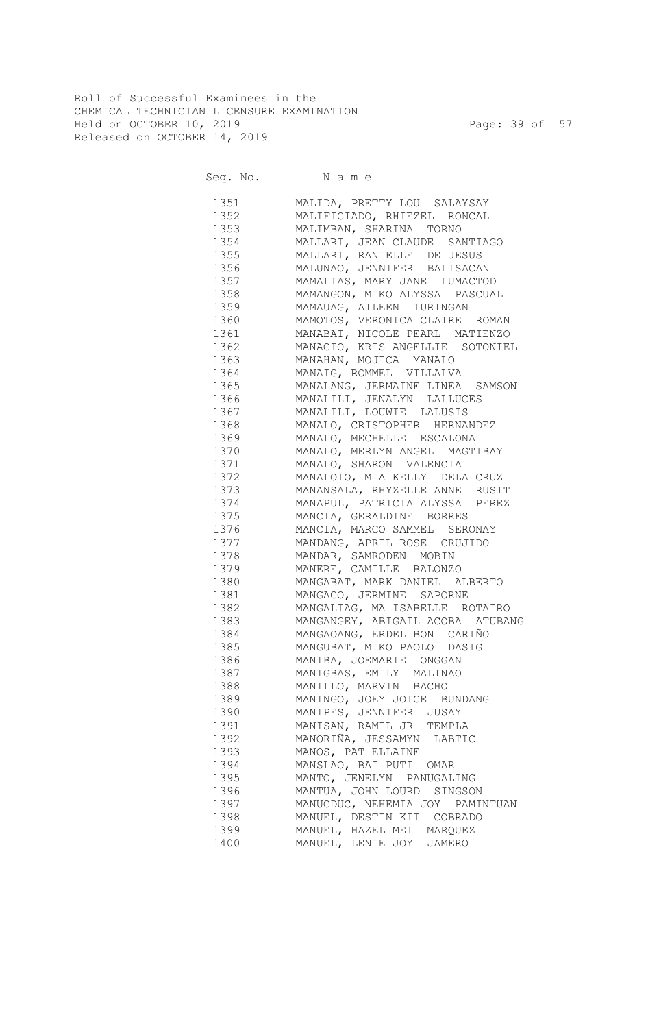Roll of Successful Examinees in the CHEMICAL TECHNICIAN LICENSURE EXAMINATION Held on OCTOBER 10, 2019 Page: 39 of 57 Released on OCTOBER 14, 2019

Seq. No. Name

 1351 MALIDA, PRETTY LOU SALAYSAY 1352 MALIFICIADO, RHIEZEL RONCAL 1353 MALIMBAN, SHARINA TORNO 1354 MALLARI, JEAN CLAUDE SANTIAGO 1355 MALLARI, RANIELLE DE JESUS 1356 MALUNAO, JENNIFER BALISACAN 1357 MAMALIAS, MARY JANE LUMACTOD 1358 MAMANGON, MIKO ALYSSA PASCUAL 1359 MAMAUAG, AILEEN TURINGAN 1360 MAMOTOS, VERONICA CLAIRE ROMAN 1361 MANABAT, NICOLE PEARL MATIENZO 1362 MANACIO, KRIS ANGELLIE SOTONIEL 1363 MANAHAN, MOJICA MANALO 1364 MANAIG, ROMMEL VILLALVA 1365 MANALANG, JERMAINE LINEA SAMSON 1366 MANALILI, JENALYN LALLUCES 1367 MANALILI, LOUWIE LALUSIS 1368 MANALO, CRISTOPHER HERNANDEZ 1369 MANALO, MECHELLE ESCALONA 1370 MANALO, MERLYN ANGEL MAGTIBAY 1371 MANALO, SHARON VALENCIA 1372 MANALOTO, MIA KELLY DELA CRUZ 1373 MANANSALA, RHYZELLE ANNE RUSIT 1374 MANAPUL, PATRICIA ALYSSA PEREZ 1375 MANCIA, GERALDINE BORRES 1376 MANCIA, MARCO SAMMEL SERONAY 1377 MANDANG, APRIL ROSE CRUJIDO 1378 MANDAR, SAMRODEN MOBIN 1379 MANERE, CAMILLE BALONZO 1380 MANGABAT, MARK DANIEL ALBERTO 1381 MANGACO, JERMINE SAPORNE 1382 MANGALIAG, MA ISABELLE ROTAIRO 1383 MANGANGEY, ABIGAIL ACOBA ATUBANG 1384 MANGAOANG, ERDEL BON CARIÑO 1385 MANGUBAT, MIKO PAOLO DASIG 1386 MANIBA, JOEMARIE ONGGAN 1387 MANIGBAS, EMILY MALINAO 1388 MANILLO, MARVIN BACHO 1389 MANINGO, JOEY JOICE BUNDANG 1390 MANIPES, JENNIFER JUSAY 1391 MANISAN, RAMIL JR TEMPLA 1392 MANORIÑA, JESSAMYN LABTIC 1393 MANOS, PAT ELLAINE 1394 MANSLAO, BAI PUTI OMAR 1395 MANTO, JENELYN PANUGALING 1396 MANTUA, JOHN LOURD SINGSON 1397 MANUCDUC, NEHEMIA JOY PAMINTUAN 1398 MANUEL, DESTIN KIT COBRADO 1399 MANUEL, HAZEL MEI MARQUEZ 1400 MANUEL, LENIE JOY JAMERO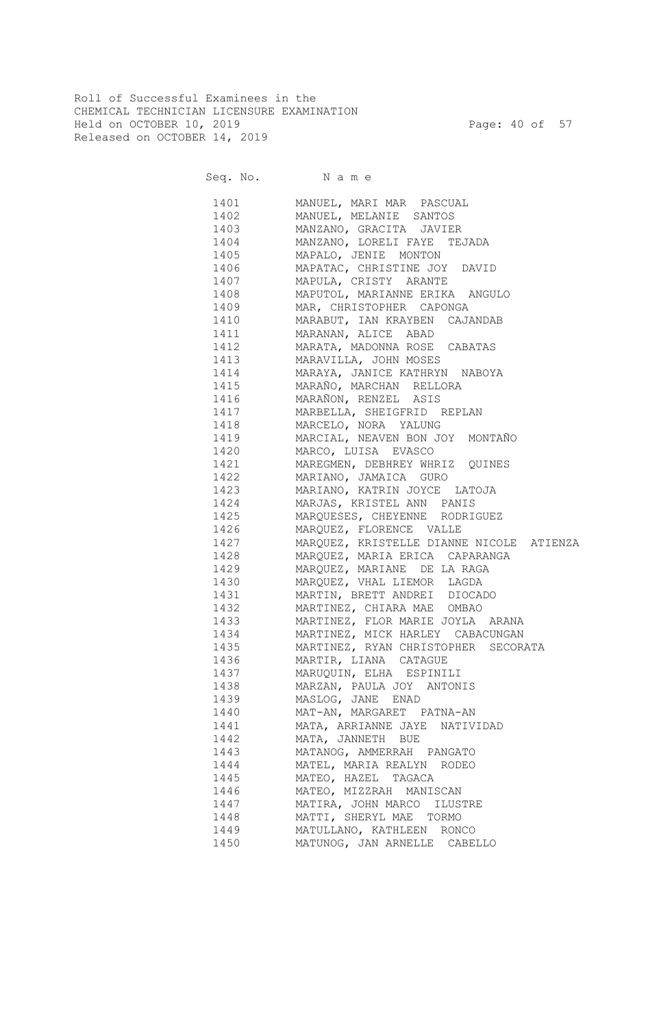Roll of Successful Examinees in the CHEMICAL TECHNICIAN LICENSURE EXAMINATION Held on OCTOBER 10, 2019 Page: 40 of 57 Released on OCTOBER 14, 2019

Seq. No. Name

 1401 MANUEL, MARI MAR PASCUAL 1402 MANUEL, MELANIE SANTOS 1403 MANZANO, GRACITA JAVIER 1404 MANZANO, LORELI FAYE TEJADA 1405 MAPALO, JENIE MONTON 1406 MAPATAC, CHRISTINE JOY DAVID 1407 MAPULA, CRISTY ARANTE 1408 MAPUTOL, MARIANNE ERIKA ANGULO 1409 MAR, CHRISTOPHER CAPONGA 1410 MARABUT, IAN KRAYBEN CAJANDAB 1411 MARANAN, ALICE ABAD 1412 MARATA, MADONNA ROSE CABATAS 1413 MARAVILLA, JOHN MOSES 1414 MARAYA, JANICE KATHRYN NABOYA 1415 MARAÑO, MARCHAN RELLORA 1416 MARAÑON, RENZEL ASIS 1417 MARBELLA, SHEIGFRID REPLAN 1418 MARCELO, NORA YALUNG 1419 MARCIAL, NEAVEN BON JOY MONTAÑO 1420 MARCO, LUISA EVASCO 1421 MAREGMEN, DEBHREY WHRIZ QUINES 1422 MARIANO, JAMAICA GURO 1423 MARIANO, KATRIN JOYCE LATOJA 1424 MARJAS, KRISTEL ANN PANIS 1425 MARQUESES, CHEYENNE RODRIGUEZ 1426 MARQUEZ, FLORENCE VALLE 1427 MARQUEZ, KRISTELLE DIANNE NICOLE ATIENZA 1428 MARQUEZ, MARIA ERICA CAPARANGA 1429 MARQUEZ, MARIANE DE LA RAGA 1430 MARQUEZ, VHAL LIEMOR LAGDA 1431 MARTIN, BRETT ANDREI DIOCADO 1432 MARTINEZ, CHIARA MAE OMBAO 1433 MARTINEZ, FLOR MARIE JOYLA ARANA 1434 MARTINEZ, MICK HARLEY CABACUNGAN 1435 MARTINEZ, RYAN CHRISTOPHER SECORATA 1436 MARTIR, LIANA CATAGUE 1437 MARUQUIN, ELHA ESPINILI 1438 MARZAN, PAULA JOY ANTONIS 1439 MASLOG, JANE ENAD 1440 MAT-AN, MARGARET PATNA-AN 1441 MATA, ARRIANNE JAYE NATIVIDAD 1442 MATA, JANNETH BUE 1443 MATANOG, AMMERRAH PANGATO 1444 MATEL, MARIA REALYN RODEO 1445 MATEO, HAZEL TAGACA 1446 MATEO, MIZZRAH MANISCAN 1447 MATIRA, JOHN MARCO ILUSTRE 1448 MATTI, SHERYL MAE TORMO 1449 MATULLANO, KATHLEEN RONCO 1450 MATUNOG, JAN ARNELLE CABELLO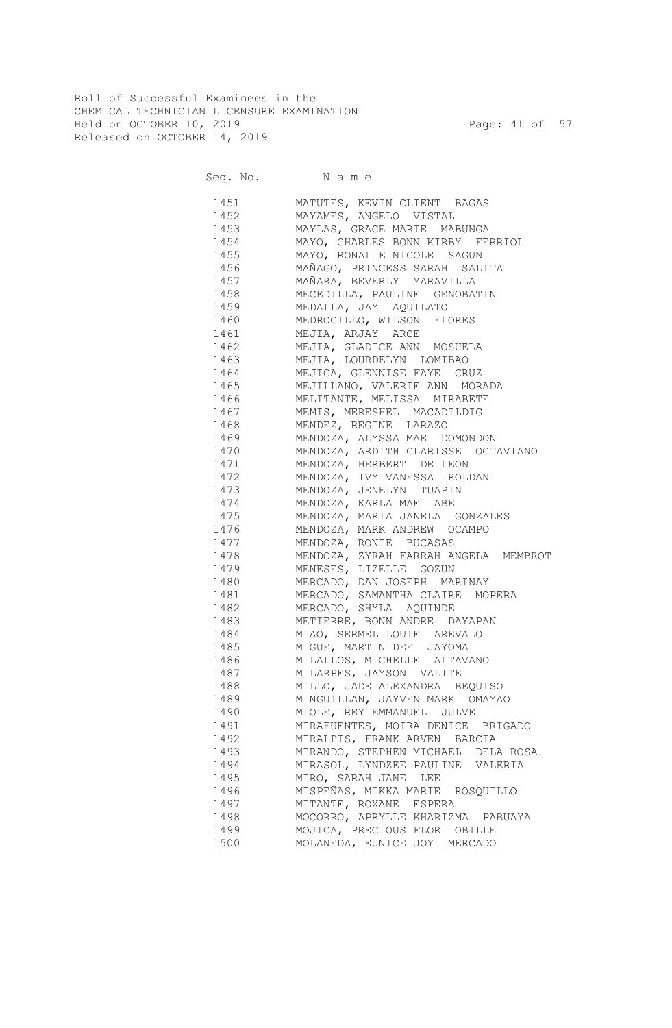Roll of Successful Examinees in the CHEMICAL TECHNICIAN LICENSURE EXAMINATION Held on OCTOBER 10, 2019 Page: 41 of 57 Released on OCTOBER 14, 2019

Seq. No. Name 1451 MATUTES, KEVIN CLIENT BAGAS 1452 MAYAMES, ANGELO VISTAL 1453 MAYLAS, GRACE MARIE MABUNGA 1454 MAYO, CHARLES BONN KIRBY FERRIOL 1455 MAYO, RONALIE NICOLE SAGUN 1456 MAÑAGO, PRINCESS SARAH SALITA 1457 MAÑARA, BEVERLY MARAVILLA 1458 MECEDILLA, PAULINE GENOBATIN 1459 MEDALLA, JAY AQUILATO 1460 MEDROCILLO, WILSON FLORES 1461 MEJIA, ARJAY ARCE 1462 MEJIA, GLADICE ANN MOSUELA 1463 MEJIA, LOURDELYN LOMIBAO 1464 MEJICA, GLENNISE FAYE CRUZ 1465 MEJILLANO, VALERIE ANN MORADA 1466 MELITANTE, MELISSA MIRABETE 1467 MEMIS, MERESHEL MACADILDIG 1468 MENDEZ, REGINE LARAZO 1469 MENDOZA, ALYSSA MAE DOMONDON 1470 MENDOZA, ARDITH CLARISSE OCTAVIANO 1471 MENDOZA, HERBERT DE LEON 1472 MENDOZA, IVY VANESSA ROLDAN 1473 MENDOZA, JENELYN TUAPIN 1474 MENDOZA, KARLA MAE ABE 1475 MENDOZA, MARIA JANELA GONZALES 1476 MENDOZA, MARK ANDREW OCAMPO 1477 MENDOZA, RONIE BUCASAS 1478 MENDOZA, ZYRAH FARRAH ANGELA MEMBROT 1479 MENESES, LIZELLE GOZUN 1480 MERCADO, DAN JOSEPH MARINAY 1481 MERCADO, SAMANTHA CLAIRE MOPERA 1482 MERCADO, SHYLA AQUINDE 1483 METIERRE, BONN ANDRE DAYAPAN 1484 MIAO, SERMEL LOUIE AREVALO 1485 MIGUE, MARTIN DEE JAYOMA 1486 MILALLOS, MICHELLE ALTAVANO 1487 MILARPES, JAYSON VALITE 1488 MILLO, JADE ALEXANDRA BEQUISO 1489 MINGUILLAN, JAYVEN MARK OMAYAO 1490 MIOLE, REY EMMANUEL JULVE 1491 MIRAFUENTES, MOIRA DENICE BRIGADO 1492 MIRALPIS, FRANK ARVEN BARCIA 1493 MIRANDO, STEPHEN MICHAEL DELA ROSA 1494 MIRASOL, LYNDZEE PAULINE VALERIA 1495 MIRO, SARAH JANE LEE 1496 MISPEÑAS, MIKKA MARIE ROSQUILLO 1497 MITANTE, ROXANE ESPERA 1498 MOCORRO, APRYLLE KHARIZMA PABUAYA 1499 MOJICA, PRECIOUS FLOR OBILLE

1500 MOLANEDA, EUNICE JOY MERCADO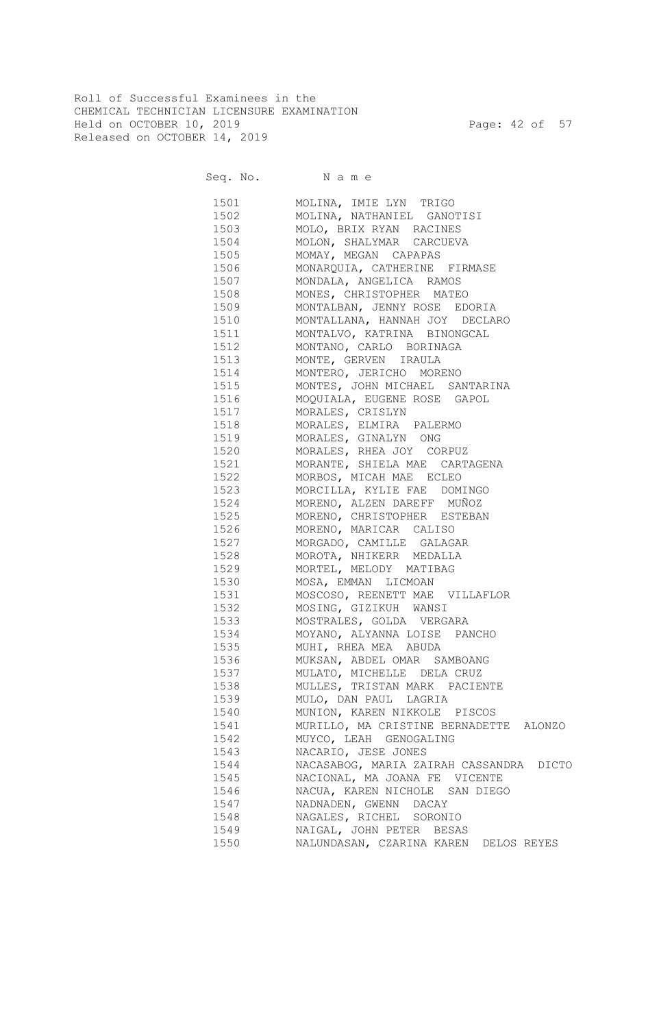Roll of Successful Examinees in the CHEMICAL TECHNICIAN LICENSURE EXAMINATION Held on OCTOBER 10, 2019 Page: 42 of 57 Released on OCTOBER 14, 2019

Seq. No. Name

 1501 MOLINA, IMIE LYN TRIGO 1502 MOLINA, NATHANIEL GANOTISI 1503 MOLO, BRIX RYAN RACINES 1504 MOLON, SHALYMAR CARCUEVA 1505 MOMAY, MEGAN CAPAPAS 1506 MONARQUIA, CATHERINE FIRMASE 1507 MONDALA, ANGELICA RAMOS 1508 MONES, CHRISTOPHER MATEO 1509 MONTALBAN, JENNY ROSE EDORIA 1510 MONTALLANA, HANNAH JOY DECLARO 1511 MONTALVO, KATRINA BINONGCAL 1512 MONTANO, CARLO BORINAGA 1513 MONTE, GERVEN IRAULA 1514 MONTERO, JERICHO MORENO 1515 MONTES, JOHN MICHAEL SANTARINA 1516 MOQUIALA, EUGENE ROSE GAPOL 1517 MORALES, CRISLYN 1518 MORALES, ELMIRA PALERMO 1519 MORALES, GINALYN ONG 1520 MORALES, RHEA JOY CORPUZ 1521 MORANTE, SHIELA MAE CARTAGENA 1522 MORBOS, MICAH MAE ECLEO 1523 MORCILLA, KYLIE FAE DOMINGO 1524 MORENO, ALZEN DAREFF MUÑOZ 1525 MORENO, CHRISTOPHER ESTEBAN 1526 MORENO, MARICAR CALISO 1527 MORGADO, CAMILLE GALAGAR 1528 MOROTA, NHIKERR MEDALLA 1529 MORTEL, MELODY MATIBAG 1530 MOSA, EMMAN LICMOAN 1531 MOSCOSO, REENETT MAE VILLAFLOR 1532 MOSING, GIZIKUH WANSI 1533 MOSTRALES, GOLDA VERGARA 1534 MOYANO, ALYANNA LOISE PANCHO 1535 MUHI, RHEA MEA ABUDA 1536 MUKSAN, ABDEL OMAR SAMBOANG 1537 MULATO, MICHELLE DELA CRUZ 1538 MULLES, TRISTAN MARK PACIENTE 1539 MULO, DAN PAUL LAGRIA 1540 MUNION, KAREN NIKKOLE PISCOS 1541 MURILLO, MA CRISTINE BERNADETTE ALONZO 1542 MUYCO, LEAH GENOGALING 1543 NACARIO, JESE JONES 1544 NACASABOG, MARIA ZAIRAH CASSANDRA DICTO 1545 NACIONAL, MA JOANA FE VICENTE 1546 NACUA, KAREN NICHOLE SAN DIEGO 1547 NADNADEN, GWENN DACAY 1548 NAGALES, RICHEL SORONIO 1549 NAIGAL, JOHN PETER BESAS 1550 NALUNDASAN, CZARINA KAREN DELOS REYES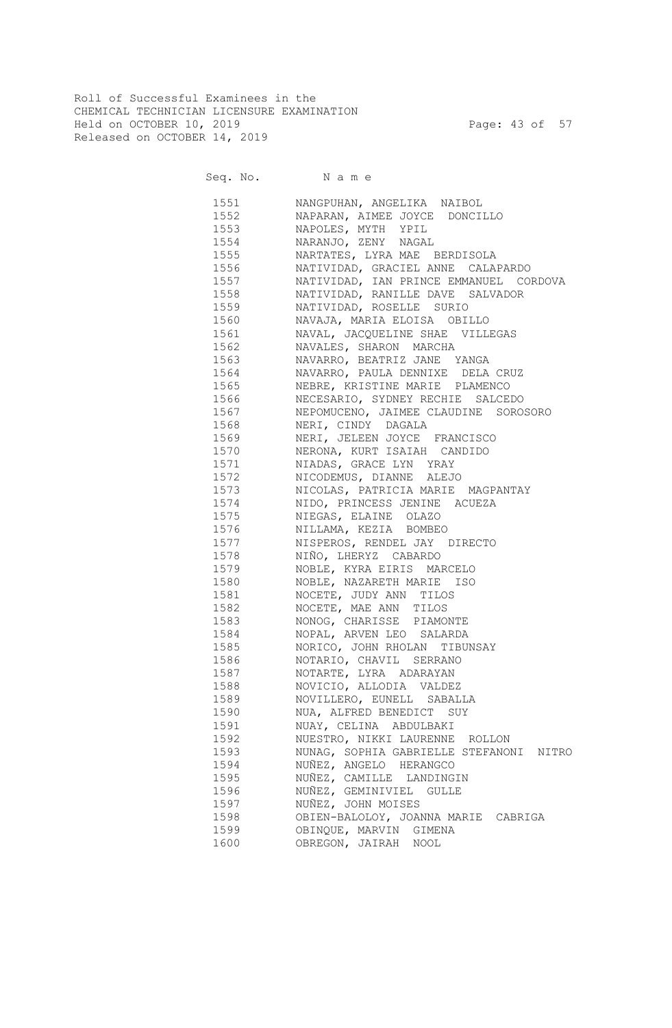Roll of Successful Examinees in the CHEMICAL TECHNICIAN LICENSURE EXAMINATION Held on OCTOBER 10, 2019 Page: 43 of 57 Released on OCTOBER 14, 2019

Seq. No. Name

 1551 NANGPUHAN, ANGELIKA NAIBOL 1552 NAPARAN, AIMEE JOYCE DONCILLO 1553 NAPOLES, MYTH YPIL 1554 NARANJO, ZENY NAGAL 1555 NARTATES, LYRA MAE BERDISOLA 1556 NATIVIDAD, GRACIEL ANNE CALAPARDO 1557 NATIVIDAD, IAN PRINCE EMMANUEL CORDOVA 1558 NATIVIDAD, RANILLE DAVE SALVADOR 1559 NATIVIDAD, ROSELLE SURIO 1560 NAVAJA, MARIA ELOISA OBILLO 1561 NAVAL, JACQUELINE SHAE VILLEGAS 1562 NAVALES, SHARON MARCHA 1563 NAVARRO, BEATRIZ JANE YANGA 1564 NAVARRO, PAULA DENNIXE DELA CRUZ 1565 NEBRE, KRISTINE MARIE PLAMENCO 1566 NECESARIO, SYDNEY RECHIE SALCEDO 1567 NEPOMUCENO, JAIMEE CLAUDINE SOROSORO 1568 NERI, CINDY DAGALA 1569 NERI, JELEEN JOYCE FRANCISCO 1570 NERONA, KURT ISAIAH CANDIDO 1571 NIADAS, GRACE LYN YRAY 1572 NICODEMUS, DIANNE ALEJO 1573 NICOLAS, PATRICIA MARIE MAGPANTAY 1574 NIDO, PRINCESS JENINE ACUEZA 1575 NIEGAS, ELAINE OLAZO 1576 NILLAMA, KEZIA BOMBEO 1577 NISPEROS, RENDEL JAY DIRECTO 1578 NIÑO, LHERYZ CABARDO 1579 NOBLE, KYRA EIRIS MARCELO 1580 NOBLE, NAZARETH MARIE ISO 1581 NOCETE, JUDY ANN TILOS 1582 NOCETE, MAE ANN TILOS 1583 NONOG, CHARISSE PIAMONTE 1584 NOPAL, ARVEN LEO SALARDA 1585 NORICO, JOHN RHOLAN TIBUNSAY 1586 NOTARIO, CHAVIL SERRANO 1587 NOTARTE, LYRA ADARAYAN 1588 NOVICIO, ALLODIA VALDEZ 1589 NOVILLERO, EUNELL SABALLA 1590 NUA, ALFRED BENEDICT SUY 1591 NUAY, CELINA ABDULBAKI 1592 NUESTRO, NIKKI LAURENNE ROLLON 1593 NUNAG, SOPHIA GABRIELLE STEFANONI NITRO 1594 NUÑEZ, ANGELO HERANGCO 1595 NUÑEZ, CAMILLE LANDINGIN 1596 NUÑEZ, GEMINIVIEL GULLE 1597 NUÑEZ, JOHN MOISES 1598 OBIEN-BALOLOY, JOANNA MARIE CABRIGA 1599 OBINQUE, MARVIN GIMENA 1600 OBREGON, JAIRAH NOOL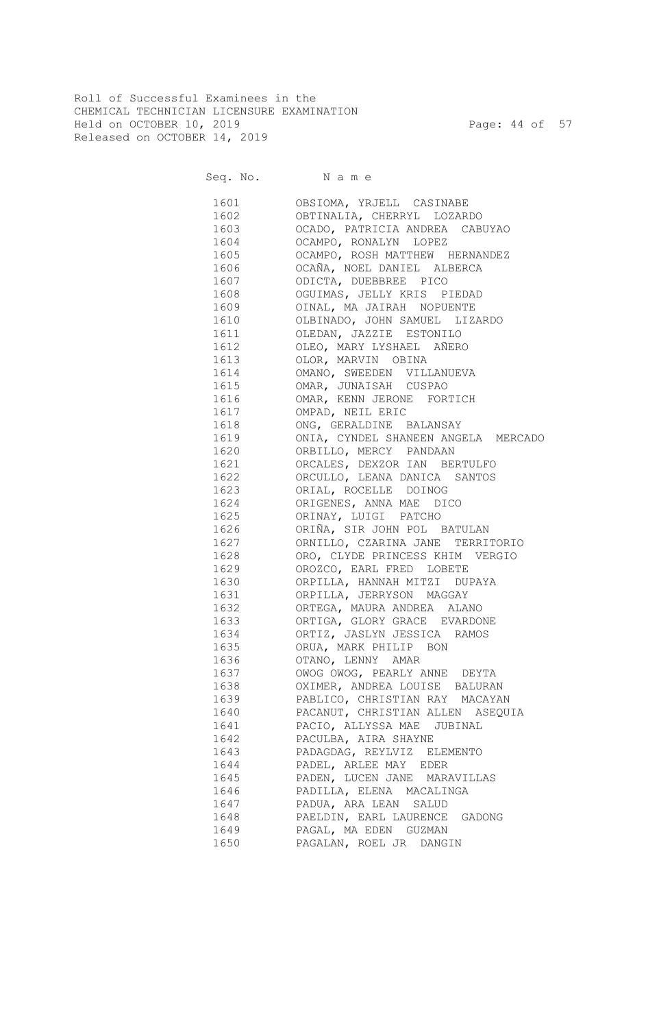Roll of Successful Examinees in the CHEMICAL TECHNICIAN LICENSURE EXAMINATION Held on OCTOBER 10, 2019 Page: 44 of 57 Released on OCTOBER 14, 2019

Seq. No. Name

 1601 OBSIOMA, YRJELL CASINABE 1602 OBTINALIA, CHERRYL LOZARDO 1603 OCADO, PATRICIA ANDREA CABUYAO 1604 OCAMPO, RONALYN LOPEZ 1605 OCAMPO, ROSH MATTHEW HERNANDEZ 1606 OCAÑA, NOEL DANIEL ALBERCA 1607 ODICTA, DUEBBREE PICO 1608 OGUIMAS, JELLY KRIS PIEDAD 1609 OINAL, MA JAIRAH NOPUENTE 1610 OLBINADO, JOHN SAMUEL LIZARDO 1611 OLEDAN, JAZZIE ESTONILO 1612 OLEO, MARY LYSHAEL AÑERO 1613 OLOR, MARVIN OBINA 1614 OMANO, SWEEDEN VILLANUEVA 1615 OMAR, JUNAISAH CUSPAO 1616 OMAR, KENN JERONE FORTICH 1617 OMPAD, NEIL ERIC 1618 ONG, GERALDINE BALANSAY 1619 ONIA, CYNDEL SHANEEN ANGELA MERCADO 1620 ORBILLO, MERCY PANDAAN 1621 ORCALES, DEXZOR IAN BERTULFO 1622 ORCULLO, LEANA DANICA SANTOS 1623 ORIAL, ROCELLE DOINOG 1624 ORIGENES, ANNA MAE DICO 1625 ORINAY, LUIGI PATCHO 1626 ORIÑA, SIR JOHN POL BATULAN 1627 ORNILLO, CZARINA JANE TERRITORIO 1628 ORO, CLYDE PRINCESS KHIM VERGIO 1629 OROZCO, EARL FRED LOBETE 1630 ORPILLA, HANNAH MITZI DUPAYA 1631 ORPILLA, JERRYSON MAGGAY 1632 ORTEGA, MAURA ANDREA ALANO 1633 ORTIGA, GLORY GRACE EVARDONE 1634 ORTIZ, JASLYN JESSICA RAMOS 1635 ORUA, MARK PHILIP BON 1636 OTANO, LENNY AMAR 1637 OWOG OWOG, PEARLY ANNE DEYTA 1638 OXIMER, ANDREA LOUISE BALURAN 1639 PABLICO, CHRISTIAN RAY MACAYAN 1640 PACANUT, CHRISTIAN ALLEN ASEQUIA 1641 PACIO, ALLYSSA MAE JUBINAL 1642 PACULBA, AIRA SHAYNE 1643 PADAGDAG, REYLVIZ ELEMENTO 1644 PADEL, ARLEE MAY EDER 1645 PADEN, LUCEN JANE MARAVILLAS 1646 PADILLA, ELENA MACALINGA 1647 PADUA, ARA LEAN SALUD 1648 PAELDIN, EARL LAURENCE GADONG 1649 PAGAL, MA EDEN GUZMAN 1650 PAGALAN, ROEL JR DANGIN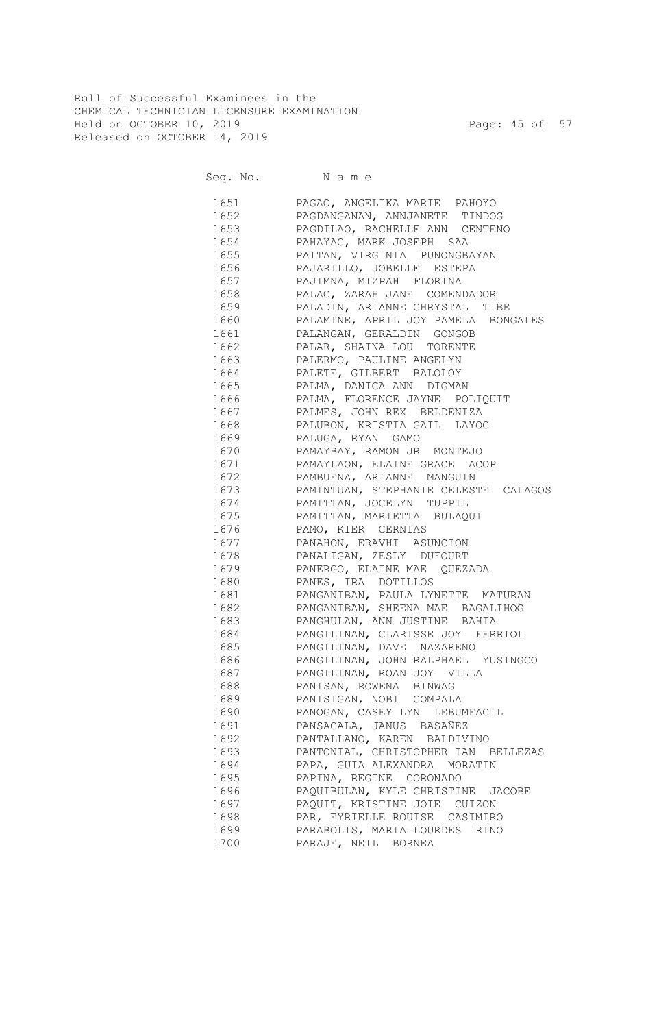Roll of Successful Examinees in the CHEMICAL TECHNICIAN LICENSURE EXAMINATION Held on OCTOBER 10, 2019 Page: 45 of 57 Released on OCTOBER 14, 2019

Seq. No. Name

 1651 PAGAO, ANGELIKA MARIE PAHOYO 1652 PAGDANGANAN, ANNJANETE TINDOG 1653 PAGDILAO, RACHELLE ANN CENTENO 1654 PAHAYAC, MARK JOSEPH SAA 1655 PAITAN, VIRGINIA PUNONGBAYAN 1656 PAJARILLO, JOBELLE ESTEPA 1657 PAJIMNA, MIZPAH FLORINA 1658 PALAC, ZARAH JANE COMENDADOR 1659 PALADIN, ARIANNE CHRYSTAL TIBE 1660 PALAMINE, APRIL JOY PAMELA BONGALES 1661 PALANGAN, GERALDIN GONGOB 1662 PALAR, SHAINA LOU TORENTE 1663 PALERMO, PAULINE ANGELYN 1664 PALETE, GILBERT BALOLOY 1665 PALMA, DANICA ANN DIGMAN 1666 PALMA, FLORENCE JAYNE POLIQUIT 1667 PALMES, JOHN REX BELDENIZA 1668 PALUBON, KRISTIA GAIL LAYOC 1669 PALUGA, RYAN GAMO 1670 PAMAYBAY, RAMON JR MONTEJO 1671 PAMAYLAON, ELAINE GRACE ACOP 1672 PAMBUENA, ARIANNE MANGUIN 1673 PAMINTUAN, STEPHANIE CELESTE CALAGOS 1674 PAMITTAN, JOCELYN TUPPIL 1675 PAMITTAN, MARIETTA BULAQUI 1676 PAMO, KIER CERNIAS 1677 PANAHON, ERAVHI ASUNCION 1678 PANALIGAN, ZESLY DUFOURT 1679 PANERGO, ELAINE MAE QUEZADA 1680 PANES, IRA DOTILLOS 1681 PANGANIBAN, PAULA LYNETTE MATURAN 1682 PANGANIBAN, SHEENA MAE BAGALIHOG 1683 PANGHULAN, ANN JUSTINE BAHIA 1684 PANGILINAN, CLARISSE JOY FERRIOL 1685 PANGILINAN, DAVE NAZARENO 1686 PANGILINAN, JOHN RALPHAEL YUSINGCO 1687 PANGILINAN, ROAN JOY VILLA 1688 PANISAN, ROWENA BINWAG 1689 PANISIGAN, NOBI COMPALA 1690 PANOGAN, CASEY LYN LEBUMFACIL 1691 PANSACALA, JANUS BASAÑEZ 1692 PANTALLANO, KAREN BALDIVINO 1693 PANTONIAL, CHRISTOPHER IAN BELLEZAS 1694 PAPA, GUIA ALEXANDRA MORATIN 1695 PAPINA, REGINE CORONADO 1696 PAQUIBULAN, KYLE CHRISTINE JACOBE 1697 PAQUIT, KRISTINE JOIE CUIZON 1698 PAR, EYRIELLE ROUISE CASIMIRO 1699 PARABOLIS, MARIA LOURDES RINO 1700 PARAJE, NEIL BORNEA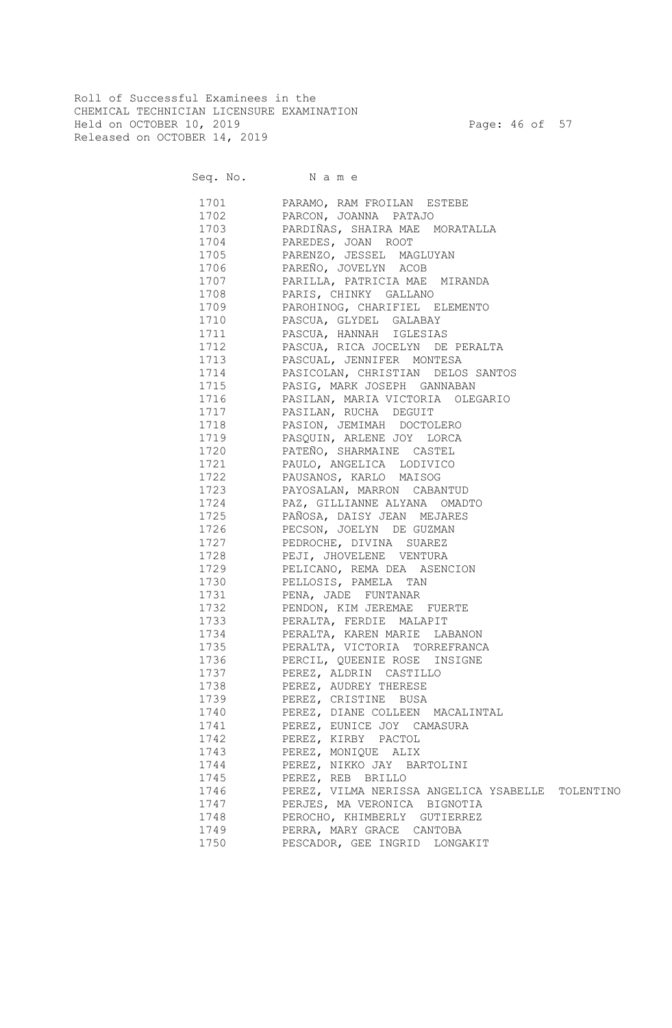Roll of Successful Examinees in the CHEMICAL TECHNICIAN LICENSURE EXAMINATION Held on OCTOBER 10, 2019 Page: 46 of 57 Released on OCTOBER 14, 2019

Seq. No. Name

|      | 1701 PARAMO, RAM FROILAN ESTEBE                  |
|------|--------------------------------------------------|
|      | 1702 PARCON, JOANNA PATAJO                       |
|      | 1703 PARDIÑAS, SHAIRA MAE MORATALLA              |
|      | 1704 PAREDES, JOAN ROOT                          |
|      | 1705 PARENZO, JESSEL MAGLUYAN                    |
|      | 1706 PAREÑO, JOVELYN ACOB                        |
|      | 1707 PARILLA, PATRICIA MAE MIRANDA               |
|      | 1708 PARIS, CHINKY GALLANO                       |
|      | 1709 PAROHINOG, CHARIFIEL ELEMENTO               |
|      | 1710 PASCUA, GLYDEL GALABAY                      |
|      | 1711 PASCUA, HANNAH IGLESIAS                     |
|      | 1712 PASCUA, RICA JOCELYN DE PERALTA             |
|      | 1713 PASCUAL, JENNIFER MONTESA                   |
|      | 1714 PASICOLAN, CHRISTIAN DELOS SANTOS           |
|      | 1715 PASIG, MARK JOSEPH GANNABAN                 |
|      | 1716 PASILAN, MARIA VICTORIA OLEGARIO            |
|      | 1717 PASILAN, RUCHA DEGUIT                       |
|      | 1718 PASION, JEMIMAH DOCTOLERO                   |
|      | 1719 PASQUIN, ARLENE JOY LORCA                   |
|      | 1720 PATEÑO, SHARMAINE CASTEL                    |
|      | 1721 PAULO, ANGELICA LODIVICO                    |
|      | 1722 PAUSANOS, KARLO MAISOG                      |
|      | 1723 PAYOSALAN, MARRON CABANTUD                  |
|      | 1724 PAZ, GILLIANNE ALYANA OMADTO                |
|      | 1725 PAÑOSA, DAISY JEAN MEJARES                  |
|      | 1726 PECSON, JOELYN DE GUZMAN                    |
|      | 1727 PEDROCHE, DIVINA SUAREZ                     |
|      | 1728 PEJI, JHOVELENE VENTURA                     |
|      | 1729 PELICANO, REMA DEA ASENCION                 |
|      | 1730 PELLOSIS, PAMELA TAN                        |
|      | 1731 PENA, JADE FUNTANAR                         |
|      | 1732 PENDON, KIM JEREMAE FUERTE                  |
|      | 1733 PERALTA, FERDIE MALAPIT                     |
| 1734 | PERALTA, KAREN MARIE LABANON                     |
| 1735 | PERALTA, VICTORIA TORREFRANCA                    |
| 1736 | PERCIL, QUEENIE ROSE INSIGNE                     |
| 1737 | PEREZ, ALDRIN CASTILLO                           |
| 1738 | PEREZ, AUDREY THERESE                            |
| 1739 | PEREZ, CRISTINE BUSA                             |
| 1740 | PEREZ, DIANE COLLEEN MACALINTAL                  |
| 1741 | PEREZ, EUNICE JOY CAMASURA                       |
| 1742 | PEREZ, KIRBY PACTOL                              |
| 1743 | PEREZ, MONIQUE ALIX                              |
| 1744 | PEREZ, NIKKO JAY BARTOLINI                       |
| 1745 | PEREZ, REB BRILLO                                |
| 1746 | PEREZ, VILMA NERISSA ANGELICA YSABELLE TOLENTINO |
| 1747 | PERJES, MA VERONICA BIGNOTIA                     |
| 1748 | PEROCHO, KHIMBERLY GUTIERREZ                     |
| 1749 | PERRA, MARY GRACE CANTOBA                        |
| 1750 | PESCADOR, GEE INGRID LONGAKIT                    |
|      |                                                  |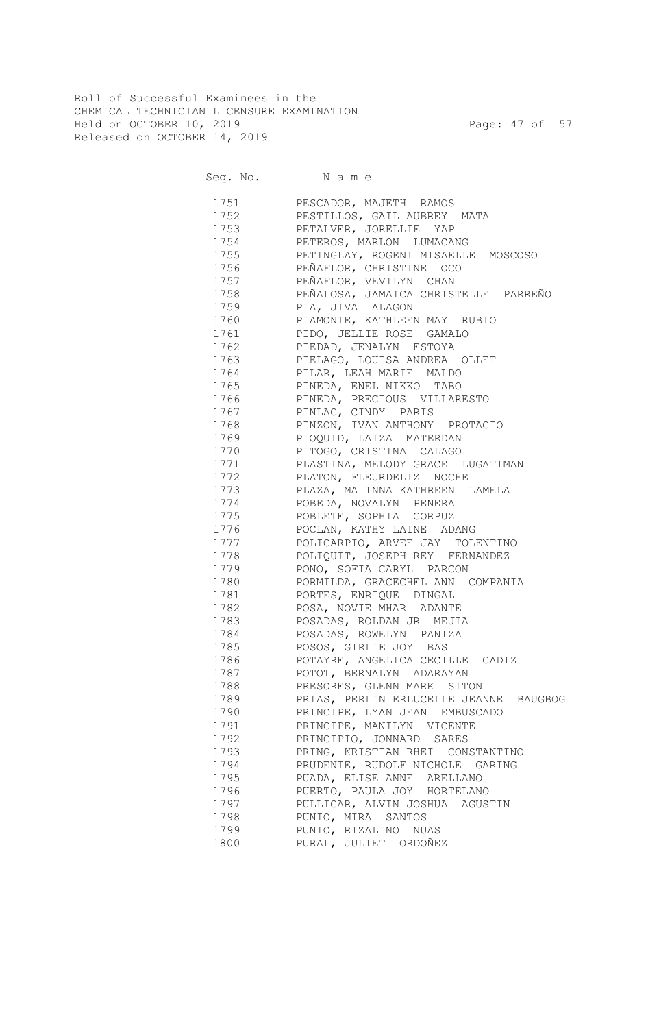Roll of Successful Examinees in the CHEMICAL TECHNICIAN LICENSURE EXAMINATION Held on OCTOBER 10, 2019 Page: 47 of 57 Released on OCTOBER 14, 2019

Seq. No. Name

 1751 PESCADOR, MAJETH RAMOS 1752 PESTILLOS, GAIL AUBREY MATA 1753 PETALVER, JORELLIE YAP 1754 PETEROS, MARLON LUMACANG 1755 PETINGLAY, ROGENI MISAELLE MOSCOSO 1756 PEÑAFLOR, CHRISTINE OCO 1757 PEÑAFLOR, VEVILYN CHAN 1758 PEÑALOSA, JAMAICA CHRISTELLE PARREÑO 1759 PIA, JIVA ALAGON 1760 PIAMONTE, KATHLEEN MAY RUBIO 1761 PIDO, JELLIE ROSE GAMALO 1762 PIEDAD, JENALYN ESTOYA 1763 PIELAGO, LOUISA ANDREA OLLET 1764 PILAR, LEAH MARIE MALDO 1765 PINEDA, ENEL NIKKO TABO 1766 PINEDA, PRECIOUS VILLARESTO 1767 PINLAC, CINDY PARIS 1768 PINZON, IVAN ANTHONY PROTACIO 1769 PIOQUID, LAIZA MATERDAN 1770 PITOGO, CRISTINA CALAGO 1771 PLASTINA, MELODY GRACE LUGATIMAN 1772 PLATON, FLEURDELIZ NOCHE 1773 PLAZA, MA INNA KATHREEN LAMELA 1774 POBEDA, NOVALYN PENERA 1775 POBLETE, SOPHIA CORPUZ 1776 POCLAN, KATHY LAINE ADANG 1777 POLICARPIO, ARVEE JAY TOLENTINO 1778 POLIQUIT, JOSEPH REY FERNANDEZ 1779 PONO, SOFIA CARYL PARCON 1780 PORMILDA, GRACECHEL ANN COMPANIA 1781 PORTES, ENRIQUE DINGAL 1782 POSA, NOVIE MHAR ADANTE 1783 POSADAS, ROLDAN JR MEJIA 1784 POSADAS, ROWELYN PANIZA 1785 POSOS, GIRLIE JOY BAS 1786 POTAYRE, ANGELICA CECILLE CADIZ 1787 POTOT, BERNALYN ADARAYAN 1788 PRESORES, GLENN MARK SITON 1789 PRIAS, PERLIN ERLUCELLE JEANNE BAUGBOG 1790 PRINCIPE, LYAN JEAN EMBUSCADO 1791 PRINCIPE, MANILYN VICENTE 1792 PRINCIPIO, JONNARD SARES 1793 PRING, KRISTIAN RHEI CONSTANTINO 1794 PRUDENTE, RUDOLF NICHOLE GARING 1795 PUADA, ELISE ANNE ARELLANO 1796 PUERTO, PAULA JOY HORTELANO 1797 PULLICAR, ALVIN JOSHUA AGUSTIN 1798 PUNIO, MIRA SANTOS 1799 PUNIO, RIZALINO NUAS 1800 PURAL, JULIET ORDOÑEZ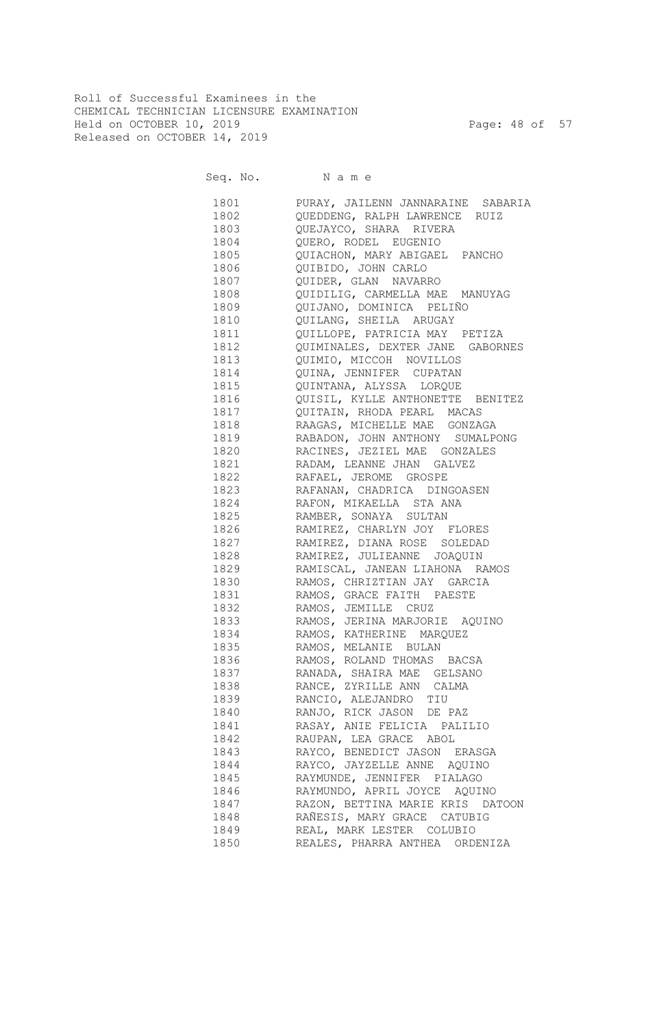Roll of Successful Examinees in the CHEMICAL TECHNICIAN LICENSURE EXAMINATION Held on OCTOBER 10, 2019 Page: 48 of 57 Released on OCTOBER 14, 2019

Seq. No. N a m e

| 1801         | PURAY, JAILENN JANNARAINE SABARIA |
|--------------|-----------------------------------|
| 1802         | QUEDDENG, RALPH LAWRENCE RUIZ     |
| 1803         | QUEJAYCO, SHARA RIVERA            |
| 1804         | QUERO, RODEL EUGENIO              |
| 1805         | QUIACHON, MARY ABIGAEL PANCHO     |
| 1806         | QUIBIDO, JOHN CARLO               |
| 1807         | QUIDER, GLAN NAVARRO              |
| 1808         | QUIDILIG, CARMELLA MAE MANUYAG    |
| 1809         | QUIJANO, DOMINICA PELIÑO          |
| 1810         | QUILANG, SHEILA ARUGAY            |
| 1811         | QUILLOPE, PATRICIA MAY PETIZA     |
| 1812         | QUIMINALES, DEXTER JANE GABORNES  |
| 1813         | QUIMIO, MICCOH NOVILLOS           |
| 1814         | QUINA, JENNIFER CUPATAN           |
| 1815         | QUINTANA, ALYSSA LORQUE           |
| 1816         | QUISIL, KYLLE ANTHONETTE BENITEZ  |
| 1817         | QUITAIN, RHODA PEARL MACAS        |
| 1818         | RAAGAS, MICHELLE MAE GONZAGA      |
| 1819         | RABADON, JOHN ANTHONY SUMALPONG   |
| 1820         | RACINES, JEZIEL MAE GONZALES      |
| 1821         | RADAM, LEANNE JHAN GALVEZ         |
| 1822         | RAFAEL, JEROME GROSPE             |
| 1823         |                                   |
|              | RAFANAN, CHADRICA DINGOASEN       |
| 1824<br>1825 | RAFON, MIKAELLA STA ANA           |
|              | RAMBER, SONAYA SULTAN             |
| 1826         | RAMIREZ, CHARLYN JOY FLORES       |
| 1827         | RAMIREZ, DIANA ROSE SOLEDAD       |
| 1828         | RAMIREZ, JULIEANNE JOAQUIN        |
| 1829         | RAMISCAL, JANEAN LIAHONA RAMOS    |
| 1830         | RAMOS, CHRIZTIAN JAY GARCIA       |
| 1831         | RAMOS, GRACE FAITH PAESTE         |
| 1832         | RAMOS, JEMILLE CRUZ               |
| 1833         | RAMOS, JERINA MARJORIE AQUINO     |
| 1834         | RAMOS, KATHERINE MARQUEZ          |
| 1835         | RAMOS, MELANIE BULAN              |
| 1836         | RAMOS, ROLAND THOMAS BACSA        |
|              | 1837 RANADA, SHAIRA MAE GELSANO   |
|              | RANCE, ZYRILLE ANN CALMA          |
| 1839         | RANCIO, ALEJANDRO TIU             |
| 1840         | RANJO, RICK JASON DE PAZ          |
| 1841         | RASAY, ANIE FELICIA PALILIO       |
| 1842         | RAUPAN, LEA GRACE ABOL            |
| 1843         | RAYCO, BENEDICT JASON ERASGA      |
| 1844         | RAYCO, JAYZELLE ANNE AQUINO       |
| 1845         | RAYMUNDE, JENNIFER PIALAGO        |
| 1846         | RAYMUNDO, APRIL JOYCE AQUINO      |
| 1847         | RAZON, BETTINA MARIE KRIS DATOON  |
| 1848         | RAÑESIS, MARY GRACE CATUBIG       |
| 1849         | REAL, MARK LESTER COLUBIO         |
| 1850         | REALES, PHARRA ANTHEA ORDENIZA    |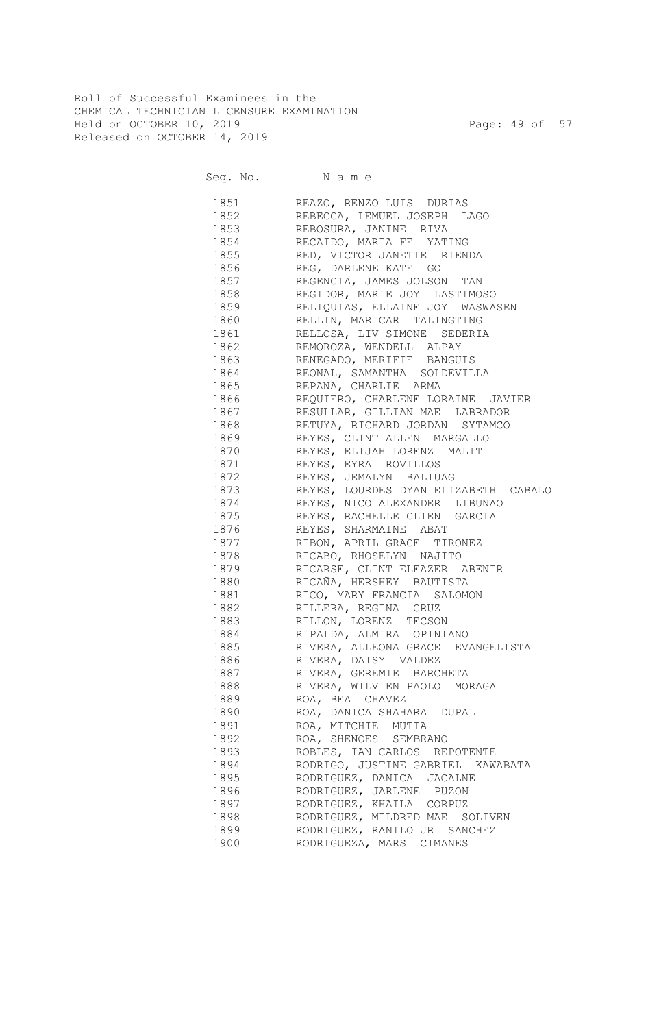Roll of Successful Examinees in the CHEMICAL TECHNICIAN LICENSURE EXAMINATION Held on OCTOBER 10, 2019 Page: 49 of 57 Released on OCTOBER 14, 2019

Seq. No. Name

 1851 REAZO, RENZO LUIS DURIAS 1852 REBECCA, LEMUEL JOSEPH LAGO 1853 REBOSURA, JANINE RIVA 1854 RECAIDO, MARIA FE YATING 1855 RED, VICTOR JANETTE RIENDA 1856 REG, DARLENE KATE GO 1857 REGENCIA, JAMES JOLSON TAN 1858 REGIDOR, MARIE JOY LASTIMOSO 1859 RELIQUIAS, ELLAINE JOY WASWASEN 1860 RELLIN, MARICAR TALINGTING 1861 RELLOSA, LIV SIMONE SEDERIA 1862 REMOROZA, WENDELL ALPAY 1863 RENEGADO, MERIFIE BANGUIS 1864 REONAL, SAMANTHA SOLDEVILLA 1865 REPANA, CHARLIE ARMA 1866 REQUIERO, CHARLENE LORAINE JAVIER 1867 RESULLAR, GILLIAN MAE LABRADOR 1868 RETUYA, RICHARD JORDAN SYTAMCO 1869 REYES, CLINT ALLEN MARGALLO 1870 REYES, ELIJAH LORENZ MALIT 1871 REYES, EYRA ROVILLOS 1872 REYES, JEMALYN BALIUAG 1873 REYES, LOURDES DYAN ELIZABETH CABALO 1874 REYES, NICO ALEXANDER LIBUNAO 1875 REYES, RACHELLE CLIEN GARCIA 1876 REYES, SHARMAINE ABAT 1877 RIBON, APRIL GRACE TIRONEZ 1878 RICABO, RHOSELYN NAJITO 1879 RICARSE, CLINT ELEAZER ABENIR 1880 RICAÑA, HERSHEY BAUTISTA 1881 RICO, MARY FRANCIA SALOMON 1882 RILLERA, REGINA CRUZ 1883 RILLON, LORENZ TECSON 1884 RIPALDA, ALMIRA OPINIANO 1885 RIVERA, ALLEONA GRACE EVANGELISTA 1886 RIVERA, DAISY VALDEZ 1887 RIVERA, GEREMIE BARCHETA 1888 RIVERA, WILVIEN PAOLO MORAGA 1889 ROA, BEA CHAVEZ 1890 ROA, DANICA SHAHARA DUPAL 1891 ROA, MITCHIE MUTIA 1892 ROA, SHENOES SEMBRANO 1893 ROBLES, IAN CARLOS REPOTENTE 1894 RODRIGO, JUSTINE GABRIEL KAWABATA 1895 RODRIGUEZ, DANICA JACALNE 1896 RODRIGUEZ, JARLENE PUZON 1897 RODRIGUEZ, KHAILA CORPUZ 1898 RODRIGUEZ, MILDRED MAE SOLIVEN 1899 RODRIGUEZ, RANILO JR SANCHEZ 1900 RODRIGUEZA, MARS CIMANES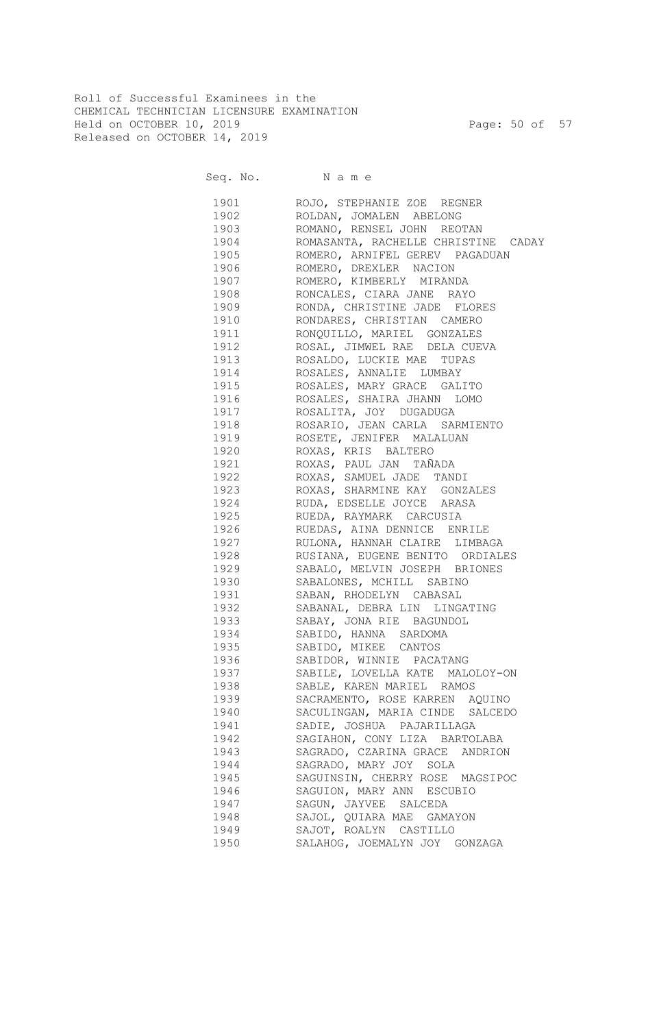Roll of Successful Examinees in the CHEMICAL TECHNICIAN LICENSURE EXAMINATION Held on OCTOBER 10, 2019 Page: 50 of 57 Released on OCTOBER 14, 2019

Seq. No. Name

 1901 ROJO, STEPHANIE ZOE REGNER 1902 ROLDAN, JOMALEN ABELONG 1903 ROMANO, RENSEL JOHN REOTAN 1904 ROMASANTA, RACHELLE CHRISTINE CADAY 1905 ROMERO, ARNIFEL GEREV PAGADUAN 1906 ROMERO, DREXLER NACION 1907 ROMERO, KIMBERLY MIRANDA 1908 RONCALES, CIARA JANE RAYO 1909 RONDA, CHRISTINE JADE FLORES 1910 RONDARES, CHRISTIAN CAMERO 1911 RONQUILLO, MARIEL GONZALES 1912 ROSAL, JIMWEL RAE DELA CUEVA 1913 ROSALDO, LUCKIE MAE TUPAS 1914 ROSALES, ANNALIE LUMBAY 1915 ROSALES, MARY GRACE GALITO 1916 ROSALES, SHAIRA JHANN LOMO 1917 ROSALITA, JOY DUGADUGA 1918 ROSARIO, JEAN CARLA SARMIENTO 1919 ROSETE, JENIFER MALALUAN 1920 ROXAS, KRIS BALTERO 1921 ROXAS, PAUL JAN TAÑADA 1922 ROXAS, SAMUEL JADE TANDI 1923 ROXAS, SHARMINE KAY GONZALES 1924 RUDA, EDSELLE JOYCE ARASA 1925 RUEDA, RAYMARK CARCUSIA 1926 RUEDAS, AINA DENNICE ENRILE 1927 RULONA, HANNAH CLAIRE LIMBAGA 1928 RUSIANA, EUGENE BENITO ORDIALES 1929 SABALO, MELVIN JOSEPH BRIONES 1930 SABALONES, MCHILL SABINO 1931 SABAN, RHODELYN CABASAL 1932 SABANAL, DEBRA LIN LINGATING 1933 SABAY, JONA RIE BAGUNDOL 1934 SABIDO, HANNA SARDOMA 1935 SABIDO, MIKEE CANTOS 1936 SABIDOR, WINNIE PACATANG 1937 SABILE, LOVELLA KATE MALOLOY-ON 1938 SABLE, KAREN MARIEL RAMOS 1939 SACRAMENTO, ROSE KARREN AQUINO 1940 SACULINGAN, MARIA CINDE SALCEDO 1941 SADIE, JOSHUA PAJARILLAGA 1942 SAGIAHON, CONY LIZA BARTOLABA 1943 SAGRADO, CZARINA GRACE ANDRION 1944 SAGRADO, MARY JOY SOLA 1945 SAGUINSIN, CHERRY ROSE MAGSIPOC 1946 SAGUION, MARY ANN ESCUBIO 1947 SAGUN, JAYVEE SALCEDA 1948 SAJOL, QUIARA MAE GAMAYON 1949 SAJOT, ROALYN CASTILLO 1950 SALAHOG, JOEMALYN JOY GONZAGA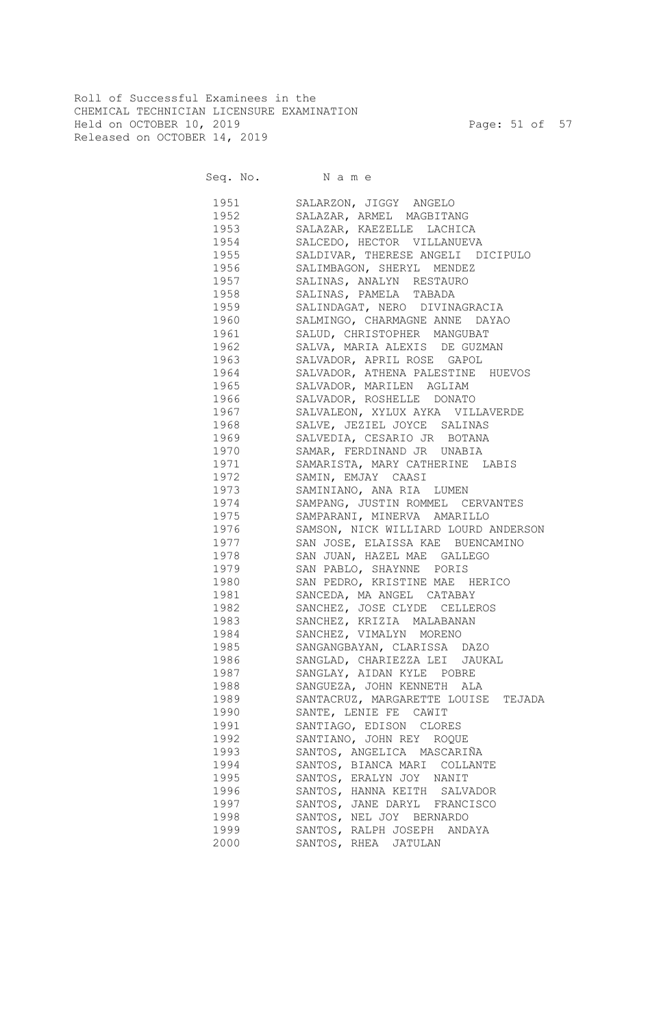Roll of Successful Examinees in the CHEMICAL TECHNICIAN LICENSURE EXAMINATION Held on OCTOBER 10, 2019 Page: 51 of 57 Released on OCTOBER 14, 2019

Seq. No. Name

 1951 SALARZON, JIGGY ANGELO 1952 SALAZAR, ARMEL MAGBITANG 1953 SALAZAR, KAEZELLE LACHICA 1954 SALCEDO, HECTOR VILLANUEVA 1955 SALDIVAR, THERESE ANGELI DICIPULO 1956 SALIMBAGON, SHERYL MENDEZ 1957 SALINAS, ANALYN RESTAURO 1958 SALINAS, PAMELA TABADA 1959 SALINDAGAT, NERO DIVINAGRACIA 1960 SALMINGO, CHARMAGNE ANNE DAYAO 1961 SALUD, CHRISTOPHER MANGUBAT 1962 SALVA, MARIA ALEXIS DE GUZMAN 1963 SALVADOR, APRIL ROSE GAPOL 1964 SALVADOR, ATHENA PALESTINE HUEVOS 1965 SALVADOR, MARILEN AGLIAM 1966 SALVADOR, ROSHELLE DONATO 1967 SALVALEON, XYLUX AYKA VILLAVERDE 1968 SALVE, JEZIEL JOYCE SALINAS 1969 SALVEDIA, CESARIO JR BOTANA 1970 SAMAR, FERDINAND JR UNABIA 1971 SAMARISTA, MARY CATHERINE LABIS 1972 SAMIN, EMJAY CAASI 1973 SAMINIANO, ANA RIA LUMEN 1974 SAMPANG, JUSTIN ROMMEL CERVANTES 1975 SAMPARANI, MINERVA AMARILLO 1976 SAMSON, NICK WILLIARD LOURD ANDERSON 1977 SAN JOSE, ELAISSA KAE BUENCAMINO 1978 SAN JUAN, HAZEL MAE GALLEGO 1979 SAN PABLO, SHAYNNE PORIS 1980 SAN PEDRO, KRISTINE MAE HERICO 1981 SANCEDA, MA ANGEL CATABAY 1982 SANCHEZ, JOSE CLYDE CELLEROS 1983 SANCHEZ, KRIZIA MALABANAN 1984 SANCHEZ, VIMALYN MORENO 1985 SANGANGBAYAN, CLARISSA DAZO 1986 SANGLAD, CHARIEZZA LEI JAUKAL 1987 SANGLAY, AIDAN KYLE POBRE 1988 SANGUEZA, JOHN KENNETH ALA 1989 SANTACRUZ, MARGARETTE LOUISE TEJADA 1990 SANTE, LENIE FE CAWIT 1991 SANTIAGO, EDISON CLORES 1992 SANTIANO, JOHN REY ROQUE 1993 SANTOS, ANGELICA MASCARIÑA 1994 SANTOS, BIANCA MARI COLLANTE 1995 SANTOS, ERALYN JOY NANIT 1996 SANTOS, HANNA KEITH SALVADOR 1997 SANTOS, JANE DARYL FRANCISCO 1998 SANTOS, NEL JOY BERNARDO 1999 SANTOS, RALPH JOSEPH ANDAYA 2000 SANTOS, RHEA JATULAN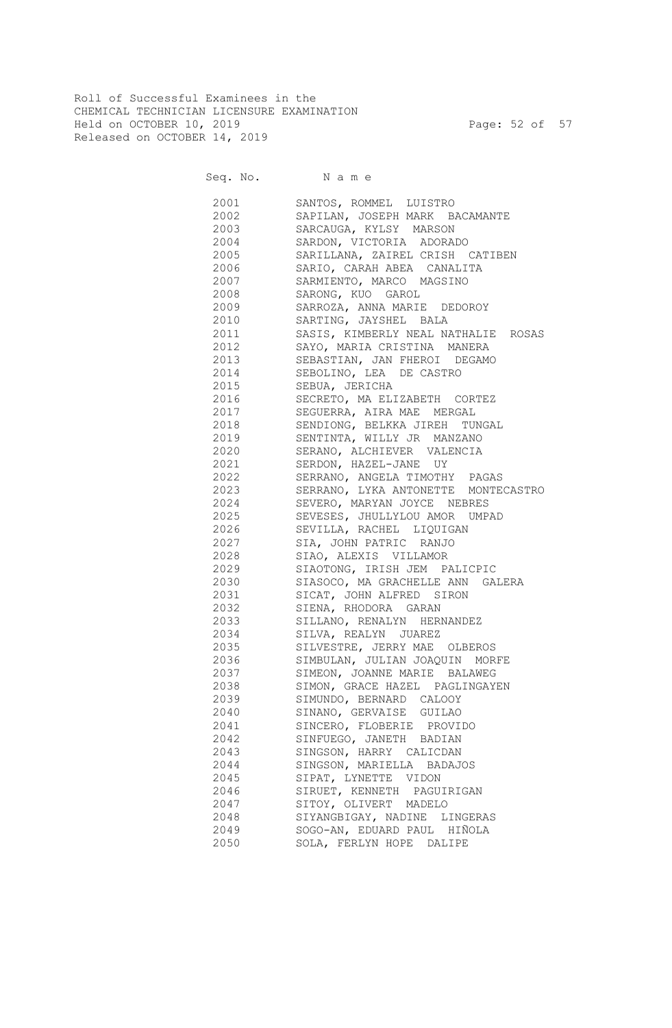Roll of Successful Examinees in the CHEMICAL TECHNICIAN LICENSURE EXAMINATION Held on OCTOBER 10, 2019 Page: 52 of 57 Released on OCTOBER 14, 2019

Seq. No. Name 2001 SANTOS, ROMMEL LUISTRO 2002 SAPILAN, JOSEPH MARK BACAMANTE 2003 SARCAUGA, KYLSY MARSON 2004 SARDON, VICTORIA ADORADO 2005 SARILLANA, ZAIREL CRISH CATIBEN 2006 SARIO, CARAH ABEA CANALITA 2007 SARMIENTO, MARCO MAGSINO 2008 SARONG, KUO GAROL 2009 SARROZA, ANNA MARIE DEDOROY 2010 SARTING, JAYSHEL BALA 2011 SASIS, KIMBERLY NEAL NATHALIE ROSAS 2012 SAYO, MARIA CRISTINA MANERA 2013 SEBASTIAN, JAN FHEROI DEGAMO 2014 SEBOLINO, LEA DE CASTRO 2015 SEBUA, JERICHA 2016 SECRETO, MA ELIZABETH CORTEZ 2017 SEGUERRA, AIRA MAE MERGAL 2018 SENDIONG, BELKKA JIREH TUNGAL 2019 SENTINTA, WILLY JR MANZANO 2020 SERANO, ALCHIEVER VALENCIA 2021 SERDON, HAZEL-JANE UY 2022 SERRANO, ANGELA TIMOTHY PAGAS 2023 SERRANO, LYKA ANTONETTE MONTECASTRO 2024 SEVERO, MARYAN JOYCE NEBRES 2025 SEVESES, JHULLYLOU AMOR UMPAD 2026 SEVILLA, RACHEL LIQUIGAN 2027 SIA, JOHN PATRIC RANJO 2028 SIAO, ALEXIS VILLAMOR 2029 SIAOTONG, IRISH JEM PALICPIC 2030 SIASOCO, MA GRACHELLE ANN GALERA 2031 SICAT, JOHN ALFRED SIRON 2032 SIENA, RHODORA GARAN 2033 SILLANO, RENALYN HERNANDEZ 2034 SILVA, REALYN JUAREZ 2035 SILVESTRE, JERRY MAE OLBEROS 2036 SIMBULAN, JULIAN JOAQUIN MORFE 2037 SIMEON, JOANNE MARIE BALAWEG 2038 SIMON, GRACE HAZEL PAGLINGAYEN 2039 SIMUNDO, BERNARD CALOOY 2040 SINANO, GERVAISE GUILAO 2041 SINCERO, FLOBERIE PROVIDO 2042 SINFUEGO, JANETH BADIAN 2043 SINGSON, HARRY CALICDAN 2044 SINGSON, MARIELLA BADAJOS 2045 SIPAT, LYNETTE VIDON 2046 SIRUET, KENNETH PAGUIRIGAN 2047 SITOY, OLIVERT MADELO 2048 SIYANGBIGAY, NADINE LINGERAS 2049 SOGO-AN, EDUARD PAUL HIÑOLA 2050 SOLA, FERLYN HOPE DALIPE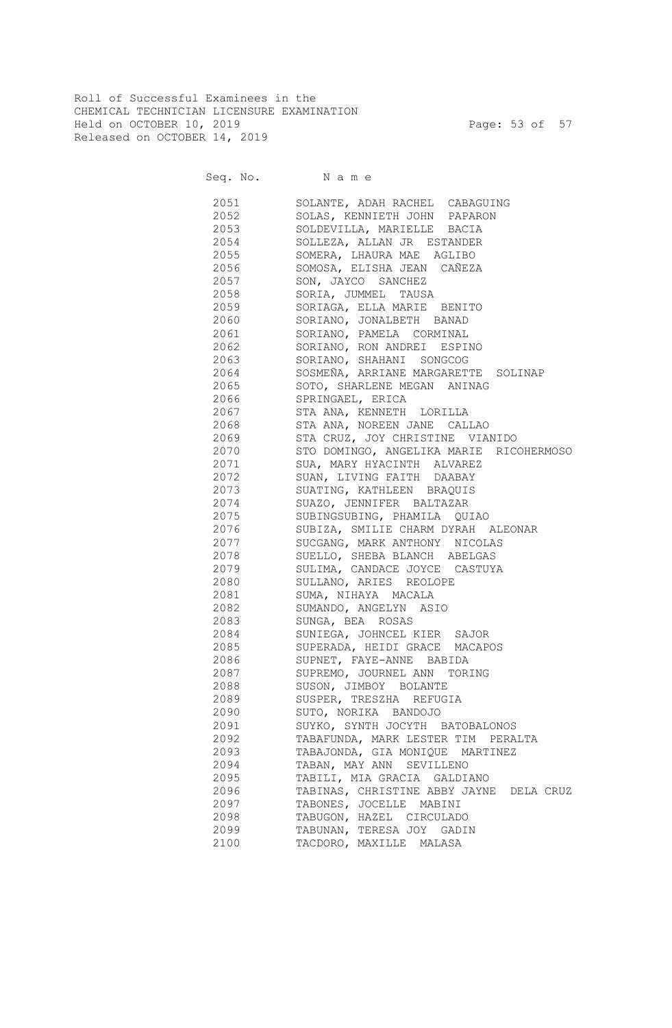Roll of Successful Examinees in the CHEMICAL TECHNICIAN LICENSURE EXAMINATION Held on OCTOBER 10, 2019 Page: 53 of 57 Released on OCTOBER 14, 2019

Seq. No. Name 2051 SOLANTE, ADAH RACHEL CABAGUING 2052 SOLAS, KENNIETH JOHN PAPARON 2053 SOLDEVILLA, MARIELLE BACIA 2054 SOLLEZA, ALLAN JR ESTANDER 2055 SOMERA, LHAURA MAE AGLIBO 2056 SOMOSA, ELISHA JEAN CAÑEZA 2057 SON, JAYCO SANCHEZ 2058 SORIA, JUMMEL TAUSA 2059 SORIAGA, ELLA MARIE BENITO 2060 SORIANO, JONALBETH BANAD 2061 SORIANO, PAMELA CORMINAL 2062 SORIANO, RON ANDREI ESPINO 2063 SORIANO, SHAHANI SONGCOG 2064 SOSMEÑA, ARRIANE MARGARETTE SOLINAP 2065 SOTO, SHARLENE MEGAN ANINAG 2066 SPRINGAEL, ERICA 2067 STA ANA, KENNETH LORILLA 2068 STA ANA, NOREEN JANE CALLAO 2069 STA CRUZ, JOY CHRISTINE VIANIDO 2070 STO DOMINGO, ANGELIKA MARIE RICOHERMOSO 2071 SUA, MARY HYACINTH ALVAREZ 2072 SUAN, LIVING FAITH DAABAY 2073 SUATING, KATHLEEN BRAQUIS 2074 SUAZO, JENNIFER BALTAZAR 2075 SUBINGSUBING, PHAMILA QUIAO 2076 SUBIZA, SMILIE CHARM DYRAH ALEONAR 2077 SUCGANG, MARK ANTHONY NICOLAS 2078 SUELLO, SHEBA BLANCH ABELGAS 2079 SULIMA, CANDACE JOYCE CASTUYA 2080 SULLANO, ARIES REOLOPE 2081 SUMA, NIHAYA MACALA 2082 SUMANDO, ANGELYN ASIO 2083 SUNGA, BEA ROSAS 2084 SUNIEGA, JOHNCEL KIER SAJOR 2085 SUPERADA, HEIDI GRACE MACAPOS 2086 SUPNET, FAYE-ANNE BABIDA 2087 SUPREMO, JOURNEL ANN TORING 2088 SUSON, JIMBOY BOLANTE 2089 SUSPER, TRESZHA REFUGIA 2090 SUTO, NORIKA BANDOJO 2091 SUYKO, SYNTH JOCYTH BATOBALONOS 2092 TABAFUNDA, MARK LESTER TIM PERALTA 2093 TABAJONDA, GIA MONIQUE MARTINEZ 2094 TABAN, MAY ANN SEVILLENO 2095 TABILI, MIA GRACIA GALDIANO 2096 TABINAS, CHRISTINE ABBY JAYNE DELA CRUZ 2097 TABONES, JOCELLE MABINI 2098 TABUGON, HAZEL CIRCULADO 2099 TABUNAN, TERESA JOY GADIN 2100 TACDORO, MAXILLE MALASA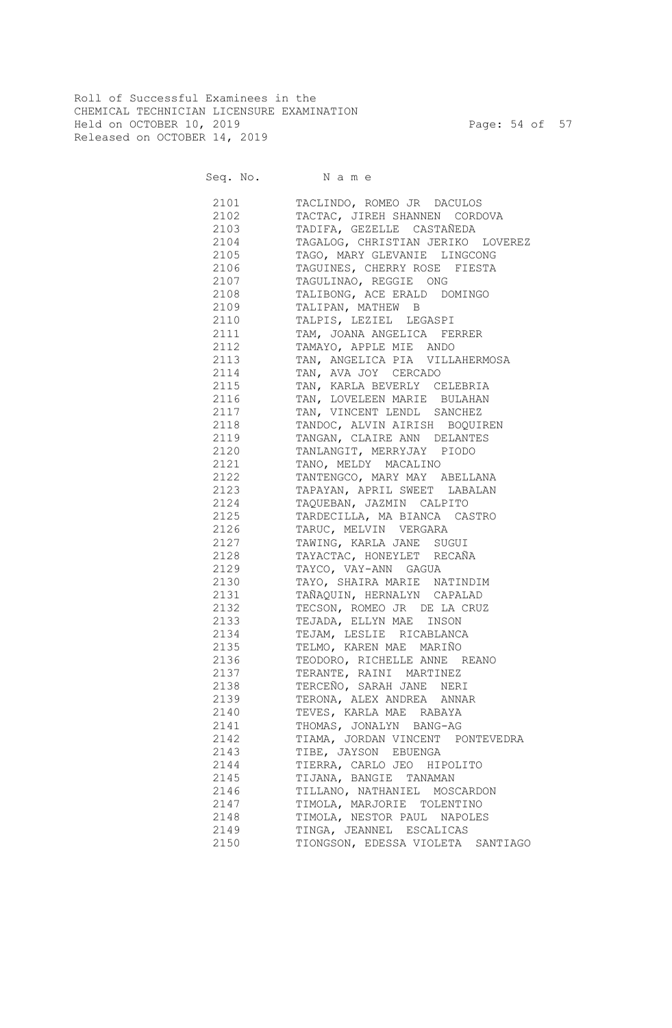Roll of Successful Examinees in the CHEMICAL TECHNICIAN LICENSURE EXAMINATION Held on OCTOBER 10, 2019 Page: 54 of 57 Released on OCTOBER 14, 2019

Seq. No. Name

 2101 TACLINDO, ROMEO JR DACULOS 2102 TACTAC, JIREH SHANNEN CORDOVA 2103 TADIFA, GEZELLE CASTAÑEDA 2104 TAGALOG, CHRISTIAN JERIKO LOVEREZ 2105 TAGO, MARY GLEVANIE LINGCONG 2106 TAGUINES, CHERRY ROSE FIESTA 2107 TAGULINAO, REGGIE ONG 2108 TALIBONG, ACE ERALD DOMINGO 2109 TALIPAN, MATHEW B 2110 TALPIS, LEZIEL LEGASPI 2111 TAM, JOANA ANGELICA FERRER 2112 TAMAYO, APPLE MIE ANDO 2113 TAN, ANGELICA PIA VILLAHERMOSA 2114 TAN, AVA JOY CERCADO 2115 TAN, KARLA BEVERLY CELEBRIA 2116 TAN, LOVELEEN MARIE BULAHAN 2117 TAN, VINCENT LENDL SANCHEZ 2118 TANDOC, ALVIN AIRISH BOQUIREN 2119 TANGAN, CLAIRE ANN DELANTES 2120 TANLANGIT, MERRYJAY PIODO 2121 TANO, MELDY MACALINO 2122 TANTENGCO, MARY MAY ABELLANA 2123 TAPAYAN, APRIL SWEET LABALAN 2124 TAQUEBAN, JAZMIN CALPITO 2125 TARDECILLA, MA BIANCA CASTRO 2126 TARUC, MELVIN VERGARA 2127 TAWING, KARLA JANE SUGUI 2128 TAYACTAC, HONEYLET RECAÑA 2129 TAYCO, VAY-ANN GAGUA 2130 TAYO, SHAIRA MARIE NATINDIM 2131 TAÑAQUIN, HERNALYN CAPALAD 2132 TECSON, ROMEO JR DE LA CRUZ 2133 TEJADA, ELLYN MAE INSON 2134 TEJAM, LESLIE RICABLANCA 2135 TELMO, KAREN MAE MARIÑO 2136 TEODORO, RICHELLE ANNE REANO 2137 TERANTE, RAINI MARTINEZ

 2138 TERCEÑO, SARAH JANE NERI 2139 TERONA, ALEX ANDREA ANNAR 2140 TEVES, KARLA MAE RABAYA 2141 THOMAS, JONALYN BANG-AG 2142 TIAMA, JORDAN VINCENT PONTEVEDRA 2143 TIBE, JAYSON EBUENGA 2144 TIERRA, CARLO JEO HIPOLITO 2145 TIJANA, BANGIE TANAMAN 2146 TILLANO, NATHANIEL MOSCARDON 2147 TIMOLA, MARJORIE TOLENTINO 2148 TIMOLA, NESTOR PAUL NAPOLES 2149 TINGA, JEANNEL ESCALICAS

## 2150 TIONGSON, EDESSA VIOLETA SANTIAGO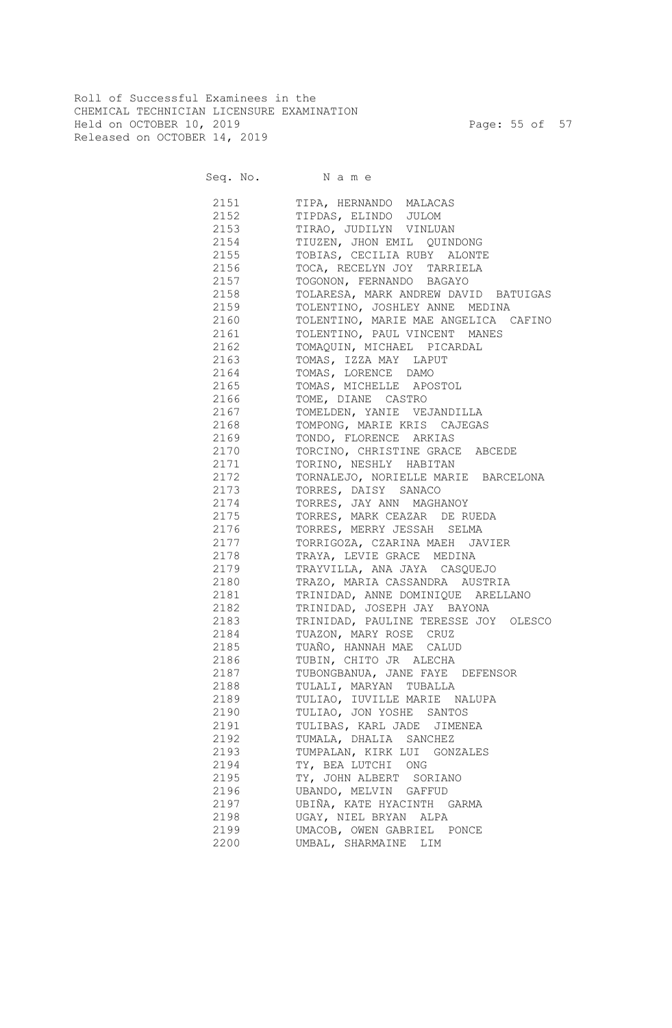Roll of Successful Examinees in the CHEMICAL TECHNICIAN LICENSURE EXAMINATION Held on OCTOBER 10, 2019 Page: 55 of 57 Released on OCTOBER 14, 2019

Seq. No. Name

 2151 TIPA, HERNANDO MALACAS 2152 TIPDAS, ELINDO JULOM 2153 TIRAO, JUDILYN VINLUAN 2154 TIUZEN, JHON EMIL QUINDONG 2155 TOBIAS, CECILIA RUBY ALONTE 2156 TOCA, RECELYN JOY TARRIELA 2157 TOGONON, FERNANDO BAGAYO 2158 TOLARESA, MARK ANDREW DAVID BATUIGAS 2159 TOLENTINO, JOSHLEY ANNE MEDINA 2160 TOLENTINO, MARIE MAE ANGELICA CAFINO 2161 TOLENTINO, PAUL VINCENT MANES 2162 TOMAQUIN, MICHAEL PICARDAL 2163 TOMAS, IZZA MAY LAPUT 2164 TOMAS, LORENCE DAMO 2165 TOMAS, MICHELLE APOSTOL 2166 TOME, DIANE CASTRO 2167 TOMELDEN, YANIE VEJANDILLA 2168 TOMPONG, MARIE KRIS CAJEGAS 2169 TONDO, FLORENCE ARKIAS 2170 TORCINO, CHRISTINE GRACE ABCEDE 2171 TORINO, NESHLY HABITAN 2172 TORNALEJO, NORIELLE MARIE BARCELONA 2173 TORRES, DAISY SANACO 2174 TORRES, JAY ANN MAGHANOY 2175 TORRES, MARK CEAZAR DE RUEDA 2176 TORRES, MERRY JESSAH SELMA 2177 TORRIGOZA, CZARINA MAEH JAVIER 2178 TRAYA, LEVIE GRACE MEDINA 2179 TRAYVILLA, ANA JAYA CASQUEJO 2180 TRAZO, MARIA CASSANDRA AUSTRIA 2181 TRINIDAD, ANNE DOMINIQUE ARELLANO 2182 TRINIDAD, JOSEPH JAY BAYONA 2183 TRINIDAD, PAULINE TERESSE JOY OLESCO 2184 TUAZON, MARY ROSE CRUZ 2185 TUAÑO, HANNAH MAE CALUD 2186 TUBIN, CHITO JR ALECHA 2187 TUBONGBANUA, JANE FAYE DEFENSOR 2188 TULALI, MARYAN TUBALLA 2189 TULIAO, IUVILLE MARIE NALUPA 2190 TULIAO, JON YOSHE SANTOS 2191 TULIBAS, KARL JADE JIMENEA 2192 TUMALA, DHALIA SANCHEZ 2193 TUMPALAN, KIRK LUI GONZALES 2194 TY, BEA LUTCHI ONG 2195 TY, JOHN ALBERT SORIANO 2196 UBANDO, MELVIN GAFFUD 2197 UBIÑA, KATE HYACINTH GARMA 2198 UGAY, NIEL BRYAN ALPA 2199 UMACOB, OWEN GABRIEL PONCE 2200 UMBAL, SHARMAINE LIM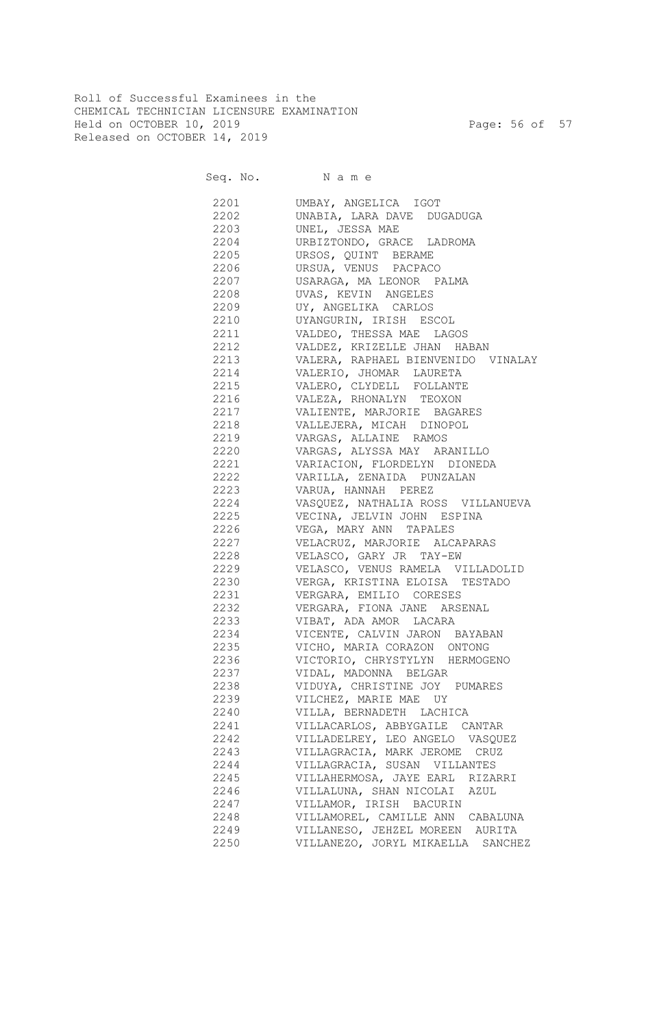Roll of Successful Examinees in the CHEMICAL TECHNICIAN LICENSURE EXAMINATION Held on OCTOBER 10, 2019 Page: 56 of 57 Released on OCTOBER 14, 2019

Seq. No. Name

 2201 UMBAY, ANGELICA IGOT 2202 UNABIA, LARA DAVE DUGADUGA 2203 UNEL, JESSA MAE 2204 URBIZTONDO, GRACE LADROMA 2205 URSOS, QUINT BERAME 2206 URSUA, VENUS PACPACO 2207 USARAGA, MA LEONOR PALMA 2208 UVAS, KEVIN ANGELES 2209 UY, ANGELIKA CARLOS 2210 UYANGURIN, IRISH ESCOL 2211 VALDEO, THESSA MAE LAGOS 2212 VALDEZ, KRIZELLE JHAN HABAN 2213 VALERA, RAPHAEL BIENVENIDO VINALAY 2214 VALERIO, JHOMAR LAURETA 2215 VALERO, CLYDELL FOLLANTE 2216 VALEZA, RHONALYN TEOXON 2217 VALIENTE, MARJORIE BAGARES 2218 VALLEJERA, MICAH DINOPOL 2219 VARGAS, ALLAINE RAMOS 2220 VARGAS, ALYSSA MAY ARANILLO 2221 VARIACION, FLORDELYN DIONEDA 2222 VARILLA, ZENAIDA PUNZALAN 2223 VARUA, HANNAH PEREZ 2224 VASQUEZ, NATHALIA ROSS VILLANUEVA 2225 VECINA, JELVIN JOHN ESPINA 2226 VEGA, MARY ANN TAPALES 2227 VELACRUZ, MARJORIE ALCAPARAS 2228 VELASCO, GARY JR TAY-EW 2229 VELASCO, VENUS RAMELA VILLADOLID 2230 VERGA, KRISTINA ELOISA TESTADO 2231 VERGARA, EMILIO CORESES 2232 VERGARA, FIONA JANE ARSENAL 2233 VIBAT, ADA AMOR LACARA 2234 VICENTE, CALVIN JARON BAYABAN 2235 VICHO, MARIA CORAZON ONTONG 2236 VICTORIO, CHRYSTYLYN HERMOGENO 2237 VIDAL, MADONNA BELGAR 2238 VIDUYA, CHRISTINE JOY PUMARES 2239 VILCHEZ, MARIE MAE UY 2240 VILLA, BERNADETH LACHICA 2241 VILLACARLOS, ABBYGAILE CANTAR 2242 VILLADELREY, LEO ANGELO VASQUEZ 2243 VILLAGRACIA, MARK JEROME CRUZ 2244 VILLAGRACIA, SUSAN VILLANTES 2245 VILLAHERMOSA, JAYE EARL RIZARRI 2246 VILLALUNA, SHAN NICOLAI AZUL 2247 VILLAMOR, IRISH BACURIN 2248 VILLAMOREL, CAMILLE ANN CABALUNA 2249 VILLANESO, JEHZEL MOREEN AURITA 2250 VILLANEZO, JORYL MIKAELLA SANCHEZ